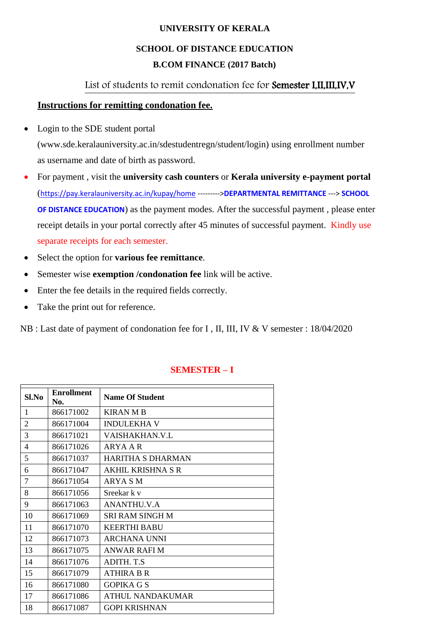#### **UNIVERSITY OF KERALA**

# **SCHOOL OF DISTANCE EDUCATION B.COM FINANCE (2017 Batch)**

## List of students to remit condonation fee for Semester I,II,III,IV,V

### **Instructions for remitting condonation fee.**

• Login to the SDE student portal

[\(www.sde.keralauniversity.ac.in/sdestudentregn/student/login\) u](http://www.sde.keralauniversity.ac.in/sdestudentregn/student/login))sing enrollment number as username and date of birth as password.

- For payment , visit the **university cash counters** or **Kerala university e-payment portal** (<https://pay.keralauniversity.ac.in/kupay/home> --------->**DEPARTMENTAL REMITTANCE** ---> **SCHOOL OF DISTANCE EDUCATION**) as the payment modes. After the successful payment , please enter receipt details in your portal correctly after 45 minutes of successful payment. Kindly use separate receipts for each semester.
- Select the option for **various fee remittance**.
- Semester wise **exemption /condonation fee** link will be active.
- Enter the fee details in the required fields correctly.
- Take the print out for reference.

NB : Last date of payment of condonation fee for I , II, III, IV & V semester : 18/04/2020

| Sl.No          | <b>Enrollment</b><br>No. | <b>Name Of Student</b>   |
|----------------|--------------------------|--------------------------|
| 1              | 866171002                | <b>KIRAN M B</b>         |
| $\overline{2}$ | 866171004                | <b>INDULEKHA V</b>       |
| 3              | 866171021                | VAISHAKHAN.V.L           |
| 4              | 866171026                | ARYA A R                 |
| 5              | 866171037                | <b>HARITHA S DHARMAN</b> |
| 6              | 866171047                | <b>AKHIL KRISHNA S R</b> |
| $\overline{7}$ | 866171054                | ARYA S M                 |
| 8              | 866171056                | Sreekar k v              |
| 9              | 866171063                | ANANTHU.V.A              |
| 10             | 866171069                | <b>SRI RAM SINGH M</b>   |
| 11             | 866171070                | <b>KEERTHI BABU</b>      |
| 12             | 866171073                | ARCHANA UNNI             |
| 13             | 866171075                | <b>ANWAR RAFI M</b>      |
| 14             | 866171076                | <b>ADITH. T.S</b>        |
| 15             | 866171079                | <b>ATHIRA B R</b>        |
| 16             | 866171080                | <b>GOPIKA G S</b>        |
| 17             | 866171086                | <b>ATHUL NANDAKUMAR</b>  |
| 18             | 866171087                | <b>GOPI KRISHNAN</b>     |

### **SEMESTER – I**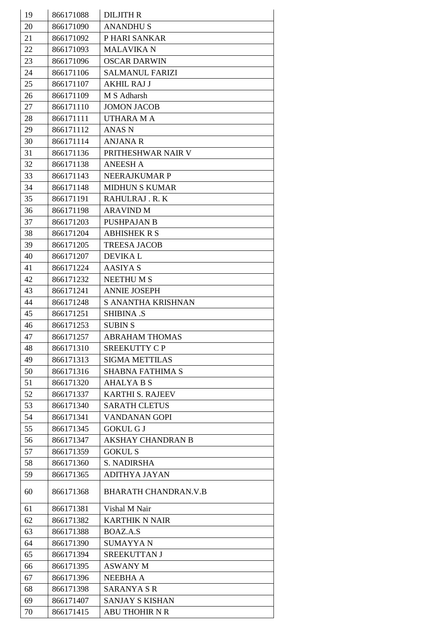| 19 | 866171088 | <b>DILJITH R</b>            |
|----|-----------|-----------------------------|
| 20 | 866171090 | <b>ANANDHUS</b>             |
| 21 | 866171092 | P HARI SANKAR               |
| 22 | 866171093 | <b>MALAVIKAN</b>            |
| 23 | 866171096 | <b>OSCAR DARWIN</b>         |
| 24 | 866171106 | <b>SALMANUL FARIZI</b>      |
| 25 | 866171107 | <b>AKHIL RAJ J</b>          |
| 26 | 866171109 | M S Adharsh                 |
| 27 | 866171110 | <b>JOMON JACOB</b>          |
| 28 | 866171111 | <b>UTHARA MA</b>            |
| 29 | 866171112 | <b>ANAS N</b>               |
| 30 | 866171114 | ANJANA R                    |
| 31 | 866171136 | PRITHESHWAR NAIR V          |
| 32 | 866171138 | <b>ANEESH A</b>             |
| 33 | 866171143 | <b>NEERAJKUMAR P</b>        |
| 34 | 866171148 | <b>MIDHUN S KUMAR</b>       |
| 35 | 866171191 | RAHULRAJ.R.K                |
| 36 | 866171198 | <b>ARAVIND M</b>            |
| 37 | 866171203 | <b>PUSHPAJAN B</b>          |
| 38 | 866171204 | <b>ABHISHEK R S</b>         |
| 39 | 866171205 | <b>TREESA JACOB</b>         |
| 40 | 866171207 | <b>DEVIKAL</b>              |
| 41 | 866171224 | <b>AASIYA S</b>             |
| 42 | 866171232 | <b>NEETHUMS</b>             |
| 43 | 866171241 | <b>ANNIE JOSEPH</b>         |
| 44 | 866171248 | S ANANTHA KRISHNAN          |
| 45 | 866171251 | <b>SHIBINA .S</b>           |
| 46 | 866171253 | <b>SUBIN S</b>              |
| 47 | 866171257 | <b>ABRAHAM THOMAS</b>       |
| 48 | 866171310 | SREEKUTTY C P               |
| 49 | 866171313 | <b>SIGMA METTILAS</b>       |
| 50 | 866171316 | <b>SHABNA FATHIMA S</b>     |
| 51 | 866171320 | <b>AHALYA B S</b>           |
| 52 | 866171337 | <b>KARTHI S. RAJEEV</b>     |
| 53 | 866171340 | <b>SARATH CLETUS</b>        |
| 54 | 866171341 | VANDANAN GOPI               |
| 55 | 866171345 | <b>GOKUL G J</b>            |
| 56 | 866171347 | <b>AKSHAY CHANDRAN B</b>    |
| 57 | 866171359 | <b>GOKUL S</b>              |
| 58 | 866171360 | S. NADIRSHA                 |
| 59 | 866171365 | ADITHYA JAYAN               |
|    |           |                             |
| 60 | 866171368 | <b>BHARATH CHANDRAN.V.B</b> |
| 61 | 866171381 | Vishal M Nair               |
| 62 | 866171382 | <b>KARTHIK N NAIR</b>       |
| 63 | 866171388 | BOAZ.A.S                    |
| 64 | 866171390 | <b>SUMAYYAN</b>             |
| 65 | 866171394 | SREEKUTTAN J                |
| 66 | 866171395 | <b>ASWANY M</b>             |
| 67 | 866171396 | NEEBHA A                    |
| 68 | 866171398 | <b>SARANYA S R</b>          |
| 69 | 866171407 | <b>SANJAY S KISHAN</b>      |
| 70 | 866171415 | <b>ABU THOHIR N R</b>       |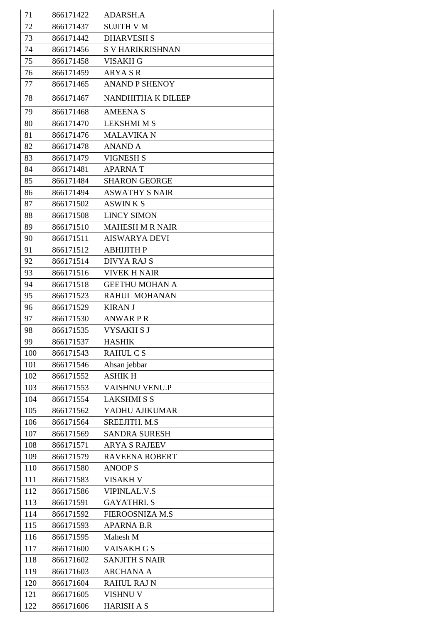| 71  | 866171422 | <b>ADARSH.A</b>         |
|-----|-----------|-------------------------|
| 72  | 866171437 | <b>SUJITH V M</b>       |
| 73  | 866171442 | <b>DHARVESH S</b>       |
| 74  | 866171456 | <b>S V HARIKRISHNAN</b> |
| 75  | 866171458 | <b>VISAKH G</b>         |
| 76  | 866171459 | <b>ARYASR</b>           |
| 77  | 866171465 | <b>ANAND P SHENOY</b>   |
| 78  | 866171467 | NANDHITHA K DILEEP      |
| 79  | 866171468 | <b>AMEENA S</b>         |
| 80  | 866171470 | <b>LEKSHMI M S</b>      |
| 81  | 866171476 | <b>MALAVIKA N</b>       |
| 82  | 866171478 | ANAND A                 |
| 83  | 866171479 | <b>VIGNESH S</b>        |
| 84  | 866171481 | <b>APARNAT</b>          |
| 85  | 866171484 | <b>SHARON GEORGE</b>    |
| 86  | 866171494 | <b>ASWATHY S NAIR</b>   |
| 87  | 866171502 | <b>ASWINKS</b>          |
| 88  | 866171508 | <b>LINCY SIMON</b>      |
| 89  | 866171510 | <b>MAHESH M R NAIR</b>  |
| 90  | 866171511 | <b>AISWARYA DEVI</b>    |
| 91  | 866171512 | <b>ABHIJITH P</b>       |
| 92  | 866171514 | <b>DIVYA RAJ S</b>      |
| 93  | 866171516 | <b>VIVEK H NAIR</b>     |
| 94  | 866171518 | <b>GEETHU MOHAN A</b>   |
| 95  | 866171523 | <b>RAHUL MOHANAN</b>    |
| 96  | 866171529 | <b>KIRAN J</b>          |
| 97  | 866171530 | <b>ANWARPR</b>          |
| 98  | 866171535 | <b>VYSAKHSJ</b>         |
| 99  | 866171537 | <b>HASHIK</b>           |
| 100 | 866171543 | <b>RAHUL CS</b>         |
| 101 | 866171546 | Ahsan jebbar            |
| 102 | 866171552 | <b>ASHIK H</b>          |
| 103 | 866171553 | VAISHNU VENU.P          |
| 104 | 866171554 | <b>LAKSHMISS</b>        |
| 105 | 866171562 | YADHU AJIKUMAR          |
| 106 | 866171564 | SREEJITH. M.S           |
| 107 | 866171569 | <b>SANDRA SURESH</b>    |
| 108 | 866171571 | <b>ARYA S RAJEEV</b>    |
| 109 | 866171579 | <b>RAVEENA ROBERT</b>   |
| 110 | 866171580 | <b>ANOOPS</b>           |
| 111 | 866171583 | <b>VISAKH V</b>         |
| 112 | 866171586 | <b>VIPINLAL.V.S</b>     |
| 113 | 866171591 | <b>GAYATHRI.S</b>       |
| 114 | 866171592 | FIEROOSNIZA M.S         |
| 115 | 866171593 | <b>APARNA B.R</b>       |
| 116 | 866171595 | Mahesh M                |
| 117 | 866171600 | <b>VAISAKH G S</b>      |
| 118 | 866171602 | <b>SANJITH S NAIR</b>   |
| 119 | 866171603 | <b>ARCHANA A</b>        |
| 120 | 866171604 | <b>RAHUL RAJ N</b>      |
| 121 | 866171605 | VISHNU V                |
| 122 | 866171606 | <b>HARISH A S</b>       |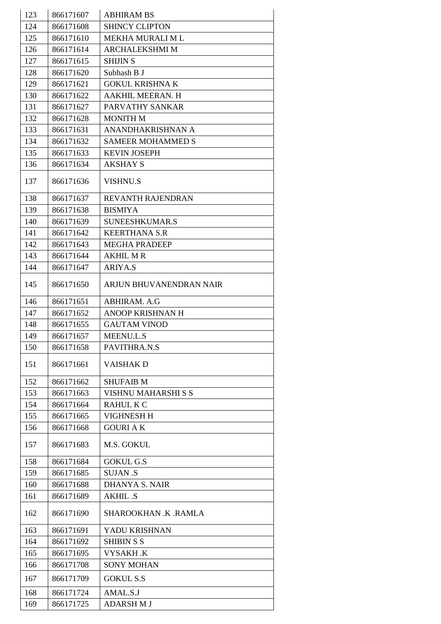| 123 | 866171607 | <b>ABHIRAM BS</b>          |
|-----|-----------|----------------------------|
| 124 | 866171608 | <b>SHINCY CLIPTON</b>      |
| 125 | 866171610 | MEKHA MURALI ML            |
| 126 | 866171614 | <b>ARCHALEKSHMI M</b>      |
| 127 | 866171615 | <b>SHIJIN S</b>            |
| 128 | 866171620 | Subhash B J                |
| 129 | 866171621 | <b>GOKUL KRISHNA K</b>     |
| 130 | 866171622 | AAKHIL MEERAN. H           |
| 131 | 866171627 | PARVATHY SANKAR            |
| 132 | 866171628 | <b>MONITH M</b>            |
| 133 | 866171631 | ANANDHAKRISHNAN A          |
| 134 | 866171632 | <b>SAMEER MOHAMMED S</b>   |
| 135 | 866171633 | <b>KEVIN JOSEPH</b>        |
| 136 | 866171634 | AKSHAY S                   |
| 137 | 866171636 | <b>VISHNU.S</b>            |
| 138 | 866171637 | <b>REVANTH RAJENDRAN</b>   |
| 139 | 866171638 | <b>BISMIYA</b>             |
| 140 | 866171639 | SUNEESHKUMAR.S             |
| 141 | 866171642 | <b>KEERTHANA S.R</b>       |
| 142 | 866171643 | <b>MEGHA PRADEEP</b>       |
| 143 | 866171644 | <b>AKHIL MR</b>            |
| 144 | 866171647 | <b>ARIYA.S</b>             |
| 145 | 866171650 | ARJUN BHUVANENDRAN NAIR    |
| 146 | 866171651 | ABHIRAM. A.G               |
| 147 | 866171652 | ANOOP KRISHNAN H           |
| 148 | 866171655 | <b>GAUTAM VINOD</b>        |
| 149 | 866171657 | <b>MEENU.L.S</b>           |
| 150 | 866171658 | PAVITHRA.N.S               |
| 151 | 866171661 | <b>VAISHAKD</b>            |
| 152 | 866171662 | <b>SHUFAIB M</b>           |
| 153 | 866171663 | <b>VISHNU MAHARSHI S S</b> |
| 154 | 866171664 | <b>RAHUL K C</b>           |
| 155 | 866171665 | <b>VIGHNESH H</b>          |
| 156 | 866171668 | <b>GOURIAK</b>             |
| 157 | 866171683 | M.S. GOKUL                 |
| 158 | 866171684 | <b>GOKUL G.S</b>           |
| 159 | 866171685 | <b>SUJAN .S</b>            |
| 160 | 866171688 | <b>DHANYA S. NAIR</b>      |
| 161 | 866171689 | <b>AKHIL .S</b>            |
| 162 | 866171690 | SHAROOKHAN .K .RAMLA       |
| 163 | 866171691 | YADU KRISHNAN              |
| 164 | 866171692 | <b>SHIBIN S S</b>          |
| 165 | 866171695 | <b>VYSAKH.K</b>            |
| 166 | 866171708 | <b>SONY MOHAN</b>          |
| 167 | 866171709 | <b>GOKUL S.S</b>           |
| 168 | 866171724 | AMAL.S.J                   |
| 169 | 866171725 | <b>ADARSH M J</b>          |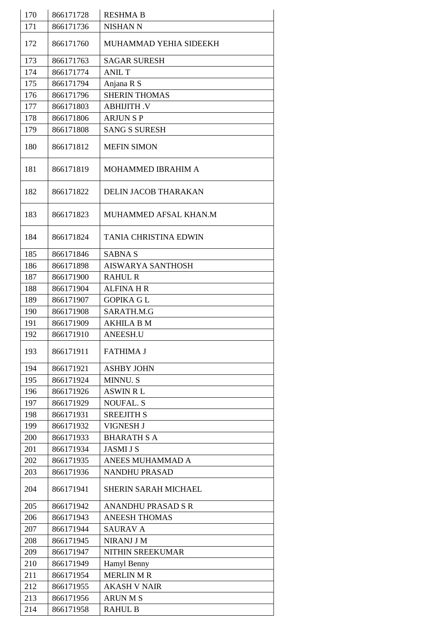| 170 | 866171728 | <b>RESHMA B</b>              |
|-----|-----------|------------------------------|
| 171 | 866171736 | <b>NISHAN N</b>              |
| 172 | 866171760 | MUHAMMAD YEHIA SIDEEKH       |
| 173 | 866171763 | <b>SAGAR SURESH</b>          |
| 174 | 866171774 | <b>ANIL T</b>                |
| 175 | 866171794 | Anjana R S                   |
| 176 | 866171796 | <b>SHERIN THOMAS</b>         |
| 177 | 866171803 | <b>ABHIJITH .V</b>           |
| 178 | 866171806 | <b>ARJUNSP</b>               |
| 179 | 866171808 | <b>SANG S SURESH</b>         |
| 180 | 866171812 | <b>MEFIN SIMON</b>           |
| 181 | 866171819 | MOHAMMED IBRAHIM A           |
| 182 | 866171822 | DELIN JACOB THARAKAN         |
| 183 | 866171823 | MUHAMMED AFSAL KHAN.M        |
| 184 | 866171824 | <b>TANIA CHRISTINA EDWIN</b> |
| 185 | 866171846 | <b>SABNAS</b>                |
| 186 | 866171898 | <b>AISWARYA SANTHOSH</b>     |
| 187 | 866171900 | <b>RAHUL R</b>               |
| 188 | 866171904 | <b>ALFINA H R</b>            |
| 189 | 866171907 | <b>GOPIKA GL</b>             |
| 190 | 866171908 | SARATH.M.G                   |
| 191 | 866171909 | AKHILA B M                   |
| 192 | 866171910 | <b>ANEESH.U</b>              |
| 193 | 866171911 | <b>FATHIMA J</b>             |
| 194 | 866171921 | <b>ASHBY JOHN</b>            |
| 195 | 866171924 | <b>MINNU.S</b>               |
| 196 | 866171926 | <b>ASWIN RL</b>              |
| 197 | 866171929 | <b>NOUFAL. S</b>             |
| 198 | 866171931 | <b>SREEJITH S</b>            |
| 199 | 866171932 | VIGNESH J                    |
| 200 | 866171933 | <b>BHARATH S A</b>           |
| 201 | 866171934 | <b>JASMI J S</b>             |
| 202 | 866171935 | ANEES MUHAMMAD A             |
| 203 | 866171936 | <b>NANDHU PRASAD</b>         |
| 204 | 866171941 | <b>SHERIN SARAH MICHAEL</b>  |
| 205 | 866171942 | <b>ANANDHU PRASAD S R</b>    |
| 206 | 866171943 | <b>ANEESH THOMAS</b>         |
| 207 | 866171944 | <b>SAURAV A</b>              |
| 208 | 866171945 | <b>NIRANJ J M</b>            |
| 209 | 866171947 | NITHIN SREEKUMAR             |
| 210 | 866171949 | Hamyl Benny                  |
| 211 | 866171954 | <b>MERLIN M R</b>            |
| 212 | 866171955 | <b>AKASH V NAIR</b>          |
| 213 | 866171956 | <b>ARUNMS</b>                |
| 214 | 866171958 | <b>RAHUL B</b>               |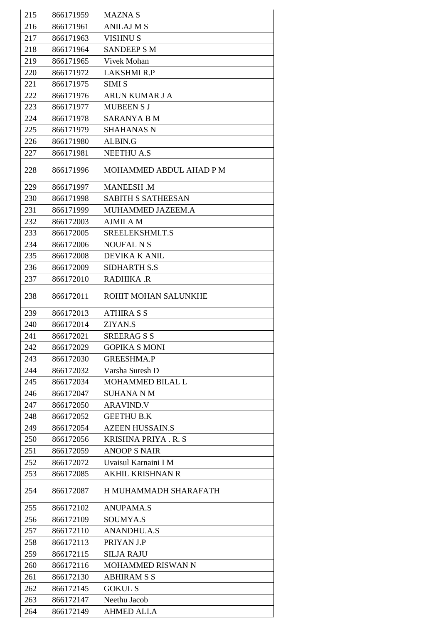| 215 | 866171959 | <b>MAZNAS</b>              |
|-----|-----------|----------------------------|
| 216 | 866171961 | <b>ANILAJ M S</b>          |
| 217 | 866171963 | <b>VISHNU S</b>            |
| 218 | 866171964 | <b>SANDEEP S M</b>         |
| 219 | 866171965 | <b>Vivek Mohan</b>         |
| 220 | 866171972 | <b>LAKSHMI R.P</b>         |
| 221 | 866171975 | <b>SIMI S</b>              |
| 222 | 866171976 | <b>ARUN KUMAR J A</b>      |
| 223 | 866171977 | <b>MUBEEN S J</b>          |
| 224 | 866171978 | SARANYA B M                |
| 225 | 866171979 | <b>SHAHANAS N</b>          |
| 226 | 866171980 | ALBIN.G                    |
| 227 | 866171981 | <b>NEETHU A.S</b>          |
| 228 | 866171996 | MOHAMMED ABDUL AHAD P M    |
|     |           |                            |
| 229 | 866171997 | <b>MANEESH .M</b>          |
| 230 | 866171998 | <b>SABITH S SATHEESAN</b>  |
| 231 | 866171999 | MUHAMMED JAZEEM.A          |
| 232 | 866172003 | <b>AJMILA M</b>            |
| 233 | 866172005 | SREELEKSHMI.T.S            |
| 234 | 866172006 | <b>NOUFAL N S</b>          |
| 235 | 866172008 | DEVIKA K ANIL              |
| 236 | 866172009 | <b>SIDHARTH S.S</b>        |
| 237 | 866172010 | <b>RADHIKA .R</b>          |
| 238 | 866172011 | ROHIT MOHAN SALUNKHE       |
| 239 | 866172013 | <b>ATHIRA S S</b>          |
| 240 | 866172014 | ZIYAN.S                    |
| 241 | 866172021 | <b>SREERAGSS</b>           |
| 242 | 866172029 | <b>GOPIKA S MONI</b>       |
| 243 | 866172030 | <b>GREESHMA.P</b>          |
| 244 | 866172032 | Varsha Suresh D            |
| 245 | 866172034 | <b>MOHAMMED BILAL L</b>    |
| 246 | 866172047 | <b>SUHANA N M</b>          |
| 247 | 866172050 | <b>ARAVIND.V</b>           |
| 248 | 866172052 | <b>GEETHU B.K</b>          |
| 249 | 866172054 | <b>AZEEN HUSSAIN.S</b>     |
| 250 | 866172056 | <b>KRISHNA PRIYA. R. S</b> |
| 251 | 866172059 | <b>ANOOP S NAIR</b>        |
| 252 | 866172072 | Uvaisul Karnaini I M       |
| 253 | 866172085 | <b>AKHIL KRISHNAN R</b>    |
| 254 | 866172087 | H MUHAMMADH SHARAFATH      |
| 255 | 866172102 | <b>ANUPAMA.S</b>           |
| 256 | 866172109 | SOUMYA.S                   |
| 257 | 866172110 | <b>ANANDHU.A.S</b>         |
| 258 | 866172113 | PRIYAN J.P                 |
| 259 | 866172115 | <b>SILJA RAJU</b>          |
| 260 | 866172116 | <b>MOHAMMED RISWAN N</b>   |
| 261 | 866172130 | <b>ABHIRAM S S</b>         |
| 262 | 866172145 | <b>GOKUL S</b>             |
| 263 | 866172147 | Neethu Jacob               |
| 264 | 866172149 | <b>AHMED ALI.A</b>         |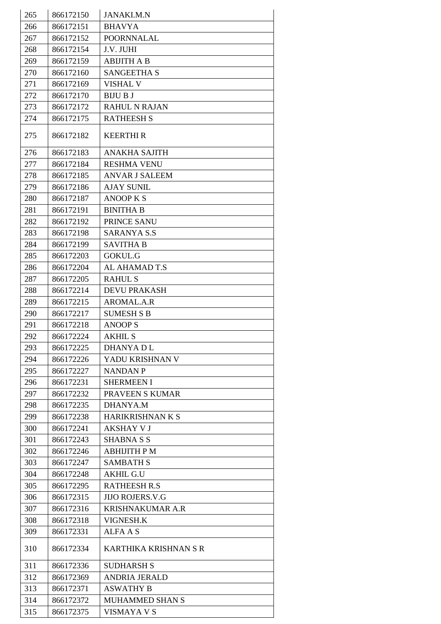| 265 | 866172150 | <b>JANAKI.M.N</b>       |
|-----|-----------|-------------------------|
| 266 | 866172151 | <b>BHAVYA</b>           |
| 267 | 866172152 | <b>POORNNALAL</b>       |
| 268 | 866172154 | J.V. JUHI               |
| 269 | 866172159 | <b>ABIJITH A B</b>      |
| 270 | 866172160 | <b>SANGEETHA S</b>      |
| 271 | 866172169 | <b>VISHAL V</b>         |
| 272 | 866172170 | <b>BIJU B J</b>         |
| 273 | 866172172 | <b>RAHUL N RAJAN</b>    |
| 274 | 866172175 | <b>RATHEESH S</b>       |
| 275 | 866172182 | <b>KEERTHIR</b>         |
| 276 | 866172183 | <b>ANAKHA SAJITH</b>    |
| 277 | 866172184 | <b>RESHMA VENU</b>      |
| 278 | 866172185 | <b>ANVAR J SALEEM</b>   |
| 279 | 866172186 | <b>AJAY SUNIL</b>       |
| 280 | 866172187 | <b>ANOOP K S</b>        |
| 281 | 866172191 | <b>BINITHA B</b>        |
| 282 | 866172192 | PRINCE SANU             |
| 283 | 866172198 | <b>SARANYA S.S</b>      |
| 284 | 866172199 | <b>SAVITHA B</b>        |
| 285 | 866172203 | <b>GOKUL.G</b>          |
| 286 | 866172204 | AL AHAMAD T.S           |
| 287 | 866172205 | <b>RAHUL S</b>          |
| 288 | 866172214 | <b>DEVU PRAKASH</b>     |
| 289 | 866172215 | AROMAL.A.R              |
| 290 | 866172217 | <b>SUMESH S B</b>       |
| 291 | 866172218 | <b>ANOOPS</b>           |
| 292 | 866172224 | <b>AKHIL S</b>          |
| 293 | 866172225 | <b>DHANYADL</b>         |
| 294 | 866172226 | YADU KRISHNAN V         |
| 295 | 866172227 | <b>NANDAN P</b>         |
| 296 | 866172231 | <b>SHERMEEN I</b>       |
| 297 | 866172232 | PRAVEEN S KUMAR         |
| 298 | 866172235 | <b>DHANYA.M</b>         |
| 299 | 866172238 | <b>HARIKRISHNAN K S</b> |
| 300 | 866172241 | <b>AKSHAY V J</b>       |
| 301 | 866172243 | SHABNA S S              |
| 302 | 866172246 | <b>ABHIJITH PM</b>      |
| 303 | 866172247 | <b>SAMBATH S</b>        |
| 304 | 866172248 | <b>AKHIL G.U</b>        |
| 305 | 866172295 | <b>RATHEESH R.S</b>     |
| 306 | 866172315 | <b>JIJO ROJERS.V.G</b>  |
| 307 | 866172316 | <b>KRISHNAKUMAR A.R</b> |
| 308 | 866172318 | VIGNESH.K               |
| 309 | 866172331 | ALFA A S                |
|     |           |                         |
| 310 | 866172334 | KARTHIKA KRISHNAN S R   |
| 311 | 866172336 | <b>SUDHARSH S</b>       |
| 312 | 866172369 | <b>ANDRIA JERALD</b>    |
| 313 | 866172371 | <b>ASWATHY B</b>        |
| 314 | 866172372 | <b>MUHAMMED SHAN S</b>  |
| 315 | 866172375 | <b>VISMAYA V S</b>      |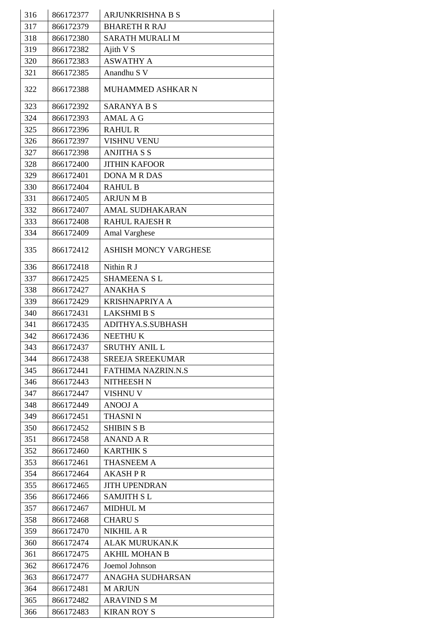| 316 | 866172377 | <b>ARJUNKRISHNA B S</b>      |
|-----|-----------|------------------------------|
| 317 | 866172379 | <b>BHARETH R RAJ</b>         |
| 318 | 866172380 | SARATH MURALI M              |
| 319 | 866172382 | Ajith V S                    |
| 320 | 866172383 | <b>ASWATHY A</b>             |
| 321 | 866172385 | Anandhu S V                  |
| 322 | 866172388 | MUHAMMED ASHKAR N            |
| 323 | 866172392 | <b>SARANYA B S</b>           |
| 324 | 866172393 | <b>AMAL A G</b>              |
| 325 | 866172396 | <b>RAHUL R</b>               |
| 326 | 866172397 | <b>VISHNU VENU</b>           |
| 327 | 866172398 | <b>ANJITHA S S</b>           |
| 328 | 866172400 | <b>JITHIN KAFOOR</b>         |
| 329 | 866172401 | <b>DONA M R DAS</b>          |
| 330 | 866172404 | <b>RAHUL B</b>               |
| 331 | 866172405 | <b>ARJUN M B</b>             |
| 332 | 866172407 | <b>AMAL SUDHAKARAN</b>       |
| 333 | 866172408 | <b>RAHUL RAJESH R</b>        |
| 334 | 866172409 | Amal Varghese                |
| 335 | 866172412 | <b>ASHISH MONCY VARGHESE</b> |
| 336 | 866172418 | Nithin R J                   |
| 337 | 866172425 | <b>SHAMEENA SL</b>           |
| 338 | 866172427 | <b>ANAKHA S</b>              |
| 339 | 866172429 | <b>KRISHNAPRIYA A</b>        |
| 340 | 866172431 | <b>LAKSHMI B S</b>           |
| 341 | 866172435 | ADITHYA.S.SUBHASH            |
| 342 | 866172436 | <b>NEETHUK</b>               |
| 343 | 866172437 | <b>SRUTHY ANIL L</b>         |
| 344 | 866172438 | <b>SREEJA SREEKUMAR</b>      |
| 345 | 866172441 | <b>FATHIMA NAZRIN.N.S</b>    |
| 346 | 866172443 | <b>NITHEESH N</b>            |
| 347 | 866172447 | <b>VISHNU V</b>              |
| 348 | 866172449 | <b>ANOOJ A</b>               |
| 349 | 866172451 | <b>THASNIN</b>               |
| 350 | 866172452 | <b>SHIBIN S B</b>            |
| 351 | 866172458 | <b>ANAND A R</b>             |
| 352 | 866172460 | <b>KARTHIK S</b>             |
| 353 | 866172461 | THASNEEM A                   |
| 354 | 866172464 | <b>AKASH P R</b>             |
| 355 | 866172465 | <b>JITH UPENDRAN</b>         |
| 356 | 866172466 | <b>SAMJITH SL</b>            |
| 357 | 866172467 | <b>MIDHUL M</b>              |
| 358 | 866172468 | <b>CHARUS</b>                |
| 359 | 866172470 | <b>NIKHIL A R</b>            |
| 360 | 866172474 | <b>ALAK MURUKAN.K</b>        |
| 361 | 866172475 | <b>AKHIL MOHAN B</b>         |
| 362 | 866172476 | Joemol Johnson               |
| 363 | 866172477 | ANAGHA SUDHARSAN             |
| 364 | 866172481 | <b>M ARJUN</b>               |
| 365 | 866172482 | <b>ARAVIND S M</b>           |
| 366 | 866172483 | <b>KIRAN ROY S</b>           |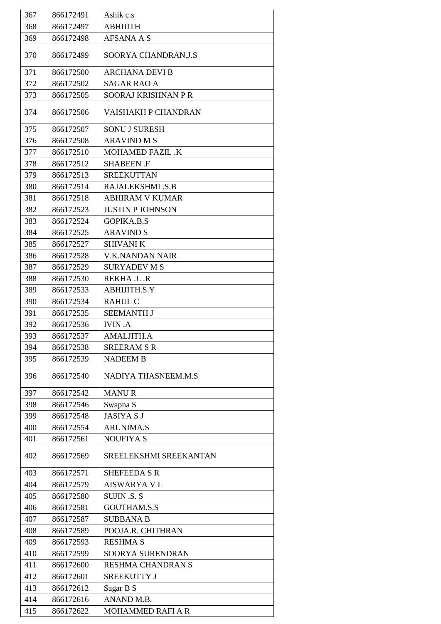| 367 | 866172491 | Ashik c.s                |
|-----|-----------|--------------------------|
| 368 | 866172497 | <b>ABHIJITH</b>          |
| 369 | 866172498 | <b>AFSANA A S</b>        |
| 370 | 866172499 | SOORYA CHANDRAN.J.S      |
| 371 | 866172500 | <b>ARCHANA DEVI B</b>    |
| 372 | 866172502 | <b>SAGAR RAO A</b>       |
| 373 | 866172505 | SOORAJ KRISHNAN P R      |
| 374 | 866172506 | VAISHAKH P CHANDRAN      |
| 375 | 866172507 | <b>SONU J SURESH</b>     |
| 376 | 866172508 | <b>ARAVIND M S</b>       |
| 377 | 866172510 | <b>MOHAMED FAZIL .K</b>  |
| 378 | 866172512 | <b>SHABEEN .F</b>        |
| 379 | 866172513 | <b>SREEKUTTAN</b>        |
| 380 | 866172514 | RAJALEKSHMI .S.B         |
| 381 | 866172518 | <b>ABHIRAM V KUMAR</b>   |
| 382 | 866172523 | <b>JUSTIN P JOHNSON</b>  |
| 383 | 866172524 | <b>GOPIKA.B.S</b>        |
| 384 | 866172525 | <b>ARAVIND S</b>         |
| 385 | 866172527 | <b>SHIVANI K</b>         |
| 386 | 866172528 | V.K.NANDAN NAIR          |
| 387 | 866172529 | <b>SURYADEV M S</b>      |
| 388 | 866172530 | REKHA .L .R              |
| 389 | 866172533 | ABHIJITH.S.Y             |
| 390 | 866172534 | <b>RAHUL C</b>           |
| 391 | 866172535 | <b>SEEMANTH J</b>        |
| 392 | 866172536 | <b>IVIN.A</b>            |
| 393 | 866172537 | AMALJITH.A               |
| 394 | 866172538 | <b>SREERAM S R</b>       |
| 395 | 866172539 | <b>NADEEM B</b>          |
| 396 | 866172540 | NADIYA THASNEEM.M.S      |
| 397 | 866172542 | <b>MANUR</b>             |
| 398 | 866172546 | Swapna S                 |
| 399 | 866172548 | <b>JASIYA S J</b>        |
| 400 | 866172554 | <b>ARUNIMA.S</b>         |
| 401 | 866172561 | <b>NOUFIYA S</b>         |
| 402 | 866172569 | SREELEKSHMI SREEKANTAN   |
| 403 | 866172571 | <b>SHEFEEDA S R</b>      |
| 404 | 866172579 | <b>AISWARYA V L</b>      |
| 405 | 866172580 | <b>SUJIN .S. S</b>       |
| 406 | 866172581 | <b>GOUTHAM.S.S</b>       |
| 407 | 866172587 | <b>SUBBANA B</b>         |
| 408 | 866172589 | POOJA.R. CHITHRAN        |
| 409 | 866172593 | <b>RESHMA S</b>          |
| 410 | 866172599 | SOORYA SURENDRAN         |
| 411 | 866172600 | <b>RESHMA CHANDRAN S</b> |
| 412 | 866172601 | <b>SREEKUTTY J</b>       |
| 413 | 866172612 | Sagar B S                |
| 414 | 866172616 | ANAND M.B.               |
| 415 | 866172622 | <b>MOHAMMED RAFI A R</b> |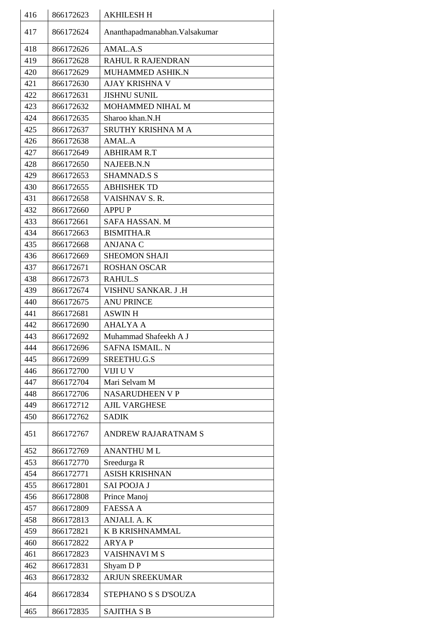| 416 | 866172623 | <b>AKHILESH H</b>              |
|-----|-----------|--------------------------------|
| 417 | 866172624 | Ananthapadmanabhan. Valsakumar |
| 418 | 866172626 | AMAL.A.S                       |
| 419 | 866172628 | <b>RAHUL R RAJENDRAN</b>       |
| 420 | 866172629 | MUHAMMED ASHIK.N               |
| 421 | 866172630 | AJAY KRISHNA V                 |
| 422 | 866172631 | <b>JISHNU SUNIL</b>            |
| 423 | 866172632 | MOHAMMED NIHAL M               |
| 424 | 866172635 | Sharoo khan.N.H                |
| 425 | 866172637 | SRUTHY KRISHNA M A             |
| 426 | 866172638 | AMAL.A                         |
| 427 | 866172649 | <b>ABHIRAM R.T</b>             |
| 428 | 866172650 | NAJEEB.N.N                     |
| 429 | 866172653 | <b>SHAMNAD.S S</b>             |
| 430 | 866172655 | <b>ABHISHEK TD</b>             |
| 431 | 866172658 | VAISHNAV S. R.                 |
| 432 | 866172660 | <b>APPUP</b>                   |
| 433 | 866172661 | <b>SAFA HASSAN. M</b>          |
| 434 | 866172663 | <b>BISMITHA.R</b>              |
| 435 | 866172668 | <b>ANJANA C</b>                |
| 436 | 866172669 | <b>SHEOMON SHAJI</b>           |
| 437 | 866172671 | <b>ROSHAN OSCAR</b>            |
| 438 |           | <b>RAHUL.S</b>                 |
|     | 866172673 |                                |
| 439 | 866172674 | VISHNU SANKAR. J.H             |
| 440 | 866172675 | <b>ANU PRINCE</b>              |
| 441 | 866172681 | <b>ASWIN H</b>                 |
| 442 | 866172690 | <b>AHALYA A</b>                |
| 443 | 866172692 | Muhammad Shafeekh A J          |
| 444 | 866172696 | <b>SAFNA ISMAIL. N</b>         |
| 445 | 866172699 | SREETHU.G.S                    |
| 446 | 866172700 | VIJI U V                       |
| 447 | 866172704 | Mari Selvam M                  |
| 448 | 866172706 | <b>NASARUDHEEN V P</b>         |
| 449 | 866172712 | <b>AJIL VARGHESE</b>           |
| 450 | 866172762 | <b>SADIK</b>                   |
| 451 | 866172767 | ANDREW RAJARATNAM S            |
| 452 | 866172769 | <b>ANANTHUML</b>               |
| 453 | 866172770 | Sreedurga R                    |
| 454 | 866172771 | <b>ASISH KRISHNAN</b>          |
| 455 | 866172801 | <b>SAI POOJA J</b>             |
| 456 | 866172808 | Prince Manoj                   |
| 457 | 866172809 | <b>FAESSA A</b>                |
| 458 | 866172813 | ANJALI. A. K                   |
| 459 | 866172821 | K B KRISHNAMMAL                |
| 460 | 866172822 | <b>ARYAP</b>                   |
| 461 | 866172823 | <b>VAISHNAVIMS</b>             |
| 462 | 866172831 | Shyam D P                      |
| 463 | 866172832 | <b>ARJUN SREEKUMAR</b>         |
| 464 | 866172834 | STEPHANO S S D'SOUZA           |
| 465 | 866172835 | <b>SAJITHA S B</b>             |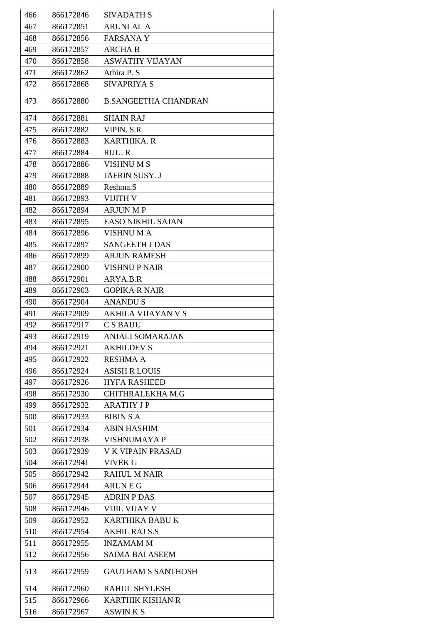| 466 | 866172846 | <b>SIVADATH S</b>           |
|-----|-----------|-----------------------------|
| 467 | 866172851 | <b>ARUNLAL A</b>            |
| 468 | 866172856 | <b>FARSANAY</b>             |
| 469 | 866172857 | <b>ARCHA B</b>              |
| 470 | 866172858 | ASWATHY VIJAYAN             |
| 471 | 866172862 | Athira P. S                 |
| 472 | 866172868 | <b>SIVAPRIYA S</b>          |
|     |           |                             |
| 473 | 866172880 | <b>B.SANGEETHA CHANDRAN</b> |
| 474 | 866172881 | <b>SHAIN RAJ</b>            |
| 475 | 866172882 | <b>VIPIN. S.R</b>           |
| 476 | 866172883 | <b>KARTHIKA. R</b>          |
| 477 | 866172884 | RIJU. R                     |
| 478 | 866172886 | <b>VISHNUMS</b>             |
| 479 | 866172888 | JAFRIN SUSY. J              |
| 480 | 866172889 | Reshma.S                    |
| 481 | 866172893 | <b>VIJITH V</b>             |
| 482 | 866172894 | <b>ARJUN MP</b>             |
| 483 | 866172895 | <b>EASO NIKHIL SAJAN</b>    |
| 484 | 866172896 | <b>VISHNUMA</b>             |
| 485 | 866172897 | <b>SANGEETH J DAS</b>       |
| 486 | 866172899 | <b>ARJUN RAMESH</b>         |
| 487 | 866172900 | <b>VISHNU P NAIR</b>        |
| 488 | 866172901 | ARYA.B.R                    |
| 489 | 866172903 | <b>GOPIKA R NAIR</b>        |
| 490 | 866172904 | <b>ANANDUS</b>              |
| 491 | 866172909 | <b>AKHILA VIJAYAN V S</b>   |
| 492 | 866172917 | C S BAIJU                   |
| 493 | 866172919 | ANJALI SOMARAJAN            |
| 494 | 866172921 | <b>AKHILDEV S</b>           |
| 495 | 866172922 | <b>RESHMA A</b>             |
| 496 | 866172924 | <b>ASISH R LOUIS</b>        |
| 497 | 866172926 | <b>HYFA RASHEED</b>         |
| 498 | 866172930 | CHITHRALEKHA M.G            |
| 499 | 866172932 | <b>ARATHY JP</b>            |
| 500 | 866172933 | <b>BIBIN S A</b>            |
| 501 | 866172934 | <b>ABIN HASHIM</b>          |
| 502 | 866172938 | <b>VISHNUMAYA P</b>         |
| 503 | 866172939 | <b>V K VIPAIN PRASAD</b>    |
| 504 | 866172941 | VIVEK G                     |
| 505 | 866172942 | <b>RAHUL M NAIR</b>         |
| 506 | 866172944 | <b>ARUNEG</b>               |
| 507 | 866172945 | <b>ADRIN P DAS</b>          |
| 508 | 866172946 | <b>VIJIL VIJAY V</b>        |
| 509 | 866172952 | KARTHIKA BABU K             |
| 510 | 866172954 | <b>AKHIL RAJ S.S</b>        |
| 511 | 866172955 | <b>INZAMAM M</b>            |
| 512 | 866172956 | <b>SAIMA BAI ASEEM</b>      |
|     |           |                             |
| 513 | 866172959 | <b>GAUTHAM S SANTHOSH</b>   |
| 514 | 866172960 | <b>RAHUL SHYLESH</b>        |
| 515 | 866172966 | <b>KARTHIK KISHAN R</b>     |
| 516 | 866172967 | <b>ASWIN K S</b>            |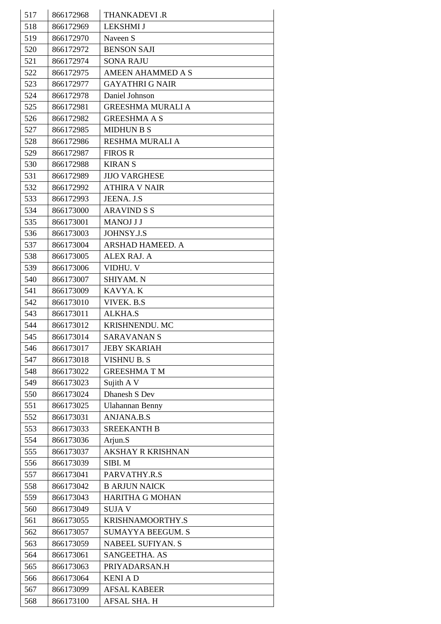| 517 | 866172968 | <b>THANKADEVI .R</b>     |
|-----|-----------|--------------------------|
| 518 | 866172969 | <b>LEKSHMI J</b>         |
| 519 | 866172970 | Naveen S                 |
| 520 | 866172972 | <b>BENSON SAJI</b>       |
| 521 | 866172974 | <b>SONA RAJU</b>         |
| 522 | 866172975 | <b>AMEEN AHAMMED A S</b> |
| 523 | 866172977 | <b>GAYATHRI G NAIR</b>   |
| 524 | 866172978 | Daniel Johnson           |
| 525 | 866172981 | <b>GREESHMA MURALI A</b> |
| 526 | 866172982 | <b>GREESHMA A S</b>      |
| 527 | 866172985 | <b>MIDHUN B S</b>        |
| 528 | 866172986 | <b>RESHMA MURALI A</b>   |
| 529 | 866172987 | <b>FIROS R</b>           |
| 530 | 866172988 | <b>KIRANS</b>            |
| 531 | 866172989 | <b>JIJO VARGHESE</b>     |
| 532 | 866172992 | <b>ATHIRA V NAIR</b>     |
| 533 | 866172993 | JEENA. J.S               |
| 534 | 866173000 | <b>ARAVIND S S</b>       |
| 535 | 866173001 | <b>MANOJ J J</b>         |
| 536 | 866173003 | JOHNSY.J.S               |
| 537 | 866173004 | ARSHAD HAMEED. A         |
| 538 | 866173005 | <b>ALEX RAJ. A</b>       |
| 539 | 866173006 | VIDHU. V                 |
| 540 | 866173007 | SHIYAM. N                |
| 541 | 866173009 | KAVYA. K                 |
| 542 | 866173010 | VIVEK. B.S               |
| 543 | 866173011 | <b>ALKHA.S</b>           |
| 544 | 866173012 | KRISHNENDU. MC           |
| 545 | 866173014 | <b>SARAVANAN S</b>       |
| 546 | 866173017 | <b>JEBY SKARIAH</b>      |
| 547 | 866173018 | <b>VISHNU B. S</b>       |
| 548 | 866173022 | <b>GREESHMATM</b>        |
| 549 | 866173023 | Sujith A V               |
| 550 | 866173024 | Dhanesh S Dev            |
| 551 | 866173025 | <b>Ulahannan Benny</b>   |
| 552 | 866173031 | <b>ANJANA.B.S</b>        |
| 553 | 866173033 | <b>SREEKANTH B</b>       |
| 554 | 866173036 | Arjun.S                  |
| 555 | 866173037 | <b>AKSHAY R KRISHNAN</b> |
| 556 | 866173039 | SIBI. M                  |
| 557 | 866173041 | PARVATHY.R.S             |
| 558 | 866173042 | <b>B ARJUN NAICK</b>     |
| 559 | 866173043 | <b>HARITHA G MOHAN</b>   |
| 560 | 866173049 | <b>SUJAV</b>             |
| 561 | 866173055 | KRISHNAMOORTHY.S         |
| 562 | 866173057 | <b>SUMAYYA BEEGUM. S</b> |
| 563 | 866173059 | <b>NABEEL SUFIYAN. S</b> |
| 564 | 866173061 | SANGEETHA. AS            |
| 565 | 866173063 | PRIYADARSAN.H            |
| 566 | 866173064 | <b>KENIAD</b>            |
| 567 | 866173099 | <b>AFSAL KABEER</b>      |
| 568 | 866173100 | AFSAL SHA. H             |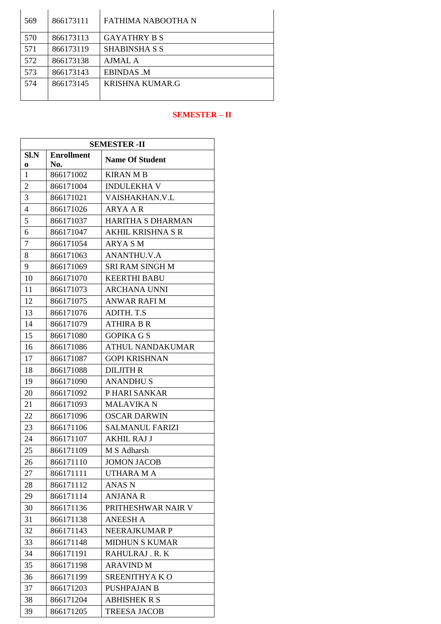| 569 | 866173111 | FATHIMA NABOOTHA N     |
|-----|-----------|------------------------|
| 570 | 866173113 | <b>GAYATHRY B S</b>    |
| 571 | 866173119 | SHABINSHA S S          |
| 572 | 866173138 | AJMAL A                |
| 573 | 866173143 | <b>EBINDAS M</b>       |
| 574 | 866173145 | <b>KRISHNA KUMAR.G</b> |
|     |           |                        |

## **SEMESTER – II**

| <b>SEMESTER - II</b> |                   |                          |
|----------------------|-------------------|--------------------------|
| Sl.N                 | <b>Enrollment</b> | <b>Name Of Student</b>   |
| 0                    | No.               |                          |
| 1                    | 866171002         | <b>KIRAN M B</b>         |
| $\overline{2}$       | 866171004         | <b>INDULEKHA V</b>       |
| 3                    | 866171021         | VAISHAKHAN.V.L           |
| 4                    | 866171026         | ARYA A R                 |
| 5                    | 866171037         | <b>HARITHA S DHARMAN</b> |
| 6                    | 866171047         | AKHIL KRISHNA S R        |
| 7                    | 866171054         | <b>ARYA SM</b>           |
| 8                    | 866171063         | <b>ANANTHU.V.A</b>       |
| 9                    | 866171069         | <b>SRI RAM SINGH M</b>   |
| 10                   | 866171070         | <b>KEERTHI BABU</b>      |
| 11                   | 866171073         | <b>ARCHANA UNNI</b>      |
| 12                   | 866171075         | <b>ANWAR RAFI M</b>      |
| 13                   | 866171076         | ADITH. T.S               |
| 14                   | 866171079         | <b>ATHIRA B R</b>        |
| 15                   | 866171080         | <b>GOPIKA G S</b>        |
| 16                   | 866171086         | <b>ATHUL NANDAKUMAR</b>  |
| 17                   | 866171087         | <b>GOPI KRISHNAN</b>     |
| 18                   | 866171088         | <b>DILJITH R</b>         |
| 19                   | 866171090         | <b>ANANDHUS</b>          |
| 20                   | 866171092         | P HARI SANKAR            |
| 21                   | 866171093         | <b>MALAVIKA N</b>        |
| 22                   | 866171096         | <b>OSCAR DARWIN</b>      |
| 23                   | 866171106         | <b>SALMANUL FARIZI</b>   |
| 24                   | 866171107         | <b>AKHIL RAJ J</b>       |
| 25                   | 866171109         | M S Adharsh              |
| 26                   | 866171110         | <b>JOMON JACOB</b>       |
| 27                   | 866171111         | UTHARA M A               |
| 28                   | 866171112         | <b>ANAS N</b>            |
| 29                   | 866171114         | <b>ANJANA R</b>          |
| 30                   | 866171136         | PRITHESHWAR NAIR V       |
| 31                   | 866171138         | <b>ANEESH A</b>          |
| 32                   | 866171143         | NEERAJKUMAR P            |
| 33                   | 866171148         | <b>MIDHUN S KUMAR</b>    |
| 34                   | 866171191         | RAHULRAJ.R.K             |
| 35                   | 866171198         | <b>ARAVIND M</b>         |
| 36                   | 866171199         | SREENITHYA KO            |
| 37                   | 866171203         | <b>PUSHPAJAN B</b>       |
| 38                   | 866171204         | <b>ABHISHEK R S</b>      |
| 39                   | 866171205         | <b>TREESA JACOB</b>      |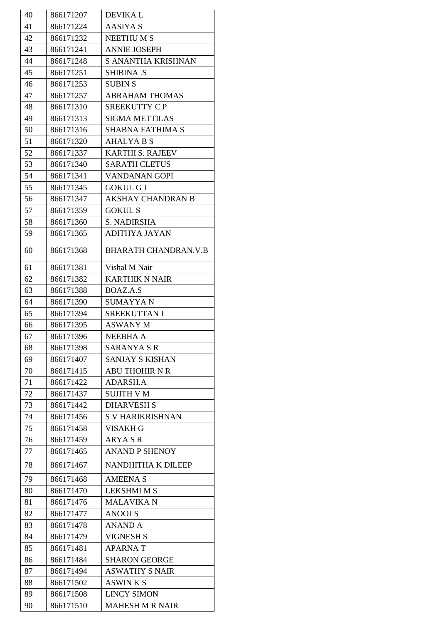| 40 | 866171207 | <b>DEVIKAL</b>              |
|----|-----------|-----------------------------|
| 41 | 866171224 | AASIYA S                    |
| 42 | 866171232 | <b>NEETHUMS</b>             |
| 43 | 866171241 | <b>ANNIE JOSEPH</b>         |
| 44 | 866171248 | S ANANTHA KRISHNAN          |
| 45 | 866171251 | <b>SHIBINA .S</b>           |
| 46 | 866171253 | <b>SUBIN S</b>              |
| 47 | 866171257 | <b>ABRAHAM THOMAS</b>       |
| 48 | 866171310 | <b>SREEKUTTY CP</b>         |
| 49 | 866171313 | <b>SIGMA METTILAS</b>       |
| 50 | 866171316 | <b>SHABNA FATHIMA S</b>     |
| 51 | 866171320 | <b>AHALYA B S</b>           |
| 52 | 866171337 | <b>KARTHI S. RAJEEV</b>     |
| 53 | 866171340 | <b>SARATH CLETUS</b>        |
| 54 | 866171341 | <b>VANDANAN GOPI</b>        |
| 55 | 866171345 | <b>GOKUL G J</b>            |
| 56 | 866171347 | <b>AKSHAY CHANDRAN B</b>    |
| 57 | 866171359 | <b>GOKUL S</b>              |
| 58 | 866171360 | <b>S. NADIRSHA</b>          |
| 59 | 866171365 | <b>ADITHYA JAYAN</b>        |
| 60 | 866171368 | <b>BHARATH CHANDRAN.V.B</b> |
| 61 | 866171381 | Vishal M Nair               |
| 62 | 866171382 | <b>KARTHIK N NAIR</b>       |
| 63 | 866171388 | BOAZ.A.S                    |
| 64 | 866171390 | <b>SUMAYYAN</b>             |
| 65 | 866171394 | SREEKUTTAN J                |
| 66 | 866171395 | <b>ASWANY M</b>             |
| 67 | 866171396 | <b>NEEBHA A</b>             |
| 68 | 866171398 | <b>SARANYA S R</b>          |
| 69 | 866171407 | <b>SANJAY S KISHAN</b>      |
| 70 | 866171415 | <b>ABU THOHIR N R</b>       |
| 71 | 866171422 | ADARSH.A                    |
| 72 | 866171437 | <b>SUJITH V M</b>           |
| 73 | 866171442 | <b>DHARVESH S</b>           |
| 74 | 866171456 | <b>S V HARIKRISHNAN</b>     |
| 75 | 866171458 | <b>VISAKH G</b>             |
| 76 | 866171459 | ARYA S R                    |
| 77 | 866171465 | <b>ANAND P SHENOY</b>       |
| 78 | 866171467 | NANDHITHA K DILEEP          |
| 79 | 866171468 | <b>AMEENA S</b>             |
| 80 | 866171470 | <b>LEKSHMI M S</b>          |
| 81 | 866171476 | <b>MALAVIKA N</b>           |
| 82 | 866171477 | <b>ANOOJ S</b>              |
| 83 | 866171478 | <b>ANAND A</b>              |
| 84 | 866171479 | <b>VIGNESH S</b>            |
| 85 | 866171481 | <b>APARNAT</b>              |
| 86 | 866171484 | <b>SHARON GEORGE</b>        |
| 87 | 866171494 | <b>ASWATHY S NAIR</b>       |
| 88 | 866171502 | ASWIN K S                   |
| 89 | 866171508 | <b>LINCY SIMON</b>          |
| 90 | 866171510 | <b>MAHESH M R NAIR</b>      |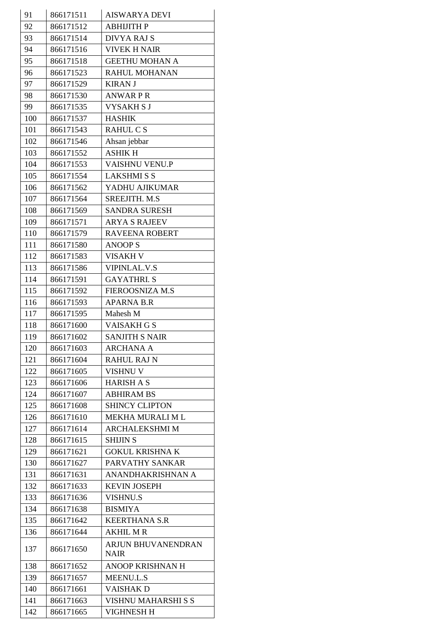| 91  | 866171511 | <b>AISWARYA DEVI</b>                     |
|-----|-----------|------------------------------------------|
| 92  | 866171512 | <b>ABHIJITH P</b>                        |
| 93  | 866171514 | <b>DIVYA RAJ S</b>                       |
| 94  | 866171516 | <b>VIVEK H NAIR</b>                      |
| 95  | 866171518 | <b>GEETHU MOHAN A</b>                    |
| 96  | 866171523 | RAHUL MOHANAN                            |
| 97  | 866171529 | <b>KIRAN J</b>                           |
| 98  | 866171530 | <b>ANWARPR</b>                           |
| 99  | 866171535 | <b>VYSAKHSJ</b>                          |
| 100 | 866171537 | <b>HASHIK</b>                            |
| 101 | 866171543 | RAHUL C S                                |
| 102 | 866171546 | Ahsan jebbar                             |
| 103 | 866171552 | <b>ASHIK H</b>                           |
| 104 | 866171553 | VAISHNU VENU.P                           |
| 105 | 866171554 | <b>LAKSHMISS</b>                         |
| 106 | 866171562 | YADHU AJIKUMAR                           |
| 107 | 866171564 | SREEJITH. M.S                            |
| 108 | 866171569 | <b>SANDRA SURESH</b>                     |
| 109 | 866171571 | <b>ARYA S RAJEEV</b>                     |
| 110 | 866171579 | <b>RAVEENA ROBERT</b>                    |
| 111 | 866171580 | <b>ANOOP S</b>                           |
| 112 | 866171583 | <b>VISAKH V</b>                          |
| 113 | 866171586 | <b>VIPINLAL.V.S</b>                      |
| 114 | 866171591 | <b>GAYATHRI. S</b>                       |
| 115 | 866171592 | FIEROOSNIZA M.S                          |
| 116 | 866171593 | <b>APARNA B.R</b>                        |
| 117 | 866171595 | Mahesh M                                 |
| 118 | 866171600 | <b>VAISAKH G S</b>                       |
| 119 | 866171602 | <b>SANJITH S NAIR</b>                    |
| 120 | 866171603 | <b>ARCHANA A</b>                         |
| 121 | 866171604 | <b>RAHUL RAJ N</b>                       |
| 122 | 866171605 | <b>VISHNU V</b>                          |
| 123 | 866171606 | <b>HARISH A S</b>                        |
| 124 | 866171607 | <b>ABHIRAM BS</b>                        |
| 125 | 866171608 | <b>SHINCY CLIPTON</b>                    |
| 126 | 866171610 | <b>MEKHA MURALI M L</b>                  |
| 127 | 866171614 | <b>ARCHALEKSHMI M</b>                    |
| 128 | 866171615 | <b>SHIJIN S</b>                          |
| 129 | 866171621 | <b>GOKUL KRISHNA K</b>                   |
| 130 | 866171627 | PARVATHY SANKAR                          |
| 131 | 866171631 | ANANDHAKRISHNAN A                        |
| 132 | 866171633 | <b>KEVIN JOSEPH</b>                      |
| 133 | 866171636 | <b>VISHNU.S</b>                          |
| 134 | 866171638 | <b>BISMIYA</b>                           |
| 135 | 866171642 | <b>KEERTHANA S.R</b>                     |
| 136 | 866171644 | <b>AKHIL MR</b>                          |
| 137 | 866171650 | <b>ARJUN BHUVANENDRAN</b><br><b>NAIR</b> |
| 138 | 866171652 | <b>ANOOP KRISHNAN H</b>                  |
| 139 | 866171657 | <b>MEENU.L.S</b>                         |
| 140 | 866171661 | <b>VAISHAK D</b>                         |
| 141 | 866171663 | VISHNU MAHARSHI S S                      |
| 142 | 866171665 | <b>VIGHNESH H</b>                        |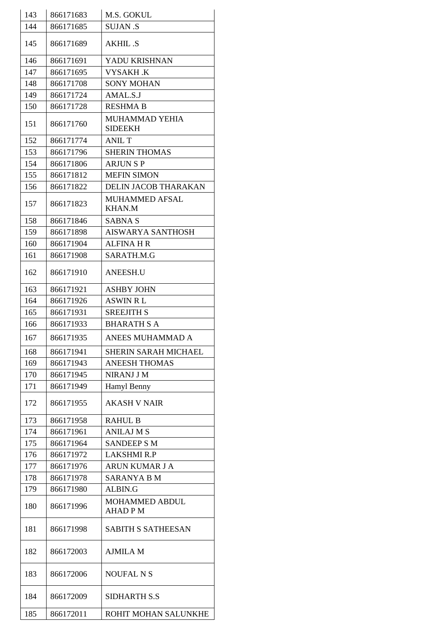| 143 | 866171683 | M.S. GOKUL                              |
|-----|-----------|-----------------------------------------|
| 144 | 866171685 | <b>SUJAN .S</b>                         |
| 145 | 866171689 | <b>AKHIL .S</b>                         |
| 146 | 866171691 | YADU KRISHNAN                           |
| 147 | 866171695 | <b>VYSAKH.K</b>                         |
| 148 | 866171708 | <b>SONY MOHAN</b>                       |
| 149 | 866171724 | AMAL.S.J                                |
| 150 | 866171728 | <b>RESHMA B</b>                         |
| 151 | 866171760 | <b>MUHAMMAD YEHIA</b><br><b>SIDEEKH</b> |
| 152 | 866171774 | <b>ANIL T</b>                           |
| 153 | 866171796 | <b>SHERIN THOMAS</b>                    |
| 154 | 866171806 | <b>ARJUNSP</b>                          |
| 155 | 866171812 | <b>MEFIN SIMON</b>                      |
| 156 | 866171822 | <b>DELIN JACOB THARAKAN</b>             |
| 157 | 866171823 | <b>MUHAMMED AFSAL</b><br><b>KHAN.M</b>  |
| 158 | 866171846 | <b>SABNA S</b>                          |
| 159 | 866171898 | <b>AISWARYA SANTHOSH</b>                |
| 160 | 866171904 | <b>ALFINA H R</b>                       |
| 161 | 866171908 | SARATH.M.G                              |
| 162 | 866171910 | <b>ANEESH.U</b>                         |
| 163 | 866171921 | <b>ASHBY JOHN</b>                       |
| 164 | 866171926 | <b>ASWIN RL</b>                         |
| 165 | 866171931 | <b>SREEJITH S</b>                       |
| 166 | 866171933 | <b>BHARATH S A</b>                      |
| 167 | 866171935 | ANEES MUHAMMAD A                        |
| 168 | 866171941 | <b>SHERIN SARAH MICHAEL</b>             |
| 169 | 866171943 | <b>ANEESH THOMAS</b>                    |
| 170 | 866171945 | <b>NIRANJ J M</b>                       |
| 171 | 866171949 | Hamyl Benny                             |
| 172 | 866171955 | <b>AKASH V NAIR</b>                     |
| 173 | 866171958 | <b>RAHUL B</b>                          |
| 174 | 866171961 | <b>ANILAJ M S</b>                       |
| 175 | 866171964 | <b>SANDEEP S M</b>                      |
| 176 | 866171972 | <b>LAKSHMI R.P</b>                      |
| 177 | 866171976 | ARUN KUMAR J A                          |
| 178 | 866171978 | <b>SARANYA B M</b>                      |
| 179 | 866171980 | ALBIN.G                                 |
| 180 | 866171996 | <b>MOHAMMED ABDUL</b><br><b>AHADPM</b>  |
| 181 | 866171998 | <b>SABITH S SATHEESAN</b>               |
| 182 | 866172003 | <b>AJMILA M</b>                         |
| 183 | 866172006 | <b>NOUFAL N S</b>                       |
| 184 | 866172009 | SIDHARTH S.S                            |
| 185 | 866172011 | ROHIT MOHAN SALUNKHE                    |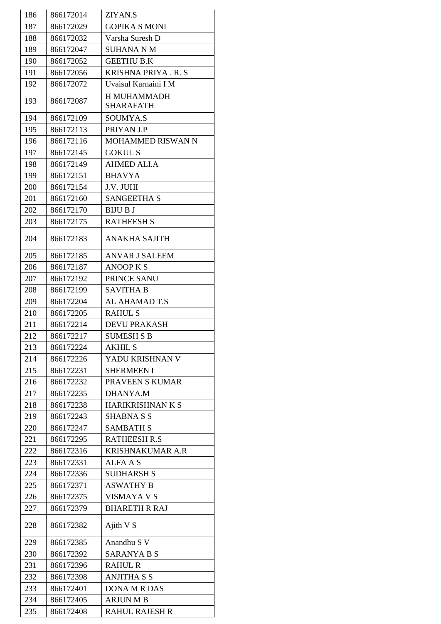| 186 | 866172014 | ZIYAN.S                  |
|-----|-----------|--------------------------|
| 187 | 866172029 | <b>GOPIKA S MONI</b>     |
| 188 | 866172032 | Varsha Suresh D          |
| 189 | 866172047 | <b>SUHANA N M</b>        |
| 190 | 866172052 | <b>GEETHU B.K</b>        |
| 191 | 866172056 | KRISHNA PRIYA.R.S        |
| 192 | 866172072 | Uvaisul Karnaini I M     |
|     |           | <b>H MUHAMMADH</b>       |
| 193 | 866172087 | <b>SHARAFATH</b>         |
| 194 | 866172109 | <b>SOUMYA.S</b>          |
| 195 | 866172113 | PRIYAN J.P               |
| 196 | 866172116 | <b>MOHAMMED RISWAN N</b> |
| 197 | 866172145 | <b>GOKUL S</b>           |
| 198 | 866172149 | AHMED ALI.A              |
| 199 | 866172151 | <b>BHAVYA</b>            |
| 200 | 866172154 | J.V. JUHI                |
| 201 | 866172160 | <b>SANGEETHA S</b>       |
| 202 | 866172170 | <b>BIJU B J</b>          |
| 203 | 866172175 | <b>RATHEESH S</b>        |
| 204 | 866172183 | ANAKHA SAJITH            |
| 205 | 866172185 | <b>ANVAR J SALEEM</b>    |
| 206 | 866172187 | <b>ANOOP K S</b>         |
| 207 | 866172192 | PRINCE SANU              |
| 208 | 866172199 | <b>SAVITHA B</b>         |
| 209 | 866172204 | AL AHAMAD T.S            |
| 210 | 866172205 | <b>RAHUL S</b>           |
| 211 | 866172214 | <b>DEVU PRAKASH</b>      |
| 212 | 866172217 | <b>SUMESH S B</b>        |
| 213 | 866172224 | <b>AKHIL S</b>           |
| 214 | 866172226 | YADU KRISHNAN V          |
| 215 | 866172231 | <b>SHERMEEN I</b>        |
| 216 | 866172232 | PRAVEEN S KUMAR          |
| 217 | 866172235 | DHANYA.M                 |
| 218 | 866172238 | HARIKRISHNAN K S         |
| 219 | 866172243 | <b>SHABNA S S</b>        |
| 220 | 866172247 | <b>SAMBATH S</b>         |
| 221 | 866172295 | <b>RATHEESH R.S</b>      |
| 222 | 866172316 | <b>KRISHNAKUMAR A.R</b>  |
| 223 | 866172331 | ALFA A S                 |
| 224 | 866172336 | <b>SUDHARSH S</b>        |
| 225 | 866172371 | <b>ASWATHY B</b>         |
| 226 | 866172375 | VISMAYA V S              |
| 227 | 866172379 | <b>BHARETH R RAJ</b>     |
| 228 | 866172382 | Ajith V S                |
| 229 | 866172385 | Anandhu S V              |
| 230 | 866172392 | <b>SARANYA B S</b>       |
| 231 | 866172396 | <b>RAHUL R</b>           |
| 232 | 866172398 | <b>ANJITHA S S</b>       |
| 233 | 866172401 | <b>DONA M R DAS</b>      |
| 234 | 866172405 | <b>ARJUN M B</b>         |
| 235 | 866172408 | <b>RAHUL RAJESH R</b>    |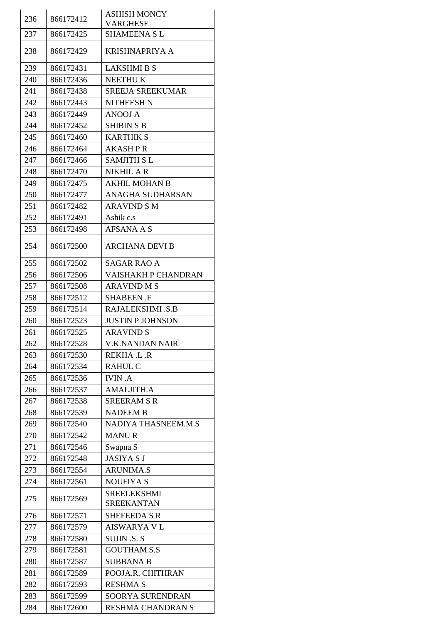| 236 | 866172412 | <b>ASHISH MONCY</b>                     |
|-----|-----------|-----------------------------------------|
|     |           | <b>VARGHESE</b>                         |
| 237 | 866172425 | SHAMEENA S L                            |
| 238 | 866172429 | KRISHNAPRIYA A                          |
| 239 | 866172431 | <b>LAKSHMI B S</b>                      |
| 240 | 866172436 | <b>NEETHUK</b>                          |
| 241 | 866172438 | <b>SREEJA SREEKUMAR</b>                 |
| 242 | 866172443 | <b>NITHEESH N</b>                       |
| 243 | 866172449 | <b>ANOOJ A</b>                          |
| 244 | 866172452 | <b>SHIBIN S B</b>                       |
| 245 | 866172460 | <b>KARTHIK S</b>                        |
| 246 | 866172464 | <b>AKASHPR</b>                          |
| 247 | 866172466 | <b>SAMJITH SL</b>                       |
| 248 | 866172470 | <b>NIKHIL A R</b>                       |
| 249 | 866172475 | <b>AKHIL MOHAN B</b>                    |
| 250 | 866172477 | ANAGHA SUDHARSAN                        |
| 251 | 866172482 | <b>ARAVIND S M</b>                      |
| 252 | 866172491 | Ashik c.s                               |
| 253 | 866172498 | AFSANA A S                              |
| 254 | 866172500 | <b>ARCHANA DEVI B</b>                   |
| 255 | 866172502 | <b>SAGAR RAO A</b>                      |
| 256 | 866172506 | VAISHAKH P CHANDRAN                     |
| 257 | 866172508 | <b>ARAVIND M S</b>                      |
| 258 | 866172512 | <b>SHABEEN .F</b>                       |
| 259 | 866172514 | RAJALEKSHMI .S.B                        |
| 260 | 866172523 | <b>JUSTIN P JOHNSON</b>                 |
| 261 | 866172525 | <b>ARAVIND S</b>                        |
| 262 | 866172528 | <b>V.K.NANDAN NAIR</b>                  |
| 263 | 866172530 | REKHA .L .R                             |
| 264 | 866172534 | <b>RAHUL C</b>                          |
| 265 | 866172536 | <b>IVIN.A</b>                           |
| 266 | 866172537 | <b>AMALJITH.A</b>                       |
| 267 | 866172538 | <b>SREERAM S R</b>                      |
| 268 | 866172539 | <b>NADEEM B</b>                         |
| 269 | 866172540 | NADIYA THASNEEM.M.S                     |
| 270 | 866172542 | <b>MANUR</b>                            |
| 271 | 866172546 | Swapna S                                |
| 272 | 866172548 | <b>JASIYA S J</b>                       |
| 273 | 866172554 | <b>ARUNIMA.S</b>                        |
| 274 | 866172561 | <b>NOUFIYA S</b>                        |
| 275 | 866172569 | <b>SREELEKSHMI</b><br><b>SREEKANTAN</b> |
| 276 | 866172571 | <b>SHEFEEDA S R</b>                     |
| 277 | 866172579 | <b>AISWARYA V L</b>                     |
| 278 | 866172580 | <b>SUJIN .S. S</b>                      |
| 279 | 866172581 | <b>GOUTHAM.S.S</b>                      |
| 280 | 866172587 | <b>SUBBANA B</b>                        |
| 281 | 866172589 | POOJA.R. CHITHRAN                       |
| 282 | 866172593 | <b>RESHMA S</b>                         |
| 283 | 866172599 | SOORYA SURENDRAN                        |
| 284 | 866172600 | RESHMA CHANDRAN S                       |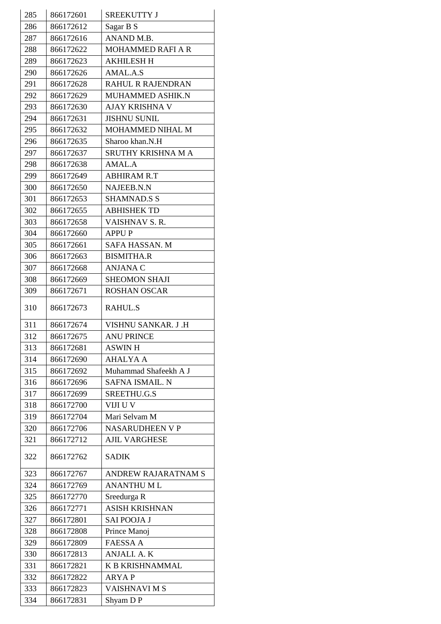| 285 | 866172601 | <b>SREEKUTTY J</b>       |
|-----|-----------|--------------------------|
| 286 | 866172612 | Sagar B S                |
| 287 | 866172616 | ANAND M.B.               |
| 288 | 866172622 | <b>MOHAMMED RAFI A R</b> |
| 289 | 866172623 | <b>AKHILESH H</b>        |
| 290 | 866172626 | AMAL.A.S                 |
| 291 | 866172628 | <b>RAHUL R RAJENDRAN</b> |
| 292 | 866172629 | MUHAMMED ASHIK.N         |
| 293 | 866172630 | AJAY KRISHNA V           |
| 294 | 866172631 | <b>JISHNU SUNIL</b>      |
| 295 | 866172632 | MOHAMMED NIHAL M         |
| 296 | 866172635 | Sharoo khan.N.H          |
| 297 | 866172637 | SRUTHY KRISHNA M A       |
| 298 | 866172638 | AMAL.A                   |
| 299 | 866172649 | <b>ABHIRAM R.T</b>       |
| 300 | 866172650 | NAJEEB.N.N               |
| 301 | 866172653 | <b>SHAMNAD.S S</b>       |
| 302 | 866172655 | <b>ABHISHEK TD</b>       |
| 303 | 866172658 | VAISHNAV S.R.            |
| 304 | 866172660 | <b>APPUP</b>             |
| 305 | 866172661 | SAFA HASSAN. M           |
| 306 | 866172663 | <b>BISMITHA.R</b>        |
| 307 | 866172668 | <b>ANJANA C</b>          |
| 308 | 866172669 | <b>SHEOMON SHAJI</b>     |
| 309 | 866172671 | <b>ROSHAN OSCAR</b>      |
| 310 | 866172673 | <b>RAHUL.S</b>           |
| 311 | 866172674 | VISHNU SANKAR. J.H       |
| 312 | 866172675 | <b>ANU PRINCE</b>        |
| 313 | 866172681 | <b>ASWIN H</b>           |
| 314 | 866172690 | <b>AHALYA A</b>          |
| 315 | 866172692 | Muhammad Shafeekh A J    |
| 316 | 866172696 | SAFNA ISMAIL. N          |
| 317 | 866172699 | SREETHU.G.S              |
| 318 | 866172700 | VIJI U V                 |
| 319 | 866172704 | Mari Selvam M            |
| 320 | 866172706 | <b>NASARUDHEEN V P</b>   |
| 321 | 866172712 | <b>AJIL VARGHESE</b>     |
| 322 | 866172762 | <b>SADIK</b>             |
| 323 | 866172767 | ANDREW RAJARATNAM S      |
| 324 | 866172769 | <b>ANANTHUML</b>         |
| 325 | 866172770 | Sreedurga R              |
| 326 | 866172771 | <b>ASISH KRISHNAN</b>    |
| 327 | 866172801 | <b>SAI POOJA J</b>       |
| 328 | 866172808 | Prince Manoj             |
| 329 | 866172809 | <b>FAESSA A</b>          |
| 330 | 866172813 | ANJALI. A. K             |
| 331 | 866172821 | <b>K B KRISHNAMMAL</b>   |
| 332 | 866172822 | <b>ARYAP</b>             |
| 333 | 866172823 | <b>VAISHNAVIMS</b>       |
| 334 | 866172831 | Shyam D P                |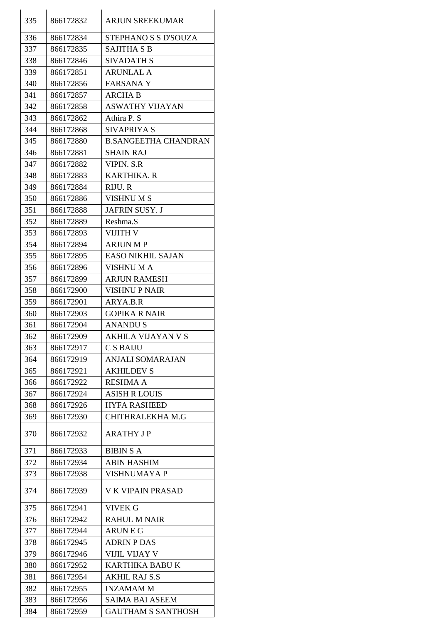| 335 | 866172832 | ARJUN SREEKUMAR             |
|-----|-----------|-----------------------------|
| 336 | 866172834 | STEPHANO S S D'SOUZA        |
| 337 | 866172835 | <b>SAJITHA S B</b>          |
| 338 | 866172846 | <b>SIVADATH S</b>           |
| 339 | 866172851 | <b>ARUNLAL A</b>            |
| 340 | 866172856 | <b>FARSANAY</b>             |
| 341 | 866172857 | <b>ARCHA B</b>              |
| 342 | 866172858 | <b>ASWATHY VIJAYAN</b>      |
| 343 | 866172862 | Athira P. S                 |
| 344 | 866172868 | SIVAPRIYA S                 |
| 345 | 866172880 | <b>B.SANGEETHA CHANDRAN</b> |
| 346 | 866172881 | <b>SHAIN RAJ</b>            |
| 347 | 866172882 | <b>VIPIN. S.R</b>           |
| 348 | 866172883 | <b>KARTHIKA. R</b>          |
| 349 | 866172884 | RIJU. R                     |
| 350 | 866172886 | <b>VISHNUMS</b>             |
| 351 | 866172888 | <b>JAFRIN SUSY. J</b>       |
|     |           | Reshma.S                    |
| 352 | 866172889 |                             |
| 353 | 866172893 | VIJITH V                    |
| 354 | 866172894 | <b>ARJUN MP</b>             |
| 355 | 866172895 | <b>EASO NIKHIL SAJAN</b>    |
| 356 | 866172896 | VISHNU M A                  |
| 357 | 866172899 | <b>ARJUN RAMESH</b>         |
| 358 | 866172900 | <b>VISHNU P NAIR</b>        |
| 359 | 866172901 | ARYA.B.R                    |
| 360 | 866172903 | <b>GOPIKA R NAIR</b>        |
| 361 | 866172904 | <b>ANANDUS</b>              |
| 362 | 866172909 | AKHILA VIJAYAN V S          |
| 363 | 866172917 | <b>CSBAIJU</b>              |
| 364 | 866172919 | <b>ANJALI SOMARAJAN</b>     |
| 365 | 866172921 | <b>AKHILDEV S</b>           |
| 366 | 866172922 | <b>RESHMA A</b>             |
| 367 | 866172924 | <b>ASISH R LOUIS</b>        |
| 368 | 866172926 | <b>HYFA RASHEED</b>         |
| 369 | 866172930 | <b>CHITHRALEKHA M.G</b>     |
| 370 | 866172932 | <b>ARATHY JP</b>            |
| 371 | 866172933 | <b>BIBIN S A</b>            |
| 372 | 866172934 | <b>ABIN HASHIM</b>          |
| 373 | 866172938 | <b>VISHNUMAYA P</b>         |
| 374 | 866172939 | <b>V K VIPAIN PRASAD</b>    |
| 375 | 866172941 | <b>VIVEK G</b>              |
| 376 | 866172942 | <b>RAHUL M NAIR</b>         |
| 377 | 866172944 | <b>ARUNEG</b>               |
| 378 | 866172945 | <b>ADRIN P DAS</b>          |
| 379 | 866172946 | VIJIL VIJAY V               |
| 380 | 866172952 | <b>KARTHIKA BABU K</b>      |
| 381 | 866172954 | <b>AKHIL RAJ S.S</b>        |
| 382 | 866172955 | <b>INZAMAMM</b>             |
| 383 | 866172956 | <b>SAIMA BAI ASEEM</b>      |
| 384 | 866172959 | <b>GAUTHAM S SANTHOSH</b>   |
|     |           |                             |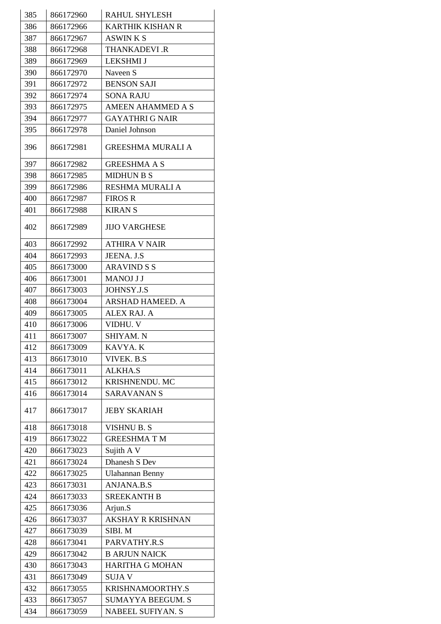| 385 | 866172960 | <b>RAHUL SHYLESH</b>     |
|-----|-----------|--------------------------|
| 386 | 866172966 | <b>KARTHIK KISHAN R</b>  |
| 387 | 866172967 | <b>ASWINKS</b>           |
| 388 | 866172968 | <b>THANKADEVI .R</b>     |
| 389 | 866172969 | <b>LEKSHMI J</b>         |
| 390 | 866172970 | Naveen S                 |
| 391 | 866172972 | <b>BENSON SAJI</b>       |
| 392 | 866172974 | <b>SONA RAJU</b>         |
| 393 | 866172975 | <b>AMEEN AHAMMED A S</b> |
| 394 | 866172977 | <b>GAYATHRI G NAIR</b>   |
| 395 | 866172978 | Daniel Johnson           |
| 396 | 866172981 | <b>GREESHMA MURALI A</b> |
| 397 | 866172982 | <b>GREESHMA A S</b>      |
| 398 | 866172985 | <b>MIDHUN B S</b>        |
| 399 | 866172986 | <b>RESHMA MURALI A</b>   |
| 400 | 866172987 | <b>FIROS R</b>           |
| 401 | 866172988 | <b>KIRANS</b>            |
| 402 | 866172989 | JIJO VARGHESE            |
| 403 | 866172992 | <b>ATHIRA V NAIR</b>     |
| 404 | 866172993 | JEENA. J.S               |
| 405 | 866173000 | <b>ARAVIND S S</b>       |
| 406 | 866173001 | <b>MANOJ J J</b>         |
| 407 | 866173003 | JOHNSY.J.S               |
| 408 | 866173004 | ARSHAD HAMEED. A         |
| 409 | 866173005 | <b>ALEX RAJ. A</b>       |
| 410 | 866173006 | VIDHU. V                 |
| 411 | 866173007 | SHIYAM. N                |
| 412 | 866173009 | KAVYA. K                 |
| 413 | 866173010 | VIVEK. B.S               |
| 414 | 866173011 | <b>ALKHA.S</b>           |
| 415 | 866173012 | KRISHNENDU. MC           |
| 416 | 866173014 | <b>SARAVANAN S</b>       |
| 417 | 866173017 | <b>JEBY SKARIAH</b>      |
| 418 | 866173018 | <b>VISHNU B. S</b>       |
| 419 | 866173022 | <b>GREESHMATM</b>        |
| 420 | 866173023 | Sujith A V               |
| 421 | 866173024 | Dhanesh S Dev            |
| 422 | 866173025 | <b>Ulahannan Benny</b>   |
| 423 | 866173031 | <b>ANJANA.B.S</b>        |
| 424 | 866173033 | <b>SREEKANTH B</b>       |
| 425 | 866173036 | Arjun.S                  |
| 426 | 866173037 | <b>AKSHAY R KRISHNAN</b> |
| 427 | 866173039 | SIBI.M                   |
| 428 | 866173041 | PARVATHY.R.S             |
| 429 | 866173042 | <b>B ARJUN NAICK</b>     |
| 430 | 866173043 | <b>HARITHA G MOHAN</b>   |
| 431 | 866173049 | <b>SUJA V</b>            |
| 432 | 866173055 | KRISHNAMOORTHY.S         |
| 433 | 866173057 | <b>SUMAYYA BEEGUM. S</b> |
| 434 | 866173059 | NABEEL SUFIYAN. S        |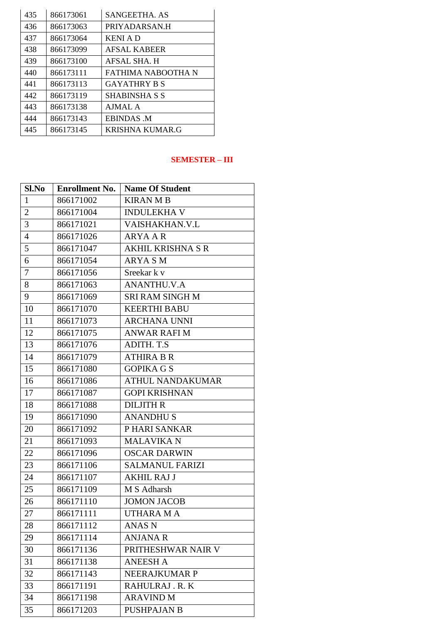| 435 | 866173061 | <b>SANGEETHA, AS</b> |
|-----|-----------|----------------------|
| 436 | 866173063 | PRIYADARSAN.H        |
| 437 | 866173064 | <b>KENI A D</b>      |
| 438 | 866173099 | <b>AFSAL KABEER</b>  |
| 439 | 866173100 | AFSAL SHA. H         |
| 440 | 866173111 | FATHIMA NABOOTHA N   |
| 441 | 866173113 | <b>GAYATHRY B S</b>  |
| 442 | 866173119 | <b>SHABINSHA S S</b> |
| 443 | 866173138 | AJMAL A              |
| 444 | 866173143 | <b>EBINDAS M</b>     |
| 445 | 866173145 | KRISHNA KUMAR.G      |

#### **SEMESTER – III**

| Sl.No          | <b>Enrollment No.</b> | <b>Name Of Student</b>  |
|----------------|-----------------------|-------------------------|
| $\mathbf{1}$   | 866171002             | <b>KIRAN M B</b>        |
| $\overline{2}$ | 866171004             | <b>INDULEKHA V</b>      |
| 3              | 866171021             | VAISHAKHAN.V.L          |
| $\overline{4}$ | 866171026             | <b>ARYA A R</b>         |
| 5              | 866171047             | AKHIL KRISHNA S R       |
| 6              | 866171054             | <b>ARYASM</b>           |
| $\tau$         | 866171056             | Sreekar k v             |
| 8              | 866171063             | <b>ANANTHU.V.A</b>      |
| 9              | 866171069             | SRI RAM SINGH M         |
| 10             | 866171070             | <b>KEERTHI BABU</b>     |
| 11             | 866171073             | <b>ARCHANA UNNI</b>     |
| 12             | 866171075             | <b>ANWAR RAFI M</b>     |
| 13             | 866171076             | ADITH. T.S.             |
| 14             | 866171079             | <b>ATHIRA B R</b>       |
| 15             | 866171080             | <b>GOPIKA G S</b>       |
| 16             | 866171086             | <b>ATHUL NANDAKUMAR</b> |
| 17             | 866171087             | <b>GOPI KRISHNAN</b>    |
| 18             | 866171088             | <b>DILJITH R</b>        |
| 19             | 866171090             | <b>ANANDHUS</b>         |
| 20             | 866171092             | P HARI SANKAR           |
| 21             | 866171093             | <b>MALAVIKAN</b>        |
| 22             | 866171096             | <b>OSCAR DARWIN</b>     |
| 23             | 866171106             | <b>SALMANUL FARIZI</b>  |
| 24             | 866171107             | <b>AKHIL RAJ J</b>      |
| 25             | 866171109             | M S Adharsh             |
| 26             | 866171110             | <b>JOMON JACOB</b>      |
| $27\,$         | 866171111             | <b>UTHARA MA</b>        |
| 28             | 866171112             | <b>ANAS N</b>           |
| 29             | 866171114             | <b>ANJANA R</b>         |
| 30             | 866171136             | PRITHESHWAR NAIR V      |
| 31             | 866171138             | <b>ANEESH A</b>         |
| 32             | 866171143             | NEERAJKUMAR P           |
| 33             | 866171191             | RAHULRAJ. R. K          |
| 34             | 866171198             | <b>ARAVIND M</b>        |
| 35             | 866171203             | <b>PUSHPAJAN B</b>      |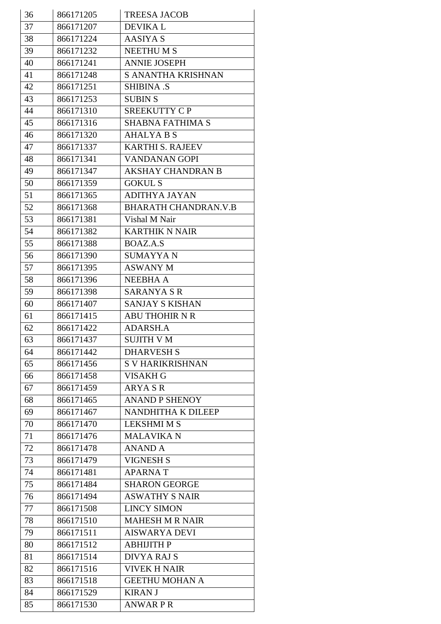| 36 | 866171205 | <b>TREESA JACOB</b>         |
|----|-----------|-----------------------------|
| 37 | 866171207 | <b>DEVIKAL</b>              |
| 38 | 866171224 | AASIYA S                    |
| 39 | 866171232 | <b>NEETHUMS</b>             |
| 40 | 866171241 | <b>ANNIE JOSEPH</b>         |
| 41 | 866171248 | S ANANTHA KRISHNAN          |
| 42 | 866171251 | <b>SHIBINA .S</b>           |
| 43 | 866171253 | <b>SUBIN S</b>              |
| 44 | 866171310 | SREEKUTTY CP                |
| 45 | 866171316 | <b>SHABNA FATHIMA S</b>     |
| 46 | 866171320 | <b>AHALYA B S</b>           |
| 47 | 866171337 | <b>KARTHI S. RAJEEV</b>     |
| 48 | 866171341 | <b>VANDANAN GOPI</b>        |
| 49 | 866171347 | <b>AKSHAY CHANDRAN B</b>    |
| 50 | 866171359 | <b>GOKUL S</b>              |
| 51 | 866171365 | <b>ADITHYA JAYAN</b>        |
| 52 | 866171368 | <b>BHARATH CHANDRAN.V.B</b> |
| 53 | 866171381 | Vishal M Nair               |
| 54 | 866171382 | <b>KARTHIK N NAIR</b>       |
| 55 | 866171388 | BOAZ.A.S                    |
| 56 | 866171390 | <b>SUMAYYAN</b>             |
| 57 | 866171395 | <b>ASWANY M</b>             |
| 58 | 866171396 | <b>NEEBHA A</b>             |
| 59 | 866171398 | <b>SARANYA S R</b>          |
| 60 | 866171407 | <b>SANJAY S KISHAN</b>      |
| 61 | 866171415 | <b>ABU THOHIR N R</b>       |
| 62 | 866171422 | <b>ADARSH.A</b>             |
| 63 | 866171437 | <b>SUJITH V M</b>           |
| 64 | 866171442 | <b>DHARVESH S</b>           |
| 65 | 866171456 | <b>S V HARIKRISHNAN</b>     |
| 66 | 866171458 | <b>VISAKH G</b>             |
| 67 | 866171459 | <b>ARYASR</b>               |
| 68 | 866171465 | <b>ANAND P SHENOY</b>       |
| 69 | 866171467 | NANDHITHA K DILEEP          |
| 70 | 866171470 | <b>LEKSHMI M S</b>          |
| 71 | 866171476 | <b>MALAVIKAN</b>            |
| 72 | 866171478 | <b>ANAND A</b>              |
| 73 | 866171479 | <b>VIGNESH S</b>            |
| 74 | 866171481 | <b>APARNAT</b>              |
| 75 | 866171484 | <b>SHARON GEORGE</b>        |
| 76 | 866171494 | <b>ASWATHY S NAIR</b>       |
| 77 | 866171508 | <b>LINCY SIMON</b>          |
| 78 | 866171510 | <b>MAHESH M R NAIR</b>      |
| 79 | 866171511 | <b>AISWARYA DEVI</b>        |
| 80 | 866171512 | АВНІЈІТН Р                  |
| 81 | 866171514 | <b>DIVYA RAJ S</b>          |
| 82 | 866171516 | <b>VIVEK H NAIR</b>         |
| 83 | 866171518 | <b>GEETHU MOHAN A</b>       |
| 84 | 866171529 | <b>KIRAN J</b>              |
| 85 | 866171530 | <b>ANWARPR</b>              |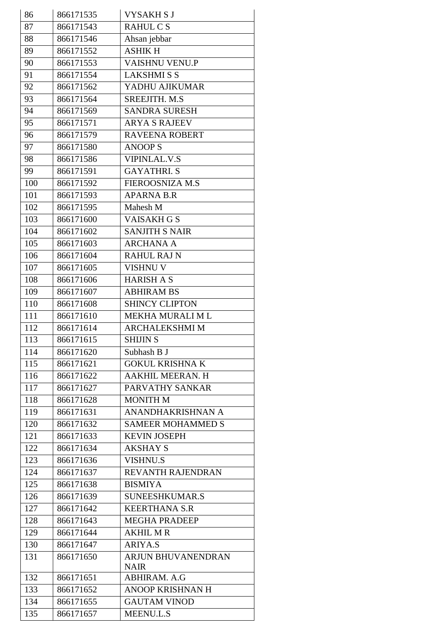| 86  | 866171535 | <b>VYSAKHSJ</b>          |
|-----|-----------|--------------------------|
| 87  | 866171543 | <b>RAHULCS</b>           |
| 88  | 866171546 | Ahsan jebbar             |
| 89  | 866171552 | <b>ASHIKH</b>            |
| 90  | 866171553 | VAISHNU VENU.P           |
| 91  | 866171554 | <b>LAKSHMISS</b>         |
| 92  | 866171562 | YADHU AJIKUMAR           |
| 93  | 866171564 | SREEJITH. M.S.           |
| 94  | 866171569 | <b>SANDRA SURESH</b>     |
| 95  | 866171571 | <b>ARYA S RAJEEV</b>     |
| 96  | 866171579 | <b>RAVEENA ROBERT</b>    |
| 97  | 866171580 | <b>ANOOPS</b>            |
| 98  | 866171586 | <b>VIPINLAL.V.S</b>      |
| 99  | 866171591 | <b>GAYATHRI.S</b>        |
| 100 | 866171592 | <b>FIEROOSNIZA M.S</b>   |
| 101 | 866171593 | <b>APARNA B.R</b>        |
| 102 | 866171595 | Mahesh M                 |
| 103 | 866171600 | VAISAKH G S              |
| 104 | 866171602 | <b>SANJITH S NAIR</b>    |
| 105 | 866171603 | <b>ARCHANA A</b>         |
| 106 | 866171604 | <b>RAHUL RAJ N</b>       |
| 107 | 866171605 | <b>VISHNU V</b>          |
| 108 | 866171606 | <b>HARISH A S</b>        |
| 109 | 866171607 | <b>ABHIRAM BS</b>        |
| 110 | 866171608 | <b>SHINCY CLIPTON</b>    |
| 111 | 866171610 | MEKHA MURALI ML          |
| 112 | 866171614 | <b>ARCHALEKSHMI M</b>    |
| 113 | 866171615 | <b>SHIJIN S</b>          |
| 114 | 866171620 | Subhash B J              |
| 115 | 866171621 | <b>GOKUL KRISHNA K</b>   |
| 116 | 866171622 | AAKHIL MEERAN. H         |
| 117 | 866171627 | PARVATHY SANKAR          |
| 118 | 866171628 | <b>MONITH M</b>          |
| 119 | 866171631 | ANANDHAKRISHNAN A        |
| 120 | 866171632 | <b>SAMEER MOHAMMED S</b> |
| 121 | 866171633 | <b>KEVIN JOSEPH</b>      |
| 122 | 866171634 | <b>AKSHAY S</b>          |
| 123 | 866171636 | <b>VISHNU.S</b>          |
| 124 | 866171637 | REVANTH RAJENDRAN        |
| 125 | 866171638 | <b>BISMIYA</b>           |
| 126 | 866171639 | SUNEESHKUMAR.S           |
| 127 | 866171642 | <b>KEERTHANA S.R</b>     |
| 128 | 866171643 | <b>MEGHA PRADEEP</b>     |
| 129 | 866171644 | <b>AKHIL M R</b>         |
| 130 | 866171647 | <b>ARIYA.S</b>           |
| 131 | 866171650 | ARJUN BHUVANENDRAN       |
|     |           | <b>NAIR</b>              |
| 132 | 866171651 | ABHIRAM. A.G             |
| 133 | 866171652 | ANOOP KRISHNAN H         |
| 134 | 866171655 | <b>GAUTAM VINOD</b>      |
| 135 | 866171657 | <b>MEENU.L.S</b>         |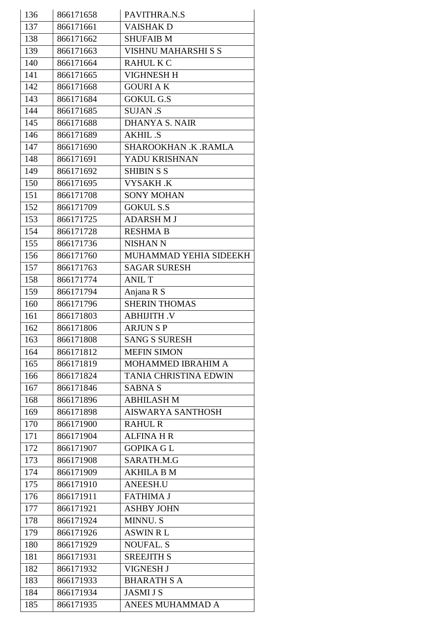| 136 | 866171658 | PAVITHRA.N.S                 |
|-----|-----------|------------------------------|
| 137 | 866171661 | <b>VAISHAK D</b>             |
| 138 | 866171662 | <b>SHUFAIB M</b>             |
| 139 | 866171663 | <b>VISHNU MAHARSHI S S</b>   |
| 140 | 866171664 | <b>RAHUL K C</b>             |
| 141 | 866171665 | <b>VIGHNESH H</b>            |
| 142 | 866171668 | <b>GOURIAK</b>               |
| 143 | 866171684 | <b>GOKUL G.S</b>             |
| 144 | 866171685 | <b>SUJAN .S</b>              |
| 145 | 866171688 | <b>DHANYA S. NAIR</b>        |
| 146 | 866171689 | <b>AKHIL.S</b>               |
| 147 | 866171690 | SHAROOKHAN .K .RAMLA         |
| 148 | 866171691 | YADU KRISHNAN                |
| 149 | 866171692 | <b>SHIBIN S S</b>            |
| 150 | 866171695 | VYSAKH .K                    |
| 151 | 866171708 | <b>SONY MOHAN</b>            |
| 152 | 866171709 | <b>GOKUL S.S</b>             |
| 153 | 866171725 | <b>ADARSHMJ</b>              |
| 154 | 866171728 | <b>RESHMA B</b>              |
| 155 | 866171736 | <b>NISHAN N</b>              |
| 156 | 866171760 | MUHAMMAD YEHIA SIDEEKH       |
| 157 | 866171763 | <b>SAGAR SURESH</b>          |
| 158 | 866171774 | <b>ANIL T</b>                |
| 159 | 866171794 | Anjana R S                   |
| 160 | 866171796 | <b>SHERIN THOMAS</b>         |
| 161 | 866171803 | <b>ABHIJITH.V</b>            |
| 162 | 866171806 | <b>ARJUNSP</b>               |
| 163 | 866171808 | <b>SANG S SURESH</b>         |
| 164 | 866171812 | <b>MEFIN SIMON</b>           |
| 165 | 866171819 | <b>MOHAMMED IBRAHIM A</b>    |
| 166 | 866171824 | <b>TANIA CHRISTINA EDWIN</b> |
| 167 | 866171846 | <b>SABNA S</b>               |
| 168 | 866171896 | <b>ABHILASH M</b>            |
| 169 | 866171898 | <b>AISWARYA SANTHOSH</b>     |
| 170 | 866171900 | <b>RAHUL R</b>               |
| 171 | 866171904 | <b>ALFINA H R</b>            |
| 172 | 866171907 | <b>GOPIKA GL</b>             |
| 173 | 866171908 | SARATH.M.G                   |
| 174 | 866171909 | <b>AKHILA B M</b>            |
| 175 | 866171910 | <b>ANEESH.U</b>              |
| 176 | 866171911 | <b>FATHIMA J</b>             |
| 177 | 866171921 | <b>ASHBY JOHN</b>            |
| 178 | 866171924 | <b>MINNU.S</b>               |
| 179 | 866171926 | <b>ASWIN RL</b>              |
| 180 | 866171929 | <b>NOUFAL. S</b>             |
| 181 | 866171931 | <b>SREEJITH S</b>            |
| 182 | 866171932 | VIGNESH J                    |
| 183 | 866171933 | <b>BHARATH S A</b>           |
| 184 | 866171934 | <b>JASMI J S</b>             |
| 185 | 866171935 | ANEES MUHAMMAD A             |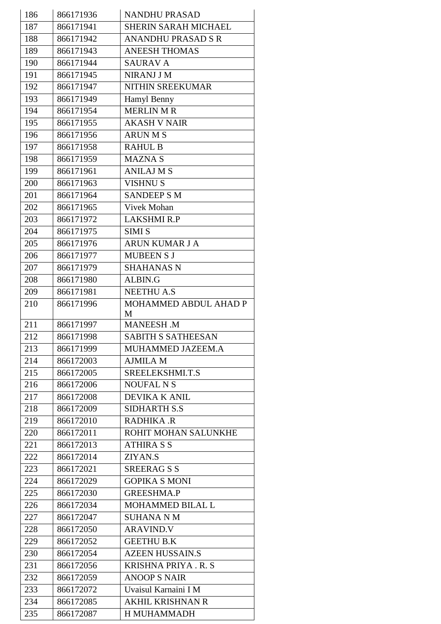| 186 | 866171936 | <b>NANDHU PRASAD</b>        |
|-----|-----------|-----------------------------|
| 187 | 866171941 | <b>SHERIN SARAH MICHAEL</b> |
| 188 | 866171942 | <b>ANANDHU PRASAD S R</b>   |
| 189 | 866171943 | <b>ANEESH THOMAS</b>        |
| 190 | 866171944 | <b>SAURAV A</b>             |
| 191 | 866171945 | NIRANJ J M                  |
| 192 | 866171947 | NITHIN SREEKUMAR            |
| 193 | 866171949 | Hamyl Benny                 |
| 194 | 866171954 | <b>MERLIN M R</b>           |
| 195 | 866171955 | <b>AKASH V NAIR</b>         |
| 196 | 866171956 | <b>ARUNMS</b>               |
| 197 | 866171958 | <b>RAHUL B</b>              |
| 198 | 866171959 | <b>MAZNAS</b>               |
| 199 | 866171961 | <b>ANILAJ M S</b>           |
| 200 | 866171963 | <b>VISHNUS</b>              |
| 201 | 866171964 | <b>SANDEEP S M</b>          |
| 202 | 866171965 | <b>Vivek Mohan</b>          |
| 203 | 866171972 | <b>LAKSHMI R.P</b>          |
| 204 | 866171975 | <b>SIMI S</b>               |
| 205 | 866171976 | ARUN KUMAR J A              |
| 206 | 866171977 | <b>MUBEEN S J</b>           |
| 207 | 866171979 | <b>SHAHANAS N</b>           |
| 208 | 866171980 | ALBIN.G                     |
| 209 | 866171981 | <b>NEETHU A.S</b>           |
| 210 | 866171996 | MOHAMMED ABDUL AHAD P       |
|     |           | M                           |
| 211 | 866171997 | MANEESH.M                   |
| 212 | 866171998 | <b>SABITH S SATHEESAN</b>   |
| 213 | 866171999 | MUHAMMED JAZEEM.A           |
| 214 | 866172003 | <b>AJMILA M</b>             |
| 215 | 866172005 | SREELEKSHMI.T.S             |
| 216 | 866172006 | <b>NOUFAL N S</b>           |
| 217 | 866172008 | DEVIKA K ANIL               |
| 218 | 866172009 | <b>SIDHARTH S.S</b>         |
| 219 | 866172010 | RADHIKA .R                  |
| 220 | 866172011 | ROHIT MOHAN SALUNKHE        |
| 221 | 866172013 | <b>ATHIRA S S</b>           |
| 222 | 866172014 | ZIYAN.S                     |
| 223 | 866172021 | <b>SREERAGSS</b>            |
| 224 | 866172029 | <b>GOPIKA S MONI</b>        |
| 225 | 866172030 | <b>GREESHMA.P</b>           |
| 226 | 866172034 | MOHAMMED BILAL L            |
| 227 | 866172047 | <b>SUHANA N M</b>           |
| 228 | 866172050 | <b>ARAVIND.V</b>            |
| 229 | 866172052 | <b>GEETHU B.K</b>           |
| 230 | 866172054 | <b>AZEEN HUSSAIN.S</b>      |
| 231 | 866172056 | <b>KRISHNA PRIYA. R. S</b>  |
| 232 | 866172059 | <b>ANOOP S NAIR</b>         |
| 233 | 866172072 | Uvaisul Karnaini I M        |
| 234 | 866172085 | <b>AKHIL KRISHNAN R</b>     |
| 235 | 866172087 | H MUHAMMADH                 |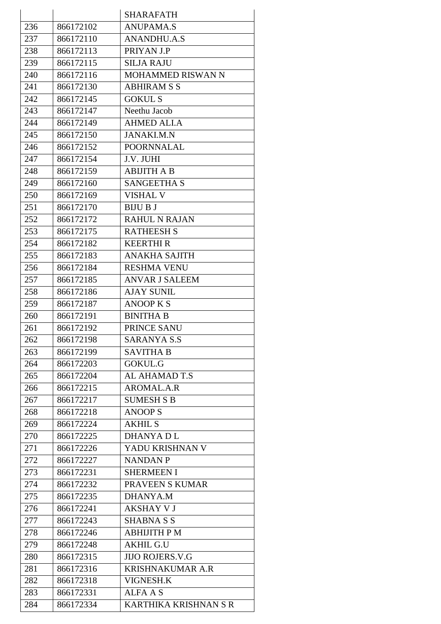|     |           | <b>SHARAFATH</b>        |
|-----|-----------|-------------------------|
| 236 | 866172102 | <b>ANUPAMA.S</b>        |
| 237 | 866172110 | <b>ANANDHU.A.S</b>      |
| 238 | 866172113 | PRIYAN J.P              |
| 239 | 866172115 | <b>SILJA RAJU</b>       |
| 240 | 866172116 | MOHAMMED RISWAN N       |
| 241 | 866172130 | <b>ABHIRAM S S</b>      |
| 242 | 866172145 | <b>GOKUL S</b>          |
| 243 | 866172147 | Neethu Jacob            |
| 244 | 866172149 | <b>AHMED ALI.A</b>      |
| 245 | 866172150 | <b>JANAKI.M.N</b>       |
| 246 | 866172152 | <b>POORNNALAL</b>       |
| 247 | 866172154 | J.V. JUHI               |
| 248 | 866172159 | <b>ABIJITH A B</b>      |
| 249 | 866172160 | <b>SANGEETHA S</b>      |
| 250 | 866172169 | <b>VISHAL V</b>         |
| 251 | 866172170 | <b>BIJU B J</b>         |
| 252 | 866172172 | <b>RAHUL N RAJAN</b>    |
| 253 | 866172175 | <b>RATHEESH S</b>       |
| 254 | 866172182 | <b>KEERTHIR</b>         |
| 255 | 866172183 | <b>ANAKHA SAJITH</b>    |
| 256 | 866172184 | <b>RESHMA VENU</b>      |
| 257 | 866172185 | <b>ANVAR J SALEEM</b>   |
| 258 | 866172186 | <b>AJAY SUNIL</b>       |
| 259 | 866172187 | <b>ANOOP K S</b>        |
| 260 | 866172191 | <b>BINITHA B</b>        |
| 261 | 866172192 | PRINCE SANU             |
| 262 | 866172198 | <b>SARANYA S.S</b>      |
| 263 | 866172199 | <b>SAVITHA B</b>        |
| 264 | 866172203 | GOKUL.G                 |
| 265 | 866172204 | AL AHAMAD T.S           |
| 266 | 866172215 | AROMAL.A.R              |
| 267 | 866172217 | <b>SUMESH S B</b>       |
| 268 | 866172218 | <b>ANOOP S</b>          |
| 269 | 866172224 | <b>AKHIL S</b>          |
| 270 | 866172225 | <b>DHANYADL</b>         |
| 271 | 866172226 | YADU KRISHNAN V         |
| 272 | 866172227 | <b>NANDAN P</b>         |
| 273 | 866172231 | <b>SHERMEEN I</b>       |
| 274 | 866172232 | PRAVEEN S KUMAR         |
| 275 | 866172235 | DHANYA.M                |
| 276 | 866172241 | <b>AKSHAY V J</b>       |
| 277 | 866172243 | <b>SHABNA S S</b>       |
| 278 | 866172246 | ABHIJITH P M            |
| 279 | 866172248 | <b>AKHIL G.U</b>        |
| 280 | 866172315 | <b>JIJO ROJERS.V.G</b>  |
| 281 | 866172316 | <b>KRISHNAKUMAR A.R</b> |
| 282 | 866172318 | VIGNESH.K               |
| 283 | 866172331 | <b>ALFA A S</b>         |
| 284 | 866172334 | KARTHIKA KRISHNAN S R   |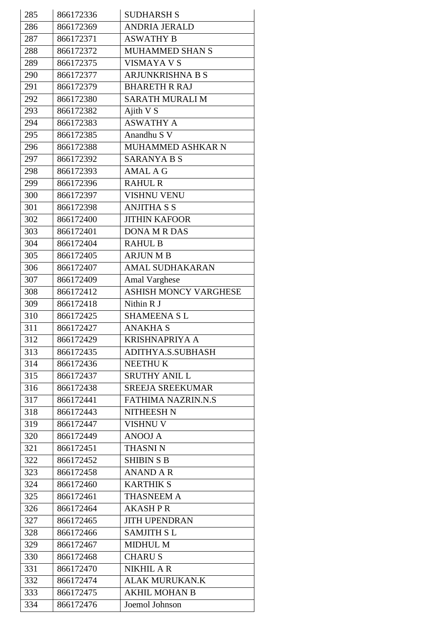| 285 | 866172336 | <b>SUDHARSH S</b>            |
|-----|-----------|------------------------------|
| 286 | 866172369 | <b>ANDRIA JERALD</b>         |
| 287 | 866172371 | <b>ASWATHY B</b>             |
| 288 | 866172372 | MUHAMMED SHAN S              |
| 289 | 866172375 | VISMAYA V S                  |
| 290 | 866172377 | <b>ARJUNKRISHNA B S</b>      |
| 291 | 866172379 | <b>BHARETH R RAJ</b>         |
| 292 | 866172380 | <b>SARATH MURALI M</b>       |
| 293 | 866172382 | Ajith V S                    |
| 294 | 866172383 | <b>ASWATHY A</b>             |
| 295 | 866172385 | Anandhu S V                  |
| 296 | 866172388 | MUHAMMED ASHKAR N            |
| 297 | 866172392 | <b>SARANYA B S</b>           |
| 298 | 866172393 | <b>AMAL A G</b>              |
| 299 | 866172396 | <b>RAHUL R</b>               |
| 300 | 866172397 | <b>VISHNU VENU</b>           |
| 301 | 866172398 | <b>ANJITHA S S</b>           |
| 302 | 866172400 | <b>JITHIN KAFOOR</b>         |
| 303 | 866172401 | <b>DONA M R DAS</b>          |
| 304 | 866172404 | <b>RAHUL B</b>               |
| 305 | 866172405 | <b>ARJUN M B</b>             |
| 306 | 866172407 | <b>AMAL SUDHAKARAN</b>       |
| 307 | 866172409 | Amal Varghese                |
| 308 | 866172412 | <b>ASHISH MONCY VARGHESE</b> |
| 309 | 866172418 | Nithin R J                   |
| 310 | 866172425 | <b>SHAMEENA SL</b>           |
| 311 | 866172427 | <b>ANAKHA S</b>              |
| 312 | 866172429 | <b>KRISHNAPRIYA A</b>        |
| 313 | 866172435 | ADITHYA.S.SUBHASH            |
| 314 | 866172436 | <b>NEETHUK</b>               |
| 315 | 866172437 | <b>SRUTHY ANIL L</b>         |
| 316 | 866172438 | <b>SREEJA SREEKUMAR</b>      |
| 317 | 866172441 | <b>FATHIMA NAZRIN.N.S</b>    |
| 318 | 866172443 | <b>NITHEESH N</b>            |
| 319 | 866172447 | <b>VISHNU V</b>              |
| 320 | 866172449 | <b>ANOOJ A</b>               |
| 321 | 866172451 | <b>THASNIN</b>               |
| 322 | 866172452 | <b>SHIBIN S B</b>            |
| 323 | 866172458 | <b>ANAND A R</b>             |
| 324 | 866172460 | <b>KARTHIK S</b>             |
| 325 | 866172461 | <b>THASNEEM A</b>            |
| 326 | 866172464 | <b>AKASH P R</b>             |
| 327 | 866172465 | <b>JITH UPENDRAN</b>         |
| 328 | 866172466 | <b>SAMJITH SL</b>            |
| 329 | 866172467 | <b>MIDHUL M</b>              |
| 330 | 866172468 | <b>CHARUS</b>                |
| 331 | 866172470 | <b>NIKHIL A R</b>            |
| 332 | 866172474 | <b>ALAK MURUKAN.K</b>        |
| 333 | 866172475 | <b>AKHIL MOHAN B</b>         |
|     | 866172476 | Joemol Johnson               |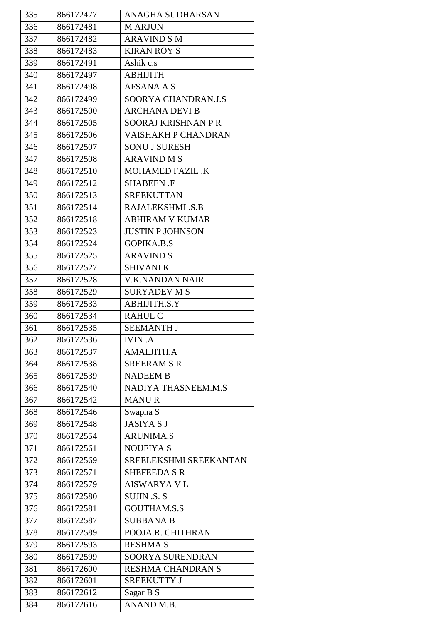| 335 | 866172477 | <b>ANAGHA SUDHARSAN</b>    |
|-----|-----------|----------------------------|
| 336 | 866172481 | <b>M ARJUN</b>             |
| 337 | 866172482 | <b>ARAVIND S M</b>         |
| 338 | 866172483 | <b>KIRAN ROY S</b>         |
| 339 | 866172491 | Ashik c.s                  |
| 340 | 866172497 | <b>ABHIJITH</b>            |
| 341 | 866172498 | <b>AFSANA A S</b>          |
| 342 | 866172499 | SOORYA CHANDRAN.J.S        |
| 343 | 866172500 | <b>ARCHANA DEVI B</b>      |
| 344 | 866172505 | <b>SOORAJ KRISHNAN P R</b> |
| 345 | 866172506 | VAISHAKH P CHANDRAN        |
| 346 | 866172507 | <b>SONU J SURESH</b>       |
| 347 | 866172508 | <b>ARAVIND M S</b>         |
| 348 | 866172510 | <b>MOHAMED FAZIL .K</b>    |
| 349 | 866172512 | <b>SHABEEN .F</b>          |
| 350 | 866172513 | <b>SREEKUTTAN</b>          |
| 351 | 866172514 | <b>RAJALEKSHMI .S.B</b>    |
| 352 | 866172518 | <b>ABHIRAM V KUMAR</b>     |
| 353 | 866172523 | <b>JUSTIN P JOHNSON</b>    |
| 354 | 866172524 | <b>GOPIKA.B.S</b>          |
| 355 | 866172525 | <b>ARAVIND S</b>           |
| 356 | 866172527 | <b>SHIVANI K</b>           |
| 357 | 866172528 | V.K.NANDAN NAIR            |
| 358 | 866172529 | <b>SURYADEV M S</b>        |
| 359 | 866172533 | ABHIJITH.S.Y               |
| 360 | 866172534 | <b>RAHUL C</b>             |
| 361 | 866172535 | <b>SEEMANTH J</b>          |
| 362 | 866172536 | <b>IVIN.A</b>              |
| 363 | 866172537 | <b>AMALJITH.A</b>          |
| 364 | 866172538 | <b>SREERAM S R</b>         |
| 365 | 866172539 | <b>NADEEM B</b>            |
| 366 | 866172540 | NADIYA THASNEEM.M.S        |
| 367 | 866172542 | <b>MANUR</b>               |
| 368 | 866172546 | Swapna S                   |
| 369 | 866172548 | <b>JASIYA S J</b>          |
| 370 | 866172554 | <b>ARUNIMA.S</b>           |
| 371 | 866172561 | <b>NOUFIYA S</b>           |
| 372 | 866172569 | SREELEKSHMI SREEKANTAN     |
| 373 | 866172571 | <b>SHEFEEDA S R</b>        |
| 374 | 866172579 | <b>AISWARYA V L</b>        |
| 375 | 866172580 | <b>SUJIN .S. S</b>         |
| 376 | 866172581 | <b>GOUTHAM.S.S</b>         |
| 377 | 866172587 | <b>SUBBANA B</b>           |
| 378 | 866172589 | POOJA.R. CHITHRAN          |
| 379 | 866172593 | <b>RESHMA S</b>            |
| 380 | 866172599 | SOORYA SURENDRAN           |
| 381 | 866172600 | RESHMA CHANDRAN S          |
| 382 | 866172601 | <b>SREEKUTTY J</b>         |
| 383 | 866172612 | Sagar B S                  |
| 384 | 866172616 | ANAND M.B.                 |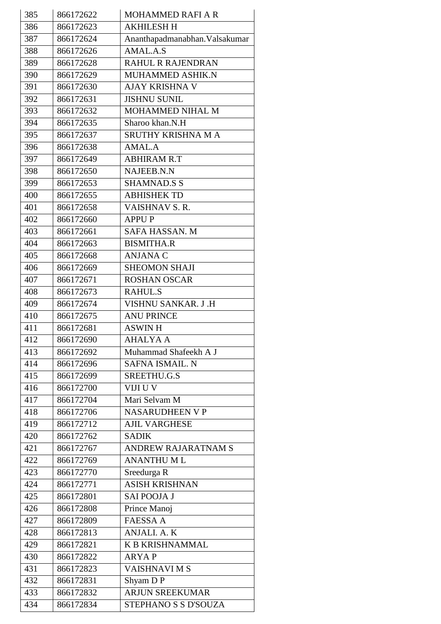| 385 | 866172622 | <b>MOHAMMED RAFI A R</b>       |
|-----|-----------|--------------------------------|
| 386 | 866172623 | <b>AKHILESH H</b>              |
| 387 | 866172624 | Ananthapadmanabhan. Valsakumar |
| 388 | 866172626 | $AMAL.A.\overline{S}$          |
| 389 | 866172628 | <b>RAHUL R RAJENDRAN</b>       |
| 390 | 866172629 | MUHAMMED ASHIK.N               |
| 391 | 866172630 | AJAY KRISHNA V                 |
| 392 | 866172631 | <b>JISHNU SUNIL</b>            |
| 393 | 866172632 | MOHAMMED NIHAL M               |
| 394 | 866172635 | Sharoo khan.N.H                |
| 395 | 866172637 | SRUTHY KRISHNA M A             |
| 396 | 866172638 | AMAL.A                         |
| 397 | 866172649 | <b>ABHIRAM R.T</b>             |
| 398 | 866172650 | NAJEEB.N.N                     |
| 399 | 866172653 | <b>SHAMNAD.S S</b>             |
| 400 | 866172655 | <b>ABHISHEK TD</b>             |
| 401 | 866172658 | VAISHNAV S.R.                  |
| 402 | 866172660 | <b>APPUP</b>                   |
| 403 | 866172661 | SAFA HASSAN. M                 |
| 404 | 866172663 | <b>BISMITHA.R</b>              |
| 405 | 866172668 | <b>ANJANA C</b>                |
| 406 | 866172669 | <b>SHEOMON SHAJI</b>           |
| 407 | 866172671 | <b>ROSHAN OSCAR</b>            |
| 408 | 866172673 | <b>RAHUL.S</b>                 |
| 409 | 866172674 | VISHNU SANKAR. J.H             |
| 410 | 866172675 | <b>ANU PRINCE</b>              |
| 411 | 866172681 | <b>ASWIN H</b>                 |
| 412 | 866172690 | <b>AHALYA A</b>                |
| 413 | 866172692 | Muhammad Shafeekh A J          |
| 414 | 866172696 | SAFNA ISMAIL. N                |
| 415 | 866172699 | SREETHU.G.S                    |
| 416 | 866172700 | VIJI U V                       |
| 417 | 866172704 | Mari Selvam M                  |
| 418 | 866172706 | <b>NASARUDHEEN V P</b>         |
| 419 | 866172712 | <b>AJIL VARGHESE</b>           |
| 420 | 866172762 | <b>SADIK</b>                   |
| 421 | 866172767 | <b>ANDREW RAJARATNAM S</b>     |
| 422 | 866172769 | <b>ANANTHUML</b>               |
| 423 | 866172770 | Sreedurga R                    |
| 424 | 866172771 | <b>ASISH KRISHNAN</b>          |
| 425 | 866172801 | <b>SAI POOJA J</b>             |
| 426 | 866172808 | Prince Manoj                   |
| 427 | 866172809 | <b>FAESSA A</b>                |
| 428 | 866172813 | ANJALI. A. K                   |
| 429 | 866172821 | <b>K B KRISHNAMMAL</b>         |
| 430 | 866172822 | <b>ARYAP</b>                   |
| 431 | 866172823 | <b>VAISHNAVIMS</b>             |
| 432 | 866172831 | Shyam DP                       |
| 433 | 866172832 | <b>ARJUN SREEKUMAR</b>         |
| 434 | 866172834 | STEPHANO S S D'SOUZA           |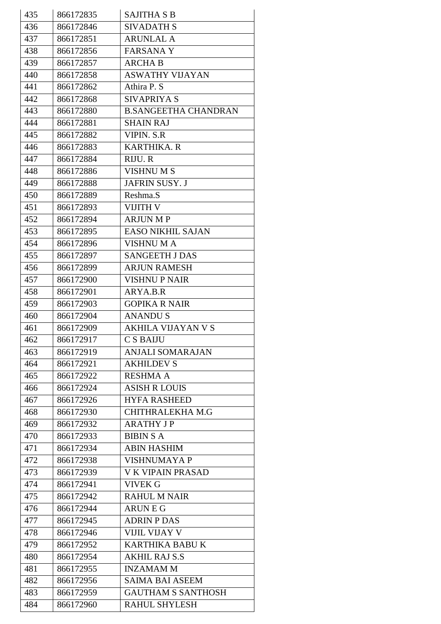| 435 | 866172835 | <b>SAJITHA S B</b>          |
|-----|-----------|-----------------------------|
| 436 | 866172846 | <b>SIVADATH S</b>           |
| 437 | 866172851 | <b>ARUNLAL A</b>            |
| 438 | 866172856 | <b>FARSANAY</b>             |
| 439 | 866172857 | <b>ARCHA B</b>              |
| 440 | 866172858 | <b>ASWATHY VIJAYAN</b>      |
| 441 | 866172862 | Athira P. S                 |
| 442 | 866172868 | <b>SIVAPRIYA S</b>          |
| 443 | 866172880 | <b>B.SANGEETHA CHANDRAN</b> |
| 444 | 866172881 | <b>SHAIN RAJ</b>            |
| 445 | 866172882 | <b>VIPIN. S.R</b>           |
| 446 | 866172883 | <b>KARTHIKA. R</b>          |
| 447 | 866172884 | RIJU. R                     |
| 448 | 866172886 | <b>VISHNUMS</b>             |
| 449 | 866172888 | JAFRIN SUSY. J              |
| 450 | 866172889 | Reshma.S                    |
| 451 | 866172893 | <b>VIJITH V</b>             |
| 452 | 866172894 | <b>ARJUN MP</b>             |
| 453 | 866172895 | <b>EASO NIKHIL SAJAN</b>    |
| 454 | 866172896 | VISHNU M A                  |
| 455 | 866172897 | <b>SANGEETH J DAS</b>       |
| 456 | 866172899 | <b>ARJUN RAMESH</b>         |
| 457 | 866172900 | <b>VISHNU P NAIR</b>        |
| 458 | 866172901 | ARYA.B.R                    |
| 459 | 866172903 | <b>GOPIKA R NAIR</b>        |
| 460 | 866172904 | <b>ANANDUS</b>              |
| 461 | 866172909 | <b>AKHILA VIJAYAN V S</b>   |
| 462 | 866172917 | C S BAIJU                   |
| 463 | 866172919 | <b>ANJALI SOMARAJAN</b>     |
| 464 | 866172921 | <b>AKHILDEV S</b>           |
| 465 | 866172922 | <b>RESHMA A</b>             |
| 466 | 866172924 | <b>ASISH R LOUIS</b>        |
| 467 | 866172926 | <b>HYFA RASHEED</b>         |
| 468 | 866172930 | CHITHRALEKHA M.G            |
| 469 | 866172932 | <b>ARATHY JP</b>            |
| 470 | 866172933 | <b>BIBIN S A</b>            |
| 471 | 866172934 | <b>ABIN HASHIM</b>          |
| 472 | 866172938 | <b>VISHNUMAYA P</b>         |
| 473 | 866172939 | <b>V K VIPAIN PRASAD</b>    |
| 474 | 866172941 | <b>VIVEK G</b>              |
| 475 | 866172942 | <b>RAHUL M NAIR</b>         |
| 476 | 866172944 | <b>ARUNEG</b>               |
| 477 | 866172945 | <b>ADRIN P DAS</b>          |
| 478 | 866172946 | VIJIL VIJAY V               |
| 479 | 866172952 | <b>KARTHIKA BABU K</b>      |
| 480 | 866172954 | <b>AKHIL RAJ S.S</b>        |
| 481 | 866172955 | <b>INZAMAMM</b>             |
| 482 | 866172956 | <b>SAIMA BAI ASEEM</b>      |
| 483 | 866172959 | <b>GAUTHAM S SANTHOSH</b>   |
| 484 | 866172960 | <b>RAHUL SHYLESH</b>        |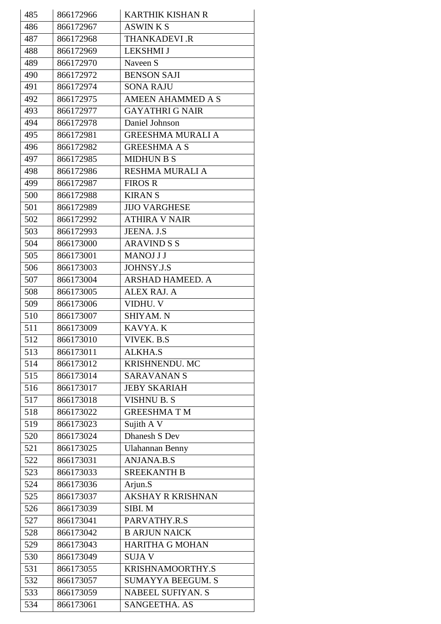| 485 | 866172966 | <b>KARTHIK KISHAN R</b>  |
|-----|-----------|--------------------------|
| 486 | 866172967 | <b>ASWINKS</b>           |
| 487 | 866172968 | <b>THANKADEVI .R</b>     |
| 488 | 866172969 | <b>LEKSHMI J</b>         |
| 489 | 866172970 | Naveen S                 |
| 490 | 866172972 | <b>BENSON SAJI</b>       |
| 491 | 866172974 | <b>SONA RAJU</b>         |
| 492 | 866172975 | <b>AMEEN AHAMMED A S</b> |
| 493 | 866172977 | <b>GAYATHRI G NAIR</b>   |
| 494 | 866172978 | Daniel Johnson           |
| 495 | 866172981 | <b>GREESHMA MURALI A</b> |
| 496 | 866172982 | <b>GREESHMA A S</b>      |
| 497 | 866172985 | <b>MIDHUN B S</b>        |
| 498 | 866172986 | RESHMA MURALI A          |
| 499 | 866172987 | <b>FIROS R</b>           |
| 500 | 866172988 | <b>KIRANS</b>            |
| 501 | 866172989 | <b>JIJO VARGHESE</b>     |
| 502 | 866172992 | <b>ATHIRA V NAIR</b>     |
| 503 | 866172993 | JEENA. J.S               |
| 504 | 866173000 | <b>ARAVIND S S</b>       |
| 505 | 866173001 | <b>MANOJ J J</b>         |
| 506 | 866173003 | <b>JOHNSY.J.S</b>        |
| 507 | 866173004 | ARSHAD HAMEED. A         |
| 508 | 866173005 | ALEX RAJ. A              |
| 509 | 866173006 | VIDHU. V                 |
| 510 | 866173007 | SHIYAM. N                |
| 511 | 866173009 | KAVYA. K                 |
| 512 | 866173010 | VIVEK. B.S               |
| 513 | 866173011 | <b>ALKHA.S</b>           |
| 514 | 866173012 | KRISHNENDU. MC           |
| 515 | 866173014 | <b>SARAVANANS</b>        |
| 516 | 866173017 | <b>JEBY SKARIAH</b>      |
| 517 | 866173018 | <b>VISHNU B. S</b>       |
| 518 | 866173022 | <b>GREESHMATM</b>        |
| 519 | 866173023 | Sujith A V               |
| 520 | 866173024 | Dhanesh S Dev            |
| 521 | 866173025 | <b>Ulahannan Benny</b>   |
| 522 | 866173031 | <b>ANJANA.B.S</b>        |
| 523 | 866173033 | <b>SREEKANTH B</b>       |
| 524 | 866173036 | Arjun.S                  |
| 525 | 866173037 | AKSHAY R KRISHNAN        |
| 526 | 866173039 | SIBI.M                   |
| 527 | 866173041 | PARVATHY.R.S             |
| 528 | 866173042 | <b>B ARJUN NAICK</b>     |
| 529 | 866173043 | <b>HARITHA G MOHAN</b>   |
| 530 | 866173049 | <b>SUJAV</b>             |
| 531 | 866173055 | KRISHNAMOORTHY.S         |
| 532 | 866173057 | <b>SUMAYYA BEEGUM. S</b> |
| 533 | 866173059 | <b>NABEEL SUFIYAN. S</b> |
| 534 | 866173061 | SANGEETHA. AS            |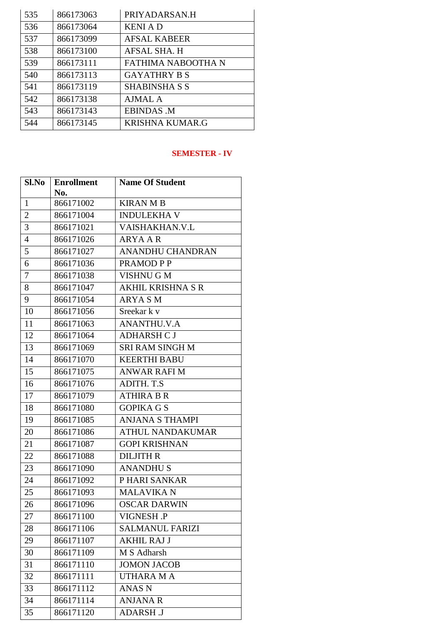| 535 | 866173063 | PRIYADARSAN.H          |
|-----|-----------|------------------------|
| 536 | 866173064 | <b>KENIAD</b>          |
| 537 | 866173099 | <b>AFSAL KABEER</b>    |
| 538 | 866173100 | <b>AFSAL SHA. H</b>    |
| 539 | 866173111 | FATHIMA NABOOTHA N     |
| 540 | 866173113 | <b>GAYATHRY B S</b>    |
| 541 | 866173119 | <b>SHABINSHA S S</b>   |
| 542 | 866173138 | <b>AJMAL A</b>         |
| 543 | 866173143 | <b>EBINDAS .M</b>      |
| 544 | 866173145 | <b>KRISHNA KUMAR.G</b> |

#### **SEMESTER - IV**

| Sl.No          | <b>Enrollment</b> | <b>Name Of Student</b>   |
|----------------|-------------------|--------------------------|
|                | No.               |                          |
| $\mathbf{1}$   | 866171002         | <b>KIRAN M B</b>         |
| $\overline{2}$ | 866171004         | <b>INDULEKHA V</b>       |
| 3              | 866171021         | VAISHAKHAN.V.L           |
| $\overline{4}$ | 866171026         | <b>ARYA A R</b>          |
| 5              | 866171027         | ANANDHU CHANDRAN         |
| 6              | 866171036         | PRAMOD P P               |
| 7              | 866171038         | <b>VISHNUGM</b>          |
| 8              | 866171047         | <b>AKHIL KRISHNA S R</b> |
| 9              | 866171054         | ARYA S M                 |
| 10             | 866171056         | Sreekar k v              |
| 11             | 866171063         | <b>ANANTHU.V.A</b>       |
| 12             | 866171064         | <b>ADHARSH C J</b>       |
| 13             | 866171069         | <b>SRI RAM SINGH M</b>   |
| 14             | 866171070         | <b>KEERTHI BABU</b>      |
| 15             | 866171075         | <b>ANWAR RAFI M</b>      |
| 16             | 866171076         | ADITH. T.S               |
| 17             | 866171079         | <b>ATHIRA B R</b>        |
| 18             | 866171080         | <b>GOPIKA G S</b>        |
| 19             | 866171085         | <b>ANJANA S THAMPI</b>   |
| 20             | 866171086         | <b>ATHUL NANDAKUMAR</b>  |
| 21             | 866171087         | <b>GOPI KRISHNAN</b>     |
| 22             | 866171088         | <b>DILJITH R</b>         |
| 23             | 866171090         | <b>ANANDHUS</b>          |
| 24             | 866171092         | P HARI SANKAR            |
| 25             | 866171093         | <b>MALAVIKAN</b>         |
| 26             | 866171096         | <b>OSCAR DARWIN</b>      |
| 27             | 866171100         | VIGNESH .P               |
| 28             | 866171106         | <b>SALMANUL FARIZI</b>   |
| 29             | 866171107         | <b>AKHIL RAJ J</b>       |
| 30             | 866171109         | M S Adharsh              |
| 31             | 866171110         | <b>JOMON JACOB</b>       |
| 32             | 866171111         | <b>UTHARA MA</b>         |
| 33             | 866171112         | <b>ANAS N</b>            |
| 34             | 866171114         | <b>ANJANA R</b>          |
| 35             | 866171120         | <b>ADARSH J</b>          |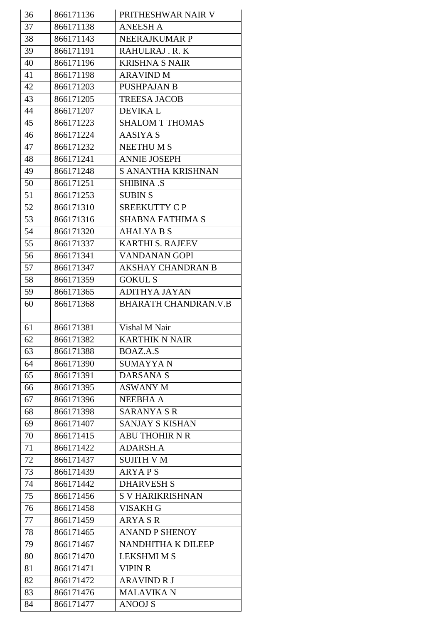| 36 | 866171136 | PRITHESHWAR NAIR V          |
|----|-----------|-----------------------------|
| 37 | 866171138 | <b>ANEESH A</b>             |
| 38 | 866171143 | <b>NEERAJKUMAR P</b>        |
| 39 | 866171191 | RAHULRAJ.R.K                |
| 40 | 866171196 | <b>KRISHNA S NAIR</b>       |
| 41 | 866171198 | <b>ARAVIND M</b>            |
| 42 | 866171203 | <b>PUSHPAJAN B</b>          |
| 43 | 866171205 | <b>TREESA JACOB</b>         |
| 44 | 866171207 | <b>DEVIKAL</b>              |
| 45 | 866171223 | <b>SHALOM T THOMAS</b>      |
| 46 | 866171224 | <b>AASIYA S</b>             |
| 47 | 866171232 | <b>NEETHUMS</b>             |
| 48 | 866171241 | <b>ANNIE JOSEPH</b>         |
| 49 | 866171248 | S ANANTHA KRISHNAN          |
| 50 | 866171251 | <b>SHIBINA .S</b>           |
| 51 | 866171253 | <b>SUBIN S</b>              |
| 52 | 866171310 | SREEKUTTY CP                |
| 53 | 866171316 | <b>SHABNA FATHIMA S</b>     |
| 54 | 866171320 | <b>AHALYA B S</b>           |
| 55 | 866171337 | <b>KARTHI S. RAJEEV</b>     |
| 56 | 866171341 | <b>VANDANAN GOPI</b>        |
| 57 | 866171347 | <b>AKSHAY CHANDRAN B</b>    |
| 58 | 866171359 | <b>GOKUL S</b>              |
| 59 | 866171365 | <b>ADITHYA JAYAN</b>        |
| 60 | 866171368 | <b>BHARATH CHANDRAN.V.B</b> |
|    |           |                             |
|    |           |                             |
| 61 | 866171381 | Vishal M Nair               |
| 62 | 866171382 | <b>KARTHIK N NAIR</b>       |
| 63 | 866171388 | BOAZ.A.S                    |
| 64 | 866171390 | <b>SUMAYYAN</b>             |
| 65 | 866171391 | <b>DARSANA S</b>            |
| 66 | 866171395 | <b>ASWANY M</b>             |
| 67 | 866171396 | <b>NEEBHA A</b>             |
| 68 | 866171398 | <b>SARANYA S R</b>          |
| 69 | 866171407 | <b>SANJAY S KISHAN</b>      |
| 70 | 866171415 | <b>ABU THOHIR N R</b>       |
| 71 | 866171422 | <b>ADARSH.A</b>             |
| 72 | 866171437 | <b>SUJITH V M</b>           |
| 73 | 866171439 | <b>ARYAPS</b>               |
| 74 | 866171442 | <b>DHARVESH S</b>           |
| 75 | 866171456 | <b>S V HARIKRISHNAN</b>     |
| 76 | 866171458 | <b>VISAKH G</b>             |
| 77 | 866171459 | <b>ARYA S R</b>             |
| 78 | 866171465 | <b>ANAND P SHENOY</b>       |
| 79 | 866171467 | NANDHITHA K DILEEP          |
| 80 | 866171470 | <b>LEKSHMI M S</b>          |
| 81 | 866171471 | <b>VIPIN R</b>              |
| 82 | 866171472 | <b>ARAVIND R J</b>          |
| 83 | 866171476 | <b>MALAVIKA N</b>           |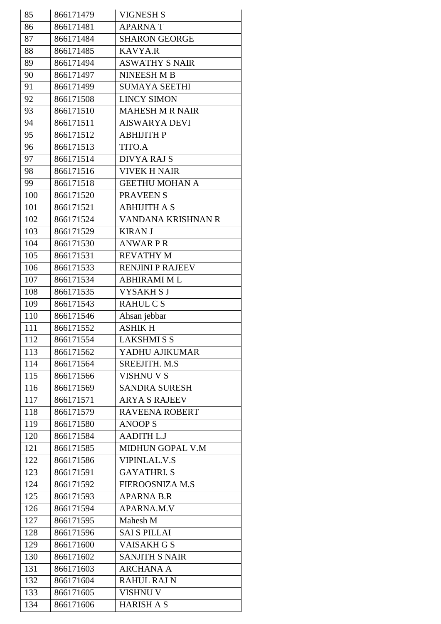| 85  | 866171479 | <b>VIGNESH S</b>        |
|-----|-----------|-------------------------|
| 86  | 866171481 | <b>APARNAT</b>          |
| 87  | 866171484 | <b>SHARON GEORGE</b>    |
| 88  | 866171485 | <b>KAVYA.R</b>          |
| 89  | 866171494 | <b>ASWATHY S NAIR</b>   |
| 90  | 866171497 | <b>NINEESH M B</b>      |
| 91  | 866171499 | <b>SUMAYA SEETHI</b>    |
| 92  | 866171508 | <b>LINCY SIMON</b>      |
| 93  | 866171510 | <b>MAHESH M R NAIR</b>  |
| 94  | 866171511 | <b>AISWARYA DEVI</b>    |
| 95  | 866171512 | <b>ABHIJITH P</b>       |
| 96  | 866171513 | TITO.A                  |
| 97  | 866171514 | <b>DIVYA RAJ S</b>      |
| 98  | 866171516 | <b>VIVEK H NAIR</b>     |
| 99  | 866171518 | <b>GEETHU MOHAN A</b>   |
| 100 | 866171520 | <b>PRAVEENS</b>         |
| 101 | 866171521 | <b>ABHIJITH A S</b>     |
| 102 | 866171524 | VANDANA KRISHNAN R      |
| 103 | 866171529 | <b>KIRAN J</b>          |
| 104 | 866171530 | <b>ANWARPR</b>          |
| 105 | 866171531 | <b>REVATHY M</b>        |
| 106 | 866171533 | <b>RENJINI P RAJEEV</b> |
| 107 | 866171534 | <b>ABHIRAMI ML</b>      |
| 108 | 866171535 | <b>VYSAKHSJ</b>         |
| 109 | 866171543 | RAHUL C S               |
| 110 | 866171546 | Ahsan jebbar            |
| 111 | 866171552 | <b>ASHIK H</b>          |
| 112 | 866171554 | <b>LAKSHMISS</b>        |
| 113 | 866171562 | YADHU AJIKUMAR          |
| 114 | 866171564 | SREEJITH. M.S.          |
| 115 | 866171566 | <b>VISHNU V S</b>       |
| 116 | 866171569 | <b>SANDRA SURESH</b>    |
| 117 | 866171571 | <b>ARYA S RAJEEV</b>    |
| 118 | 866171579 | <b>RAVEENA ROBERT</b>   |
| 119 | 866171580 | <b>ANOOPS</b>           |
| 120 | 866171584 | <b>AADITH L.J</b>       |
| 121 | 866171585 | MIDHUN GOPAL V.M        |
| 122 | 866171586 | <b>VIPINLAL.V.S</b>     |
| 123 | 866171591 | <b>GAYATHRI.S</b>       |
| 124 | 866171592 | FIEROOSNIZA M.S         |
| 125 | 866171593 | <b>APARNA B.R</b>       |
| 126 | 866171594 | APARNA.M.V              |
| 127 | 866171595 | Mahesh M                |
| 128 | 866171596 | <b>SAI S PILLAI</b>     |
| 129 | 866171600 | <b>VAISAKH G S</b>      |
| 130 | 866171602 | <b>SANJITH S NAIR</b>   |
| 131 | 866171603 | <b>ARCHANA A</b>        |
| 132 | 866171604 | <b>RAHUL RAJ N</b>      |
| 133 | 866171605 | <b>VISHNU V</b>         |
| 134 | 866171606 | <b>HARISH A S</b>       |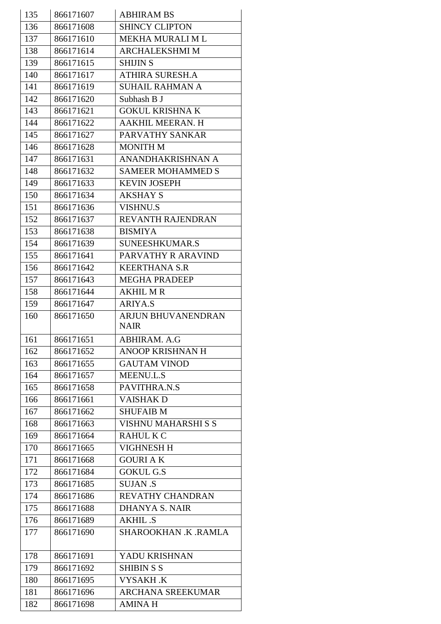| 135 | 866171607 | <b>ABHIRAM BS</b>          |
|-----|-----------|----------------------------|
| 136 | 866171608 | <b>SHINCY CLIPTON</b>      |
| 137 | 866171610 | <b>MEKHA MURALI M L</b>    |
| 138 | 866171614 | <b>ARCHALEKSHMI M</b>      |
| 139 | 866171615 | <b>SHIJIN S</b>            |
| 140 | 866171617 | <b>ATHIRA SURESH.A</b>     |
| 141 | 866171619 | <b>SUHAIL RAHMAN A</b>     |
| 142 | 866171620 | Subhash B J                |
| 143 | 866171621 | <b>GOKUL KRISHNA K</b>     |
| 144 | 866171622 | AAKHIL MEERAN. H           |
| 145 | 866171627 | PARVATHY SANKAR            |
| 146 | 866171628 | <b>MONITH M</b>            |
| 147 | 866171631 | ANANDHAKRISHNAN A          |
| 148 | 866171632 | <b>SAMEER MOHAMMED S</b>   |
| 149 | 866171633 | <b>KEVIN JOSEPH</b>        |
| 150 | 866171634 | <b>AKSHAY S</b>            |
| 151 | 866171636 | <b>VISHNU.S</b>            |
| 152 | 866171637 | REVANTH RAJENDRAN          |
| 153 | 866171638 | <b>BISMIYA</b>             |
| 154 | 866171639 | SUNEESHKUMAR.S             |
| 155 | 866171641 | PARVATHY R ARAVIND         |
| 156 | 866171642 | <b>KEERTHANA S.R</b>       |
| 157 | 866171643 | <b>MEGHA PRADEEP</b>       |
| 158 | 866171644 | <b>AKHIL M R</b>           |
| 159 | 866171647 | <b>ARIYA.S</b>             |
| 160 | 866171650 | <b>ARJUN BHUVANENDRAN</b>  |
|     |           | <b>NAIR</b>                |
| 161 | 866171651 | ABHIRAM. A.G               |
| 162 | 866171652 | <b>ANOOP KRISHNAN H</b>    |
| 163 | 866171655 | <b>GAUTAM VINOD</b>        |
| 164 | 866171657 | MEENU.L.S                  |
| 165 | 866171658 | PAVITHRA.N.S               |
| 166 | 866171661 | VAISHAK D                  |
| 167 | 866171662 | <b>SHUFAIB M</b>           |
| 168 | 866171663 | <b>VISHNU MAHARSHI S S</b> |
| 169 | 866171664 | <b>RAHUL K C</b>           |
| 170 | 866171665 | VIGHNESH H                 |
| 171 | 866171668 | <b>GOURIAK</b>             |
| 172 | 866171684 | <b>GOKUL G.S</b>           |
| 173 | 866171685 | <b>SUJAN .S</b>            |
| 174 | 866171686 | REVATHY CHANDRAN           |
| 175 | 866171688 | <b>DHANYA S. NAIR</b>      |
| 176 | 866171689 | <b>AKHIL .S</b>            |
| 177 | 866171690 | SHAROOKHAN .K .RAMLA       |
|     |           |                            |
| 178 |           |                            |
|     | 866171691 | YADU KRISHNAN              |
| 179 | 866171692 | <b>SHIBIN S S</b>          |
| 180 | 866171695 | VYSAKH .K                  |
| 181 | 866171696 | <b>ARCHANA SREEKUMAR</b>   |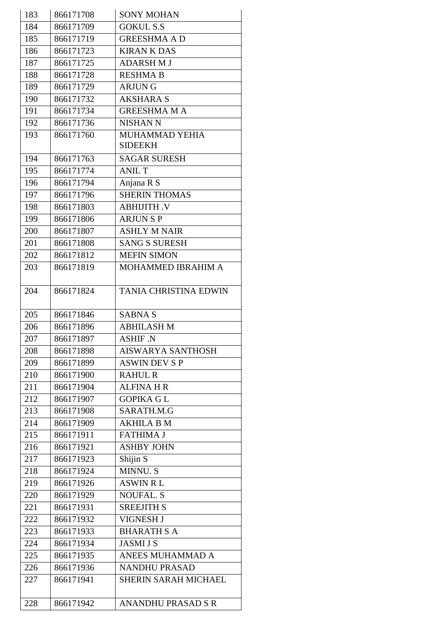| 183 | 866171708 | <b>SONY MOHAN</b>                |
|-----|-----------|----------------------------------|
| 184 | 866171709 | <b>GOKUL S.S</b>                 |
| 185 | 866171719 | <b>GREESHMA AD</b>               |
| 186 | 866171723 | <b>KIRAN K DAS</b>               |
| 187 | 866171725 | <b>ADARSHMJ</b>                  |
| 188 | 866171728 | <b>RESHMA B</b>                  |
| 189 | 866171729 | <b>ARJUNG</b>                    |
| 190 | 866171732 | <b>AKSHARA S</b>                 |
| 191 | 866171734 | <b>GREESHMA MA</b>               |
| 192 | 866171736 | <b>NISHAN N</b>                  |
| 193 | 866171760 | MUHAMMAD YEHIA<br><b>SIDEEKH</b> |
| 194 | 866171763 | <b>SAGAR SURESH</b>              |
| 195 | 866171774 | <b>ANIL T</b>                    |
| 196 | 866171794 | Anjana R S                       |
| 197 | 866171796 | <b>SHERIN THOMAS</b>             |
| 198 | 866171803 | <b>ABHIJITH.V</b>                |
| 199 | 866171806 | <b>ARJUNSP</b>                   |
| 200 | 866171807 | <b>ASHLY M NAIR</b>              |
| 201 | 866171808 | <b>SANG S SURESH</b>             |
| 202 | 866171812 | <b>MEFIN SIMON</b>               |
| 203 | 866171819 | MOHAMMED IBRAHIM A               |
|     |           |                                  |
| 204 | 866171824 | <b>TANIA CHRISTINA EDWIN</b>     |
| 205 | 866171846 | <b>SABNA S</b>                   |
| 206 | 866171896 | <b>ABHILASH M</b>                |
| 207 | 866171897 | ASHIF N                          |
| 208 | 866171898 | <b>AISWARYA SANTHOSH</b>         |
| 209 | 866171899 | <b>ASWIN DEV S P</b>             |
| 210 | 866171900 | <b>RAHUL R</b>                   |
| 211 | 866171904 | <b>ALFINA H R</b>                |
| 212 | 866171907 | <b>GOPIKA GL</b>                 |
| 213 | 866171908 | SARATH.M.G                       |
| 214 | 866171909 | <b>AKHILA B M</b>                |
| 215 | 866171911 | <b>FATHIMA J</b>                 |
| 216 | 866171921 | <b>ASHBY JOHN</b>                |
| 217 | 866171923 | Shijin S                         |
| 218 | 866171924 | MINNU. S                         |
| 219 | 866171926 | <b>ASWIN RL</b>                  |
| 220 | 866171929 | <b>NOUFAL. S</b>                 |
| 221 | 866171931 | <b>SREEJITH S</b>                |
| 222 | 866171932 | <b>VIGNESH J</b>                 |
| 223 | 866171933 | <b>BHARATH S A</b>               |
| 224 | 866171934 | <b>JASMI J S</b>                 |
| 225 | 866171935 | ANEES MUHAMMAD A                 |
| 226 | 866171936 | <b>NANDHU PRASAD</b>             |
|     |           |                                  |
| 227 | 866171941 | <b>SHERIN SARAH MICHAEL</b>      |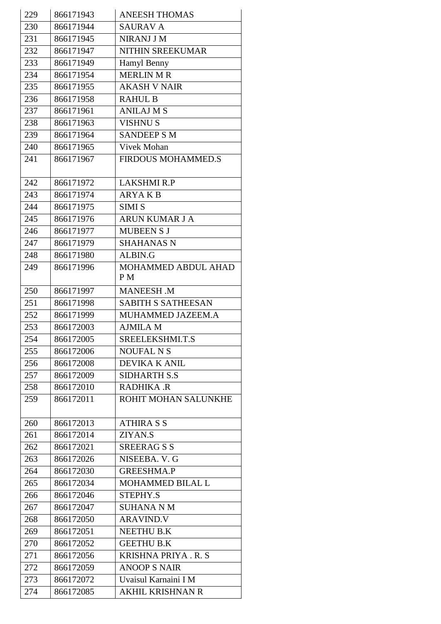| 229 | 866171943 | <b>ANEESH THOMAS</b>       |
|-----|-----------|----------------------------|
| 230 | 866171944 | <b>SAURAV A</b>            |
| 231 | 866171945 | NIRANJ J M                 |
| 232 | 866171947 | NITHIN SREEKUMAR           |
| 233 | 866171949 | Hamyl Benny                |
| 234 | 866171954 | <b>MERLIN M R</b>          |
| 235 | 866171955 | <b>AKASH V NAIR</b>        |
| 236 | 866171958 | <b>RAHUL B</b>             |
| 237 | 866171961 | <b>ANILAJ M S</b>          |
| 238 | 866171963 | <b>VISHNUS</b>             |
| 239 | 866171964 | <b>SANDEEP S M</b>         |
| 240 | 866171965 | Vivek Mohan                |
| 241 | 866171967 | <b>FIRDOUS MOHAMMED.S</b>  |
| 242 | 866171972 | <b>LAKSHMI R.P</b>         |
| 243 | 866171974 | <b>ARYAKB</b>              |
| 244 | 866171975 | <b>SIMI S</b>              |
| 245 | 866171976 | ARUN KUMAR J A             |
| 246 | 866171977 | <b>MUBEEN S J</b>          |
| 247 | 866171979 | <b>SHAHANAS N</b>          |
| 248 | 866171980 | ALBIN.G                    |
| 249 | 866171996 | MOHAMMED ABDUL AHAD<br>P M |
| 250 | 866171997 | <b>MANEESH .M</b>          |
| 251 | 866171998 | <b>SABITH S SATHEESAN</b>  |
| 252 | 866171999 | MUHAMMED JAZEEM.A          |
| 253 | 866172003 | <b>AJMILA M</b>            |
| 254 | 866172005 | SREELEKSHMI.T.S            |
| 255 | 866172006 | <b>NOUFAL N S</b>          |
| 256 | 866172008 | <b>DEVIKA K ANIL</b>       |
| 257 | 866172009 | <b>SIDHARTH S.S</b>        |
| 258 | 866172010 | RADHIKA .R                 |
| 259 | 866172011 | ROHIT MOHAN SALUNKHE       |
| 260 | 866172013 | <b>ATHIRA S S</b>          |
| 261 | 866172014 | ZIYAN.S                    |
| 262 | 866172021 | <b>SREERAGSS</b>           |
| 263 | 866172026 | NISEEBA. V. G              |
| 264 | 866172030 | <b>GREESHMA.P</b>          |
| 265 | 866172034 | MOHAMMED BILAL L           |
| 266 | 866172046 | STEPHY.S                   |
| 267 | 866172047 | <b>SUHANA N M</b>          |
| 268 | 866172050 | <b>ARAVIND.V</b>           |
| 269 | 866172051 | NEETHU B.K                 |
| 270 | 866172052 | <b>GEETHU B.K</b>          |
| 271 | 866172056 | <b>KRISHNA PRIYA. R. S</b> |
| 272 | 866172059 | <b>ANOOP S NAIR</b>        |
| 273 | 866172072 | Uvaisul Karnaini I M       |
| 274 | 866172085 | AKHIL KRISHNAN R           |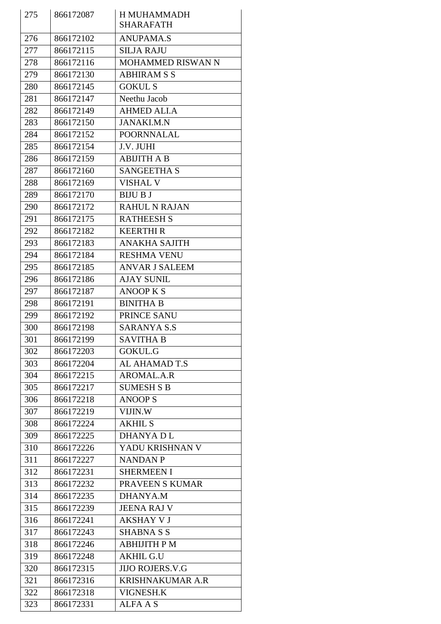| 275 | 866172087 | H MUHAMMADH              |
|-----|-----------|--------------------------|
|     |           | <b>SHARAFATH</b>         |
| 276 | 866172102 | <b>ANUPAMA.S</b>         |
| 277 | 866172115 | <b>SILJA RAJU</b>        |
| 278 | 866172116 | <b>MOHAMMED RISWAN N</b> |
| 279 | 866172130 | <b>ABHIRAM S S</b>       |
| 280 | 866172145 | <b>GOKULS</b>            |
| 281 | 866172147 | Neethu Jacob             |
| 282 | 866172149 | <b>AHMED ALI.A</b>       |
| 283 | 866172150 | <b>JANAKI.M.N</b>        |
| 284 | 866172152 | <b>POORNNALAL</b>        |
| 285 | 866172154 | J.V. JUHI                |
| 286 | 866172159 | <b>ABIJITH A B</b>       |
| 287 | 866172160 | <b>SANGEETHA S</b>       |
| 288 | 866172169 | <b>VISHAL V</b>          |
| 289 | 866172170 | <b>BIJU B J</b>          |
| 290 | 866172172 | <b>RAHUL N RAJAN</b>     |
| 291 | 866172175 | <b>RATHEESH S</b>        |
| 292 | 866172182 | <b>KEERTHIR</b>          |
| 293 | 866172183 | <b>ANAKHA SAJITH</b>     |
| 294 | 866172184 | <b>RESHMA VENU</b>       |
| 295 | 866172185 | <b>ANVAR J SALEEM</b>    |
| 296 | 866172186 | <b>AJAY SUNIL</b>        |
| 297 | 866172187 | <b>ANOOP K S</b>         |
| 298 | 866172191 | <b>BINITHA B</b>         |
| 299 | 866172192 | PRINCE SANU              |
| 300 | 866172198 | <b>SARANYA S.S</b>       |
| 301 | 866172199 | <b>SAVITHA B</b>         |
| 302 | 866172203 | <b>GOKUL.G</b>           |
| 303 | 866172204 | AL AHAMAD T.S            |
| 304 | 866172215 | AROMAL.A.R               |
| 305 | 866172217 | <b>SUMESH S B</b>        |
| 306 | 866172218 | <b>ANOOPS</b>            |
| 307 | 866172219 | VIJIN.W                  |
| 308 | 866172224 | <b>AKHIL S</b>           |
| 309 | 866172225 | <b>DHANYADL</b>          |
| 310 | 866172226 | YADU KRISHNAN V          |
| 311 | 866172227 | <b>NANDAN P</b>          |
| 312 | 866172231 | <b>SHERMEEN I</b>        |
| 313 | 866172232 | PRAVEEN S KUMAR          |
| 314 | 866172235 | <b>DHANYA.M</b>          |
| 315 | 866172239 | <b>JEENA RAJ V</b>       |
| 316 | 866172241 | <b>AKSHAY V J</b>        |
| 317 | 866172243 | <b>SHABNA S S</b>        |
| 318 | 866172246 | <b>ABHIJITH PM</b>       |
| 319 | 866172248 | <b>AKHIL G.U</b>         |
| 320 | 866172315 | <b>JIJO ROJERS.V.G</b>   |
| 321 | 866172316 | <b>KRISHNAKUMAR A.R</b>  |
| 322 | 866172318 | VIGNESH.K                |
| 323 | 866172331 | <b>ALFA A S</b>          |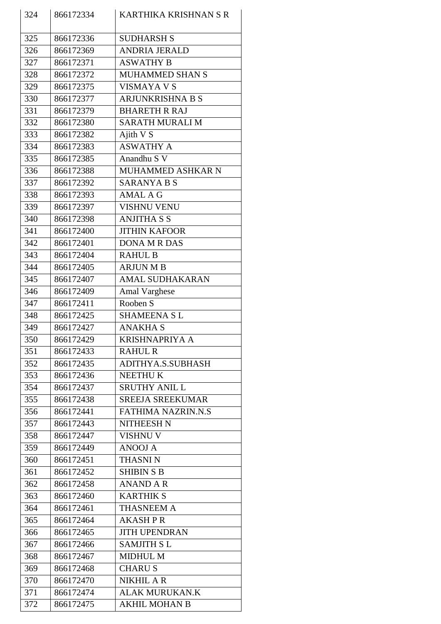| 324 | 866172334 | KARTHIKA KRISHNAN S R     |
|-----|-----------|---------------------------|
| 325 | 866172336 | <b>SUDHARSH S</b>         |
| 326 | 866172369 | <b>ANDRIA JERALD</b>      |
| 327 | 866172371 | <b>ASWATHY B</b>          |
| 328 | 866172372 | MUHAMMED SHAN S           |
| 329 | 866172375 | <b>VISMAYA V S</b>        |
| 330 | 866172377 | <b>ARJUNKRISHNA B S</b>   |
| 331 | 866172379 | <b>BHARETH R RAJ</b>      |
| 332 | 866172380 | <b>SARATH MURALI M</b>    |
| 333 | 866172382 | Ajith V S                 |
| 334 | 866172383 | <b>ASWATHY A</b>          |
| 335 | 866172385 | Anandhu S V               |
| 336 | 866172388 | MUHAMMED ASHKAR N         |
|     |           |                           |
| 337 | 866172392 | <b>SARANYA B S</b>        |
| 338 | 866172393 | <b>AMAL A G</b>           |
| 339 | 866172397 | <b>VISHNU VENU</b>        |
| 340 | 866172398 | <b>ANJITHA S S</b>        |
| 341 | 866172400 | <b>JITHIN KAFOOR</b>      |
| 342 | 866172401 | <b>DONA M R DAS</b>       |
| 343 | 866172404 | <b>RAHUL B</b>            |
| 344 | 866172405 | <b>ARJUN M B</b>          |
| 345 | 866172407 | <b>AMAL SUDHAKARAN</b>    |
| 346 | 866172409 | <b>Amal Varghese</b>      |
| 347 | 866172411 | Rooben S                  |
| 348 | 866172425 | <b>SHAMEENA SL</b>        |
| 349 | 866172427 | <b>ANAKHA S</b>           |
| 350 | 866172429 | <b>KRISHNAPRIYA A</b>     |
| 351 | 866172433 | <b>RAHUL R</b>            |
| 352 | 866172435 | ADITHYA.S.SUBHASH         |
| 353 | 866172436 | <b>NEETHUK</b>            |
| 354 | 866172437 | <b>SRUTHY ANIL L</b>      |
| 355 | 866172438 | <b>SREEJA SREEKUMAR</b>   |
| 356 | 866172441 | <b>FATHIMA NAZRIN.N.S</b> |
| 357 | 866172443 | <b>NITHEESH N</b>         |
| 358 | 866172447 | <b>VISHNU V</b>           |
| 359 | 866172449 | <b>ANOOJ A</b>            |
| 360 | 866172451 | <b>THASNIN</b>            |
| 361 | 866172452 | <b>SHIBIN S B</b>         |
| 362 | 866172458 | <b>ANAND A R</b>          |
| 363 | 866172460 | <b>KARTHIK S</b>          |
| 364 | 866172461 | <b>THASNEEM A</b>         |
| 365 | 866172464 | <b>AKASHPR</b>            |
| 366 | 866172465 | <b>JITH UPENDRAN</b>      |
| 367 | 866172466 | <b>SAMJITH SL</b>         |
| 368 | 866172467 | <b>MIDHUL M</b>           |
| 369 | 866172468 | <b>CHARUS</b>             |
| 370 | 866172470 | <b>NIKHIL A R</b>         |
| 371 | 866172474 | ALAK MURUKAN.K            |
| 372 | 866172475 | <b>AKHIL MOHAN B</b>      |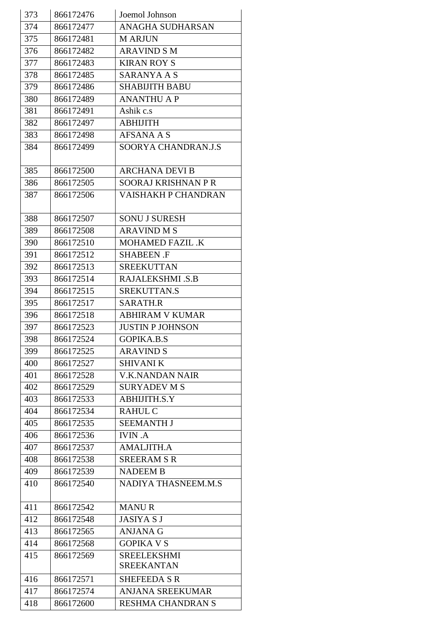| 373 | 866172476 | Joemol Johnson          |
|-----|-----------|-------------------------|
| 374 | 866172477 | <b>ANAGHA SUDHARSAN</b> |
| 375 | 866172481 | <b>MARJUN</b>           |
| 376 | 866172482 | <b>ARAVIND S M</b>      |
| 377 | 866172483 | <b>KIRAN ROY S</b>      |
| 378 | 866172485 | SARANYA A S             |
| 379 | 866172486 | <b>SHABIJITH BABU</b>   |
| 380 | 866172489 | <b>ANANTHU A P</b>      |
| 381 | 866172491 | Ashik c.s               |
| 382 | 866172497 | <b>ABHIJITH</b>         |
| 383 | 866172498 | <b>AFSANA A S</b>       |
| 384 | 866172499 | SOORYA CHANDRAN.J.S     |
|     |           |                         |
| 385 | 866172500 | <b>ARCHANA DEVI B</b>   |
| 386 | 866172505 | SOORAJ KRISHNAN PR      |
| 387 | 866172506 | VAISHAKH P CHANDRAN     |
|     |           |                         |
| 388 | 866172507 | <b>SONU J SURESH</b>    |
| 389 | 866172508 | <b>ARAVIND M S</b>      |
| 390 | 866172510 | MOHAMED FAZIL .K        |
| 391 | 866172512 | <b>SHABEEN .F</b>       |
| 392 | 866172513 | <b>SREEKUTTAN</b>       |
| 393 | 866172514 | RAJALEKSHMI .S.B        |
| 394 | 866172515 | SREKUTTAN.S             |
| 395 | 866172517 | <b>SARATH.R</b>         |
| 396 | 866172518 | <b>ABHIRAM V KUMAR</b>  |
| 397 | 866172523 | <b>JUSTIN P JOHNSON</b> |
| 398 | 866172524 | GOPIKA.B.S              |
| 399 | 866172525 | <b>ARAVIND S</b>        |
| 400 | 866172527 | <b>SHIVANI K</b>        |
| 401 | 866172528 | <b>V.K.NANDAN NAIR</b>  |
| 402 | 866172529 | <b>SURYADEV M S</b>     |
| 403 | 866172533 | ABHIJITH.S.Y            |
| 404 | 866172534 | <b>RAHUL C</b>          |
| 405 | 866172535 | <b>SEEMANTH J</b>       |
| 406 | 866172536 | <b>IVIN.A</b>           |
| 407 | 866172537 | <b>AMALJITH.A</b>       |
| 408 | 866172538 | <b>SREERAM S R</b>      |
| 409 | 866172539 | <b>NADEEM B</b>         |
| 410 | 866172540 | NADIYA THASNEEM.M.S     |
|     |           |                         |
| 411 | 866172542 | <b>MANUR</b>            |
| 412 | 866172548 | <b>JASIYA S J</b>       |
| 413 | 866172565 | <b>ANJANA G</b>         |
| 414 | 866172568 | <b>GOPIKA V S</b>       |
| 415 | 866172569 | <b>SREELEKSHMI</b>      |
|     |           | <b>SREEKANTAN</b>       |
| 416 | 866172571 | <b>SHEFEEDA S R</b>     |
| 417 | 866172574 | <b>ANJANA SREEKUMAR</b> |
| 418 | 866172600 | RESHMA CHANDRAN S       |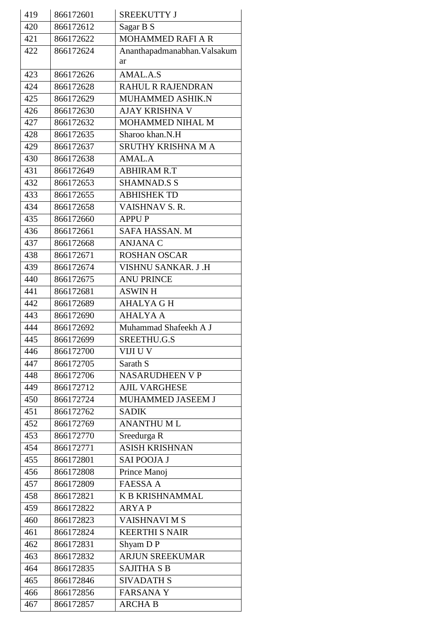| 419 | 866172601 | <b>SREEKUTTY J</b>           |
|-----|-----------|------------------------------|
| 420 | 866172612 | Sagar B S                    |
| 421 | 866172622 | <b>MOHAMMED RAFI A R</b>     |
| 422 | 866172624 | Ananthapadmanabhan. Valsakum |
|     |           | ar                           |
| 423 | 866172626 | AMAL.A.S                     |
| 424 | 866172628 | RAHUL R RAJENDRAN            |
| 425 | 866172629 | MUHAMMED ASHIK.N             |
| 426 | 866172630 | AJAY KRISHNA V               |
| 427 | 866172632 | MOHAMMED NIHAL M             |
| 428 | 866172635 | Sharoo khan.N.H              |
| 429 | 866172637 | SRUTHY KRISHNA M A           |
| 430 | 866172638 | AMAL.A                       |
| 431 | 866172649 | <b>ABHIRAM R.T</b>           |
| 432 | 866172653 | <b>SHAMNAD.S S</b>           |
| 433 | 866172655 | <b>ABHISHEK TD</b>           |
| 434 | 866172658 | VAISHNAV S.R.                |
| 435 | 866172660 | <b>APPUP</b>                 |
| 436 | 866172661 | SAFA HASSAN. M               |
| 437 | 866172668 | <b>ANJANA C</b>              |
| 438 | 866172671 | <b>ROSHAN OSCAR</b>          |
| 439 | 866172674 | VISHNU SANKAR. J.H           |
| 440 | 866172675 | <b>ANU PRINCE</b>            |
| 441 | 866172681 | <b>ASWINH</b>                |
| 442 | 866172689 | <b>AHALYA G H</b>            |
| 443 | 866172690 | <b>AHALYA A</b>              |
| 444 | 866172692 | Muhammad Shafeekh A J        |
| 445 | 866172699 | SREETHU.G.S                  |
| 446 | 866172700 | VIJI U V                     |
| 447 | 866172705 | Sarath S                     |
| 448 | 866172706 | <b>NASARUDHEEN V P</b>       |
| 449 | 866172712 | <b>AJIL VARGHESE</b>         |
| 450 | 866172724 | MUHAMMED JASEEM J            |
| 451 | 866172762 | <b>SADIK</b>                 |
| 452 | 866172769 | <b>ANANTHUML</b>             |
| 453 | 866172770 | Sreedurga R                  |
| 454 | 866172771 | <b>ASISH KRISHNAN</b>        |
| 455 | 866172801 | SAI POOJA J                  |
| 456 | 866172808 | Prince Manoj                 |
| 457 | 866172809 | <b>FAESSA A</b>              |
| 458 | 866172821 | <b>K B KRISHNAMMAL</b>       |
| 459 | 866172822 | <b>ARYAP</b>                 |
| 460 | 866172823 | <b>VAISHNAVIMS</b>           |
| 461 | 866172824 | <b>KEERTHI S NAIR</b>        |
| 462 | 866172831 | Shyam D P                    |
| 463 | 866172832 | <b>ARJUN SREEKUMAR</b>       |
| 464 | 866172835 | <b>SAJITHA S B</b>           |
| 465 | 866172846 | <b>SIVADATH S</b>            |
| 466 | 866172856 | <b>FARSANAY</b>              |
| 467 | 866172857 | <b>ARCHA B</b>               |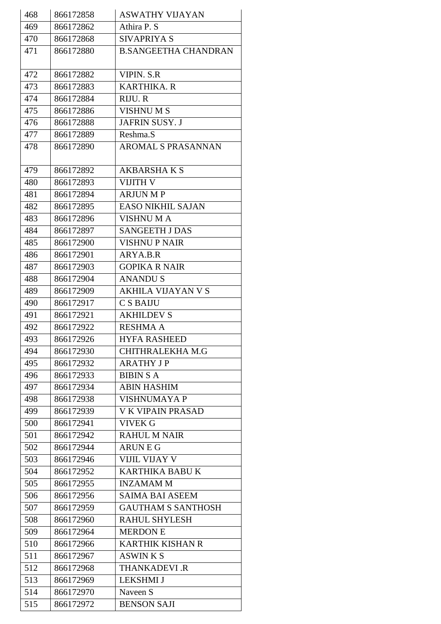| 468 | 866172858 | <b>ASWATHY VIJAYAN</b>      |
|-----|-----------|-----------------------------|
| 469 | 866172862 | Athira P. S                 |
| 470 | 866172868 | <b>SIVAPRIYA S</b>          |
| 471 | 866172880 | <b>B.SANGEETHA CHANDRAN</b> |
|     |           |                             |
| 472 | 866172882 | <b>VIPIN. S.R</b>           |
| 473 | 866172883 | <b>KARTHIKA. R</b>          |
| 474 | 866172884 | RIJU. R                     |
| 475 | 866172886 | <b>VISHNUMS</b>             |
| 476 | 866172888 | <b>JAFRIN SUSY. J</b>       |
| 477 | 866172889 | Reshma.S                    |
| 478 | 866172890 | AROMAL S PRASANNAN          |
|     |           |                             |
| 479 | 866172892 | <b>AKBARSHAKS</b>           |
| 480 | 866172893 | <b>VIJITH V</b>             |
| 481 | 866172894 | <b>ARJUN MP</b>             |
| 482 | 866172895 | <b>EASO NIKHIL SAJAN</b>    |
| 483 | 866172896 | <b>VISHNUMA</b>             |
| 484 | 866172897 | <b>SANGEETH J DAS</b>       |
| 485 | 866172900 | <b>VISHNU P NAIR</b>        |
| 486 | 866172901 | ARYA.B.R                    |
| 487 | 866172903 | <b>GOPIKA R NAIR</b>        |
| 488 | 866172904 | <b>ANANDUS</b>              |
| 489 | 866172909 | <b>AKHILA VIJAYAN V S</b>   |
| 490 | 866172917 | <b>CSBAIJU</b>              |
| 491 | 866172921 | <b>AKHILDEV S</b>           |
| 492 | 866172922 | <b>RESHMA A</b>             |
| 493 | 866172926 | HYFA RASHEED                |
| 494 | 866172930 | CHITHRALEKHA M.G            |
| 495 | 866172932 | <b>ARATHY JP</b>            |
| 496 | 866172933 | <b>BIBIN S A</b>            |
| 497 | 866172934 | <b>ABIN HASHIM</b>          |
| 498 | 866172938 | <b>VISHNUMAYA P</b>         |
| 499 | 866172939 | <b>V K VIPAIN PRASAD</b>    |
| 500 | 866172941 | <b>VIVEK G</b>              |
| 501 | 866172942 | <b>RAHUL M NAIR</b>         |
| 502 | 866172944 | <b>ARUNEG</b>               |
| 503 | 866172946 | <b>VIJIL VIJAY V</b>        |
| 504 | 866172952 | KARTHIKA BABU K             |
| 505 | 866172955 | <b>INZAMAMM</b>             |
| 506 | 866172956 | <b>SAIMA BAI ASEEM</b>      |
| 507 | 866172959 | <b>GAUTHAM S SANTHOSH</b>   |
| 508 | 866172960 | <b>RAHUL SHYLESH</b>        |
| 509 | 866172964 | <b>MERDON E</b>             |
| 510 | 866172966 | <b>KARTHIK KISHAN R</b>     |
| 511 | 866172967 | <b>ASWINKS</b>              |
| 512 | 866172968 | <b>THANKADEVI.R</b>         |
| 513 | 866172969 | <b>LEKSHMI J</b>            |
| 514 | 866172970 | Naveen S                    |
| 515 | 866172972 | <b>BENSON SAJI</b>          |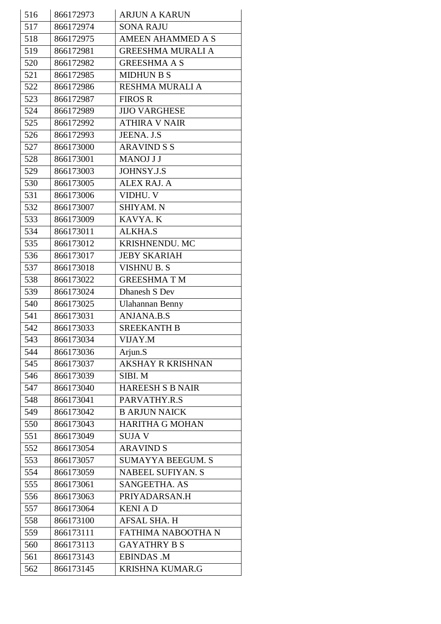| 516 | 866172973 | <b>ARJUN A KARUN</b>     |
|-----|-----------|--------------------------|
| 517 | 866172974 | <b>SONA RAJU</b>         |
| 518 | 866172975 | <b>AMEEN AHAMMED A S</b> |
| 519 | 866172981 | <b>GREESHMA MURALI A</b> |
| 520 | 866172982 | <b>GREESHMA A S</b>      |
| 521 | 866172985 | <b>MIDHUN B S</b>        |
| 522 | 866172986 | <b>RESHMA MURALI A</b>   |
| 523 | 866172987 | <b>FIROS R</b>           |
| 524 | 866172989 | <b>JIJO VARGHESE</b>     |
| 525 | 866172992 | <b>ATHIRA V NAIR</b>     |
| 526 | 866172993 | JEENA. J.S               |
| 527 | 866173000 | <b>ARAVIND S S</b>       |
| 528 | 866173001 | <b>MANOJ J J</b>         |
| 529 | 866173003 | <b>JOHNSY.J.S</b>        |
| 530 | 866173005 | <b>ALEX RAJ. A</b>       |
| 531 | 866173006 | VIDHU. V                 |
| 532 | 866173007 | SHIYAM. N                |
| 533 | 866173009 | KAVYA. K                 |
| 534 | 866173011 | <b>ALKHA.S</b>           |
| 535 | 866173012 | KRISHNENDU. MC           |
| 536 | 866173017 | <b>JEBY SKARIAH</b>      |
| 537 | 866173018 | <b>VISHNU B. S</b>       |
| 538 | 866173022 | <b>GREESHMATM</b>        |
| 539 | 866173024 | Dhanesh S Dev            |
| 540 | 866173025 | <b>Ulahannan Benny</b>   |
| 541 | 866173031 | <b>ANJANA.B.S</b>        |
| 542 | 866173033 | <b>SREEKANTH B</b>       |
| 543 | 866173034 | VIJAY.M                  |
| 544 | 866173036 | Arjun.S                  |
| 545 | 866173037 | <b>AKSHAY R KRISHNAN</b> |
| 546 | 866173039 | SIBI. M                  |
| 547 | 866173040 | <b>HAREESH S B NAIR</b>  |
| 548 | 866173041 | PARVATHY.R.S             |
| 549 | 866173042 | <b>B ARJUN NAICK</b>     |
| 550 | 866173043 | <b>HARITHA G MOHAN</b>   |
| 551 | 866173049 | <b>SUJAV</b>             |
| 552 | 866173054 | <b>ARAVIND S</b>         |
| 553 | 866173057 | <b>SUMAYYA BEEGUM. S</b> |
| 554 | 866173059 | <b>NABEEL SUFIYAN. S</b> |
| 555 | 866173061 | SANGEETHA. AS            |
| 556 | 866173063 | PRIYADARSAN.H            |
| 557 | 866173064 | <b>KENIAD</b>            |
| 558 | 866173100 | <b>AFSAL SHA. H</b>      |
| 559 | 866173111 | FATHIMA NABOOTHA N       |
| 560 | 866173113 | <b>GAYATHRY B S</b>      |
| 561 | 866173143 | <b>EBINDAS .M</b>        |
| 562 | 866173145 | KRISHNA KUMAR.G          |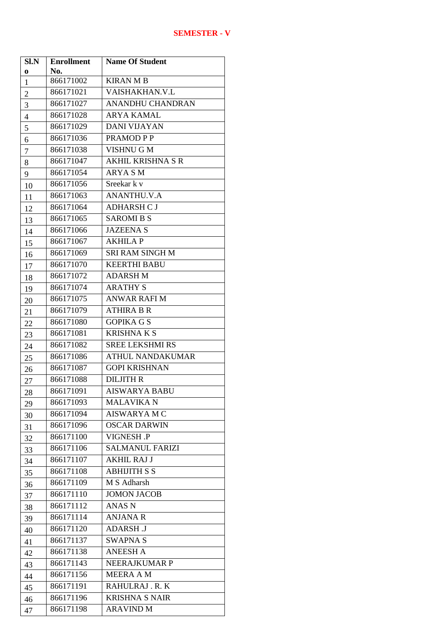| Sl.N<br>$\bf{0}$ | <b>Enrollment</b><br>No. | <b>Name Of Student</b>   |
|------------------|--------------------------|--------------------------|
| $\mathbf{1}$     | 866171002                | <b>KIRAN M B</b>         |
| $\overline{c}$   | 866171021                | VAISHAKHAN.V.L           |
| 3                | 866171027                | <b>ANANDHU CHANDRAN</b>  |
| $\overline{4}$   | 866171028                | <b>ARYA KAMAL</b>        |
| 5                | 866171029                | <b>DANI VIJAYAN</b>      |
| 6                | 866171036                | PRAMOD P P               |
| $\boldsymbol{7}$ | 866171038                | VISHNU G M               |
| 8                | 866171047                | <b>AKHIL KRISHNA S R</b> |
| 9                | 866171054                | <b>ARYA SM</b>           |
| 10               | 866171056                | Sreekar k v              |
| 11               | 866171063                | <b>ANANTHU.V.A</b>       |
| 12               | 866171064                | <b>ADHARSH CJ</b>        |
| 13               | 866171065                | <b>SAROMIBS</b>          |
| 14               | 866171066                | <b>JAZEENA S</b>         |
| 15               | 866171067                | <b>AKHILAP</b>           |
| 16               | 866171069                | <b>SRI RAM SINGH M</b>   |
| 17               | 866171070                | <b>KEERTHI BABU</b>      |
| 18               | 866171072                | <b>ADARSH M</b>          |
| 19               | 866171074                | <b>ARATHY S</b>          |
| 20               | 866171075                | <b>ANWAR RAFI M</b>      |
| 21               | 866171079                | <b>ATHIRA B R</b>        |
| 22               | 866171080                | <b>GOPIKA G S</b>        |
| 23               | 866171081                | <b>KRISHNAKS</b>         |
| 24               | 866171082                | <b>SREE LEKSHMI RS</b>   |
| 25               | 866171086                | <b>ATHUL NANDAKUMAR</b>  |
| 26               | 866171087                | <b>GOPI KRISHNAN</b>     |
| 27               | 866171088                | <b>DILJITH R</b>         |
| 28               | 866171091                | <b>AISWARYA BABU</b>     |
| 29               | 866171093                | <b>MALAVIKA N</b>        |
| 30               | 866171094                | AISWARYA M C             |
| 31               | 866171096                | <b>OSCAR DARWIN</b>      |
| 32               | 866171100                | <b>VIGNESH.P</b>         |
| 33               | 866171106                | <b>SALMANUL FARIZI</b>   |
| 34               | 866171107                | <b>AKHIL RAJ J</b>       |
| 35               | 866171108                | <b>ABHIJITH S S</b>      |
| 36               | 866171109                | M S Adharsh              |
| 37               | 866171110                | <b>JOMON JACOB</b>       |
| 38               | 866171112                | ANAS N                   |
| 39               | 866171114                | <b>ANJANA R</b>          |
| 40               | 866171120                | <b>ADARSH J</b>          |
| 41               | 866171137                | <b>SWAPNA S</b>          |
| 42               | 866171138                | <b>ANEESH A</b>          |
| 43               | 866171143                | <b>NEERAJKUMAR P</b>     |
| 44               | 866171156                | <b>MEERA A M</b>         |
| 45               | 866171191                | RAHULRAJ.R.K             |
| 46               | 866171196                | <b>KRISHNA S NAIR</b>    |
| 47               | 866171198                | ARAVIND M                |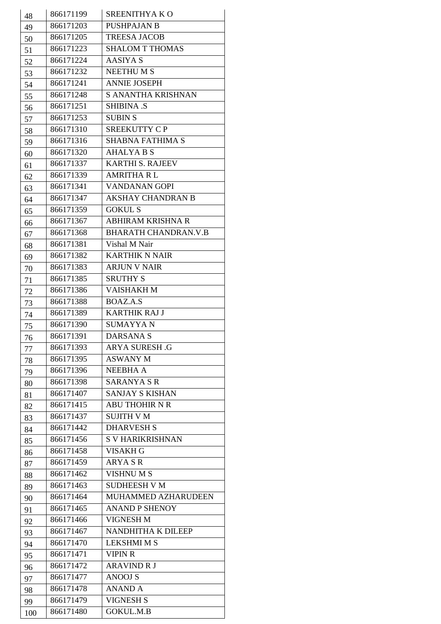| 48  | 866171199              | SREENITHYAKO                |
|-----|------------------------|-----------------------------|
| 49  | 866171203              | <b>PUSHPAJAN B</b>          |
| 50  | 866171205              | <b>TREESA JACOB</b>         |
| 51  | 866171223              | <b>SHALOM T THOMAS</b>      |
|     | 866171224              | <b>AASIYA S</b>             |
| 52  | 866171232              | <b>NEETHUMS</b>             |
| 53  |                        | <b>ANNIE JOSEPH</b>         |
| 54  | 866171241              |                             |
| 55  | 866171248              | S ANANTHA KRISHNAN          |
| 56  | 866171251              | <b>SHIBINA .S</b>           |
| 57  | 866171253              | <b>SUBIN S</b>              |
| 58  | 866171310              | SREEKUTTY CP                |
| 59  | 866171316              | <b>SHABNA FATHIMA S</b>     |
| 60  | 866171320              | <b>AHALYA B S</b>           |
| 61  | 866171337              | <b>KARTHI S. RAJEEV</b>     |
| 62  | 866171339              | <b>AMRITHA RL</b>           |
| 63  | 866171341              | <b>VANDANAN GOPI</b>        |
| 64  | 866171347              | <b>AKSHAY CHANDRAN B</b>    |
| 65  | 866171359              | <b>GOKUL S</b>              |
| 66  | 866171367              | <b>ABHIRAM KRISHNA R</b>    |
| 67  | 866171368              | <b>BHARATH CHANDRAN.V.B</b> |
| 68  | 866171381              | Vishal M Nair               |
| 69  | 866171382              | <b>KARTHIK N NAIR</b>       |
| 70  | 866171383              | <b>ARJUN V NAIR</b>         |
| 71  | 866171385              | <b>SRUTHY S</b>             |
|     | 866171386              | VAISHAKH M                  |
| 72  | 866171388              | BOAZ.A.S                    |
| 73  | 866171389              | <b>KARTHIK RAJ J</b>        |
| 74  |                        | <b>SUMAYYAN</b>             |
| 75  | 866171390<br>866171391 | <b>DARSANA S</b>            |
| 76  |                        |                             |
| 77  | 866171393              | <b>ARYA SURESH.G</b>        |
| 78  | 866171395              | <b>ASWANY M</b>             |
| 79  | 866171396              | NEEBHA A                    |
| 80  | 866171398              | <b>SARANYA S R</b>          |
| 81  | 866171407              | <b>SANJAY S KISHAN</b>      |
| 82  | 866171415              | <b>ABU THOHIR N R</b>       |
| 83  | 866171437              | <b>SUJITH V M</b>           |
| 84  | 866171442              | <b>DHARVESH S</b>           |
| 85  | 866171456              | <b>S V HARIKRISHNAN</b>     |
| 86  | 866171458              | <b>VISAKH G</b>             |
| 87  | 866171459              | <b>ARYASR</b>               |
| 88  | 866171462              | <b>VISHNUMS</b>             |
| 89  | 866171463              | <b>SUDHEESH V M</b>         |
| 90  | 866171464              | MUHAMMED AZHARUDEEN         |
| 91  | 866171465              | <b>ANAND P SHENOY</b>       |
| 92  | 866171466              | <b>VIGNESH M</b>            |
| 93  | 866171467              | NANDHITHA K DILEEP          |
| 94  | 866171470              | <b>LEKSHMI M S</b>          |
|     | 866171471              | <b>VIPIN R</b>              |
| 95  | 866171472              | <b>ARAVIND R J</b>          |
| 96  | 866171477              | <b>ANOOJ S</b>              |
| 97  | 866171478              | <b>ANAND A</b>              |
| 98  |                        |                             |
| 99  | 866171479              | VIGNESH S                   |
| 100 | 866171480              | <b>GOKUL.M.B</b>            |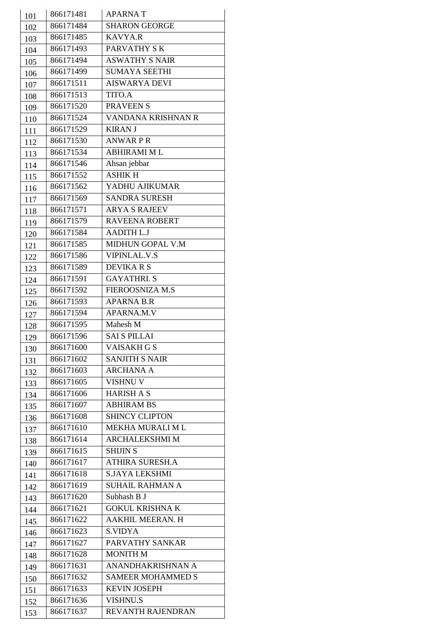| 101 | 866171481 | <b>APARNAT</b>           |
|-----|-----------|--------------------------|
| 102 | 866171484 | <b>SHARON GEORGE</b>     |
| 103 | 866171485 | <b>KAVYA.R</b>           |
| 104 | 866171493 | PARVATHY SK              |
| 105 | 866171494 | <b>ASWATHY S NAIR</b>    |
| 106 | 866171499 | <b>SUMAYA SEETHI</b>     |
| 107 | 866171511 | <b>AISWARYA DEVI</b>     |
| 108 | 866171513 | <b>TITO.A</b>            |
| 109 | 866171520 | <b>PRAVEEN S</b>         |
| 110 | 866171524 | VANDANA KRISHNAN R       |
| 111 | 866171529 | <b>KIRAN J</b>           |
| 112 | 866171530 | <b>ANWARPR</b>           |
| 113 | 866171534 | <b>ABHIRAMI ML</b>       |
| 114 | 866171546 | Ahsan jebbar             |
| 115 | 866171552 | <b>ASHIK H</b>           |
| 116 | 866171562 | YADHU AJIKUMAR           |
| 117 | 866171569 | <b>SANDRA SURESH</b>     |
| 118 | 866171571 | <b>ARYA S RAJEEV</b>     |
| 119 | 866171579 | <b>RAVEENA ROBERT</b>    |
| 120 | 866171584 | <b>AADITH L.J</b>        |
| 121 | 866171585 | MIDHUN GOPAL V.M         |
| 122 | 866171586 | <b>VIPINLAL.V.S</b>      |
| 123 | 866171589 | <b>DEVIKARS</b>          |
| 124 | 866171591 | <b>GAYATHRI.S</b>        |
| 125 | 866171592 | <b>FIEROOSNIZA M.S</b>   |
| 126 | 866171593 | <b>APARNA B.R</b>        |
| 127 | 866171594 | APARNA.M.V               |
| 128 | 866171595 | Mahesh M                 |
| 129 | 866171596 | <b>SAI S PILLAI</b>      |
| 130 | 866171600 | <b>VAISAKH G S</b>       |
| 131 | 866171602 | <b>SANJITH S NAIR</b>    |
| 132 | 866171603 | <b>ARCHANA A</b>         |
| 133 | 866171605 | <b>VISHNU V</b>          |
| 134 | 866171606 | <b>HARISH A S</b>        |
| 135 | 866171607 | <b>ABHIRAM BS</b>        |
| 136 | 866171608 | <b>SHINCY CLIPTON</b>    |
| 137 | 866171610 | MEKHA MURALI ML          |
| 138 | 866171614 | <b>ARCHALEKSHMI M</b>    |
| 139 | 866171615 | <b>SHIJIN S</b>          |
| 140 | 866171617 | <b>ATHIRA SURESH.A</b>   |
| 141 | 866171618 | S.JAYA LEKSHMI           |
| 142 | 866171619 | <b>SUHAIL RAHMAN A</b>   |
| 143 | 866171620 | Subhash B J              |
| 144 | 866171621 | <b>GOKUL KRISHNA K</b>   |
| 145 | 866171622 | AAKHIL MEERAN. H         |
| 146 | 866171623 | <b>S.VIDYA</b>           |
| 147 | 866171627 | PARVATHY SANKAR          |
| 148 | 866171628 | <b>MONITH M</b>          |
| 149 | 866171631 | ANANDHAKRISHNAN A        |
| 150 | 866171632 | <b>SAMEER MOHAMMED S</b> |
| 151 | 866171633 | <b>KEVIN JOSEPH</b>      |
| 152 | 866171636 | <b>VISHNU.S</b>          |
| 153 | 866171637 | <b>REVANTH RAJENDRAN</b> |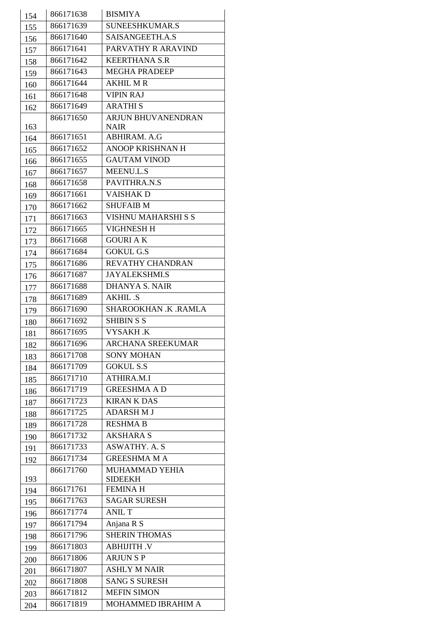| 154 | 866171638 | <b>BISMIYA</b>            |
|-----|-----------|---------------------------|
| 155 | 866171639 | SUNEESHKUMAR.S            |
| 156 | 866171640 | SAISANGEETH.A.S           |
| 157 | 866171641 | PARVATHY R ARAVIND        |
| 158 | 866171642 | <b>KEERTHANA S.R</b>      |
| 159 | 866171643 | <b>MEGHA PRADEEP</b>      |
| 160 | 866171644 | <b>AKHIL MR</b>           |
| 161 | 866171648 | <b>VIPIN RAJ</b>          |
| 162 | 866171649 | <b>ARATHIS</b>            |
|     | 866171650 | <b>ARJUN BHUVANENDRAN</b> |
| 163 |           | <b>NAIR</b>               |
| 164 | 866171651 | ABHIRAM. A.G              |
| 165 | 866171652 | <b>ANOOP KRISHNAN H</b>   |
| 166 | 866171655 | <b>GAUTAM VINOD</b>       |
| 167 | 866171657 | <b>MEENU.L.S</b>          |
| 168 | 866171658 | PAVITHRA.N.S              |
| 169 | 866171661 | <b>VAISHAKD</b>           |
| 170 | 866171662 | <b>SHUFAIB M</b>          |
| 171 | 866171663 | VISHNU MAHARSHI S S       |
| 172 | 866171665 | <b>VIGHNESH H</b>         |
| 173 | 866171668 | <b>GOURI AK</b>           |
| 174 | 866171684 | <b>GOKUL G.S</b>          |
| 175 | 866171686 | REVATHY CHANDRAN          |
| 176 | 866171687 | <b>JAYALEKSHMI.S</b>      |
| 177 | 866171688 | <b>DHANYA S. NAIR</b>     |
| 178 | 866171689 | <b>AKHIL .S</b>           |
| 179 | 866171690 | SHAROOKHAN .K .RAMLA      |
| 180 | 866171692 | <b>SHIBIN S S</b>         |
| 181 | 866171695 | VYSAKH.K                  |
| 182 | 866171696 | <b>ARCHANA SREEKUMAR</b>  |
| 183 | 866171708 | <b>SONY MOHAN</b>         |
| 184 | 866171709 | <b>GOKUL S.S</b>          |
|     | 866171710 | ATHIRA.M.I                |
| 185 | 866171719 | <b>GREESHMA AD</b>        |
| 186 | 866171723 | <b>KIRAN K DAS</b>        |
| 187 | 866171725 | <b>ADARSH M J</b>         |
| 188 | 866171728 | <b>RESHMA B</b>           |
| 189 | 866171732 | <b>AKSHARA S</b>          |
| 190 | 866171733 | <b>ASWATHY. A. S</b>      |
| 191 | 866171734 | <b>GREESHMA M A</b>       |
| 192 | 866171760 | MUHAMMAD YEHIA            |
| 193 |           | <b>SIDEEKH</b>            |
| 194 | 866171761 | <b>FEMINA H</b>           |
| 195 | 866171763 | <b>SAGAR SURESH</b>       |
| 196 | 866171774 | <b>ANIL T</b>             |
| 197 | 866171794 | Anjana R S                |
| 198 | 866171796 | <b>SHERIN THOMAS</b>      |
| 199 | 866171803 | <b>ABHIJITH.V</b>         |
| 200 | 866171806 | <b>ARJUNSP</b>            |
| 201 | 866171807 | <b>ASHLY M NAIR</b>       |
| 202 | 866171808 | <b>SANG S SURESH</b>      |
| 203 | 866171812 | <b>MEFIN SIMON</b>        |
|     | 866171819 | MOHAMMED IBRAHIM A        |
| 204 |           |                           |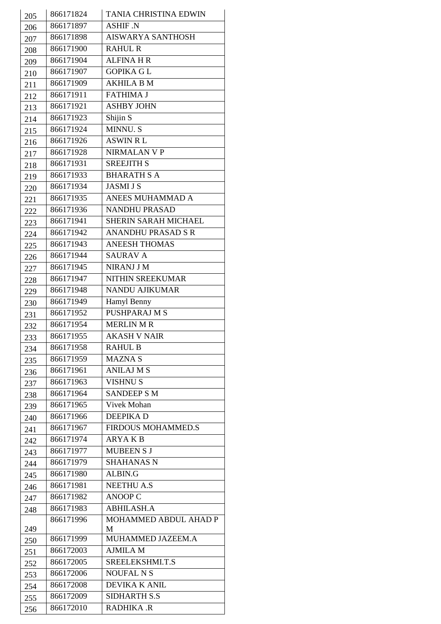| 205 | 866171824 | TANIA CHRISTINA EDWIN       |
|-----|-----------|-----------------------------|
| 206 | 866171897 | <b>ASHIF .N</b>             |
| 207 | 866171898 | <b>AISWARYA SANTHOSH</b>    |
|     | 866171900 | <b>RAHUL R</b>              |
| 208 | 866171904 | <b>ALFINA H R</b>           |
| 209 | 866171907 | <b>GOPIKA GL</b>            |
| 210 | 866171909 | <b>AKHILA B M</b>           |
| 211 | 866171911 | <b>FATHIMA J</b>            |
| 212 | 866171921 | <b>ASHBY JOHN</b>           |
| 213 |           |                             |
| 214 | 866171923 | Shijin S                    |
| 215 | 866171924 | <b>MINNU.S</b>              |
| 216 | 866171926 | <b>ASWIN RL</b>             |
| 217 | 866171928 | NIRMALAN V P                |
| 218 | 866171931 | <b>SREEJITH S</b>           |
| 219 | 866171933 | <b>BHARATH S A</b>          |
| 220 | 866171934 | <b>JASMI J S</b>            |
| 221 | 866171935 | ANEES MUHAMMAD A            |
| 222 | 866171936 | <b>NANDHU PRASAD</b>        |
| 223 | 866171941 | <b>SHERIN SARAH MICHAEL</b> |
| 224 | 866171942 | <b>ANANDHU PRASAD S R</b>   |
| 225 | 866171943 | <b>ANEESH THOMAS</b>        |
| 226 | 866171944 | <b>SAURAV A</b>             |
| 227 | 866171945 | <b>NIRANJ J M</b>           |
| 228 | 866171947 | NITHIN SREEKUMAR            |
| 229 | 866171948 | NANDU AJIKUMAR              |
| 230 | 866171949 | Hamyl Benny                 |
| 231 | 866171952 | <b>PUSHPARAJ M S</b>        |
| 232 | 866171954 | <b>MERLIN M R</b>           |
| 233 | 866171955 | <b>AKASH V NAIR</b>         |
| 234 | 866171958 | <b>RAHUL B</b>              |
| 235 | 866171959 | <b>MAZNA S</b>              |
| 236 | 866171961 | <b>ANILAJ M S</b>           |
| 237 | 866171963 | <b>VISHNU S</b>             |
| 238 | 866171964 | <b>SANDEEP S M</b>          |
| 239 | 866171965 | <b>Vivek Mohan</b>          |
| 240 | 866171966 | <b>DEEPIKAD</b>             |
| 241 | 866171967 | <b>FIRDOUS MOHAMMED.S</b>   |
| 242 | 866171974 | <b>ARYAKB</b>               |
| 243 | 866171977 | <b>MUBEEN S J</b>           |
| 244 | 866171979 | <b>SHAHANAS N</b>           |
| 245 | 866171980 | ALBIN.G                     |
| 246 | 866171981 | <b>NEETHU A.S</b>           |
| 247 | 866171982 | <b>ANOOP C</b>              |
|     | 866171983 | <b>ABHILASH.A</b>           |
| 248 | 866171996 | MOHAMMED ABDUL AHAD P       |
| 249 |           | M                           |
| 250 | 866171999 | MUHAMMED JAZEEM.A           |
| 251 | 866172003 | <b>AJMILA M</b>             |
| 252 | 866172005 | SREELEKSHMI.T.S             |
| 253 | 866172006 | <b>NOUFAL N S</b>           |
| 254 | 866172008 | DEVIKA K ANIL               |
| 255 | 866172009 | <b>SIDHARTH S.S</b>         |
| 256 | 866172010 | RADHIKA .R                  |
|     |           |                             |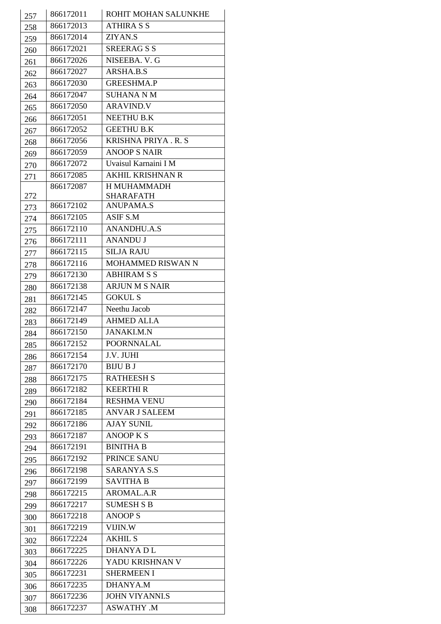| 257 | 866172011 | ROHIT MOHAN SALUNKHE                 |
|-----|-----------|--------------------------------------|
| 258 | 866172013 | <b>ATHIRA S S</b>                    |
| 259 | 866172014 | ZIYAN.S                              |
| 260 | 866172021 | <b>SREERAGSS</b>                     |
| 261 | 866172026 | NISEEBA. V. G                        |
|     | 866172027 | ARSHA.B.S                            |
| 262 | 866172030 | <b>GREESHMA.P</b>                    |
| 263 | 866172047 | <b>SUHANA N M</b>                    |
| 264 | 866172050 | <b>ARAVIND.V</b>                     |
| 265 | 866172051 | NEETHU B.K                           |
| 266 |           |                                      |
| 267 | 866172052 | <b>GEETHU B.K</b>                    |
| 268 | 866172056 | KRISHNA PRIYA.R.S                    |
| 269 | 866172059 | <b>ANOOP S NAIR</b>                  |
| 270 | 866172072 | Uvaisul Karnaini I M                 |
| 271 | 866172085 | <b>AKHIL KRISHNAN R</b>              |
|     | 866172087 | H MUHAMMADH                          |
| 272 | 866172102 | <b>SHARAFATH</b><br><b>ANUPAMA.S</b> |
| 273 |           |                                      |
| 274 | 866172105 | ASIF S.M                             |
| 275 | 866172110 | <b>ANANDHU.A.S</b>                   |
| 276 | 866172111 | <b>ANANDU J</b>                      |
| 277 | 866172115 | <b>SILJA RAJU</b>                    |
| 278 | 866172116 | MOHAMMED RISWAN N                    |
| 279 | 866172130 | <b>ABHIRAM S S</b>                   |
| 280 | 866172138 | <b>ARJUN M S NAIR</b>                |
| 281 | 866172145 | <b>GOKUL S</b>                       |
| 282 | 866172147 | Neethu Jacob                         |
| 283 | 866172149 | <b>AHMED ALI.A</b>                   |
| 284 | 866172150 | <b>JANAKI.M.N</b>                    |
| 285 | 866172152 | <b>POORNNALAL</b>                    |
| 286 | 866172154 | J.V. JUHI                            |
| 287 | 866172170 | <b>BIJU B J</b>                      |
| 288 | 866172175 | <b>RATHEESH S</b>                    |
| 289 | 866172182 | <b>KEERTHIR</b>                      |
| 290 | 866172184 | <b>RESHMA VENU</b>                   |
| 291 | 866172185 | <b>ANVAR J SALEEM</b>                |
| 292 | 866172186 | <b>AJAY SUNIL</b>                    |
| 293 | 866172187 | <b>ANOOP K S</b>                     |
| 294 | 866172191 | <b>BINITHA B</b>                     |
| 295 | 866172192 | PRINCE SANU                          |
| 296 | 866172198 | <b>SARANYA S.S</b>                   |
| 297 | 866172199 | <b>SAVITHA B</b>                     |
| 298 | 866172215 | <b>AROMAL.A.R</b>                    |
| 299 | 866172217 | <b>SUMESH S B</b>                    |
| 300 | 866172218 | <b>ANOOPS</b>                        |
| 301 | 866172219 | VIJIN.W                              |
|     | 866172224 | <b>AKHIL S</b>                       |
| 302 | 866172225 | <b>DHANYADL</b>                      |
| 303 | 866172226 | YADU KRISHNAN V                      |
| 304 | 866172231 | <b>SHERMEEN I</b>                    |
| 305 |           | <b>DHANYA.M</b>                      |
| 306 | 866172235 |                                      |
| 307 | 866172236 | <b>JOHN VIYANNLS</b>                 |
| 308 | 866172237 | <b>ASWATHY .M</b>                    |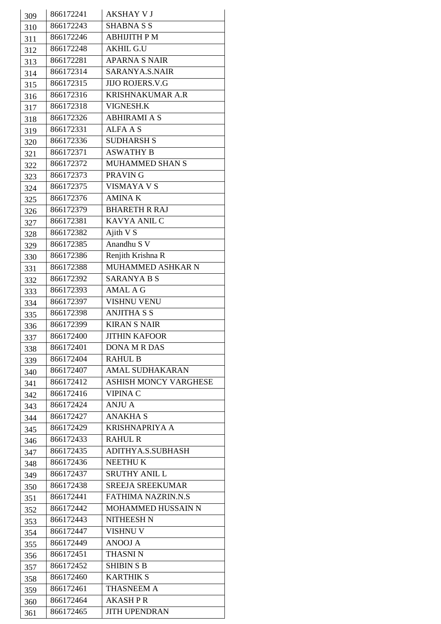| 309 | 866172241 | <b>AKSHAY V J</b>            |
|-----|-----------|------------------------------|
| 310 | 866172243 | <b>SHABNA S S</b>            |
| 311 | 866172246 | <b>ABHIJITH PM</b>           |
| 312 | 866172248 | <b>AKHIL G.U</b>             |
| 313 | 866172281 | <b>APARNA S NAIR</b>         |
| 314 | 866172314 | SARANYA.S.NAIR               |
| 315 | 866172315 | <b>JIJO ROJERS.V.G</b>       |
| 316 | 866172316 | <b>KRISHNAKUMAR A.R</b>      |
| 317 | 866172318 | <b>VIGNESH.K</b>             |
|     | 866172326 | <b>ABHIRAMI A S</b>          |
| 318 | 866172331 | <b>ALFA A S</b>              |
| 319 | 866172336 | <b>SUDHARSH S</b>            |
| 320 | 866172371 | <b>ASWATHY B</b>             |
| 321 | 866172372 | MUHAMMED SHAN S              |
| 322 | 866172373 | PRAVIN G                     |
| 323 | 866172375 | <b>VISMAYA V S</b>           |
| 324 | 866172376 | <b>AMINAK</b>                |
| 325 |           |                              |
| 326 | 866172379 | <b>BHARETH R RAJ</b>         |
| 327 | 866172381 | KAVYA ANIL C                 |
| 328 | 866172382 | Ajith V S                    |
| 329 | 866172385 | Anandhu S V                  |
| 330 | 866172386 | Renjith Krishna R            |
| 331 | 866172388 | MUHAMMED ASHKAR N            |
| 332 | 866172392 | <b>SARANYA B S</b>           |
| 333 | 866172393 | <b>AMAL A G</b>              |
| 334 | 866172397 | <b>VISHNU VENU</b>           |
| 335 | 866172398 | <b>ANJITHA S S</b>           |
| 336 | 866172399 | <b>KIRAN S NAIR</b>          |
| 337 | 866172400 | <b>JITHIN KAFOOR</b>         |
| 338 | 866172401 | <b>DONA M R DAS</b>          |
| 339 | 866172404 | <b>RAHUL B</b>               |
| 340 | 866172407 | <b>AMAL SUDHAKARAN</b>       |
| 341 | 866172412 | <b>ASHISH MONCY VARGHESE</b> |
| 342 | 866172416 | <b>VIPINA C</b>              |
| 343 | 866172424 | <b>ANJU A</b>                |
| 344 | 866172427 | ANAKHA S                     |
| 345 | 866172429 | <b>KRISHNAPRIYA A</b>        |
| 346 | 866172433 | <b>RAHUL R</b>               |
| 347 | 866172435 | ADITHYA.S.SUBHASH            |
| 348 | 866172436 | <b>NEETHUK</b>               |
| 349 | 866172437 | <b>SRUTHY ANIL L</b>         |
| 350 | 866172438 | <b>SREEJA SREEKUMAR</b>      |
| 351 | 866172441 | <b>FATHIMA NAZRIN.N.S</b>    |
| 352 | 866172442 | MOHAMMED HUSSAIN N           |
| 353 | 866172443 | NITHEESH N                   |
| 354 | 866172447 | <b>VISHNU V</b>              |
| 355 | 866172449 | <b>ANOOJ A</b>               |
| 356 | 866172451 | <b>THASNIN</b>               |
| 357 | 866172452 | <b>SHIBIN S B</b>            |
| 358 | 866172460 | <b>KARTHIK S</b>             |
| 359 | 866172461 | <b>THASNEEM A</b>            |
| 360 | 866172464 | <b>AKASHPR</b>               |
| 361 | 866172465 | <b>JITH UPENDRAN</b>         |
|     |           |                              |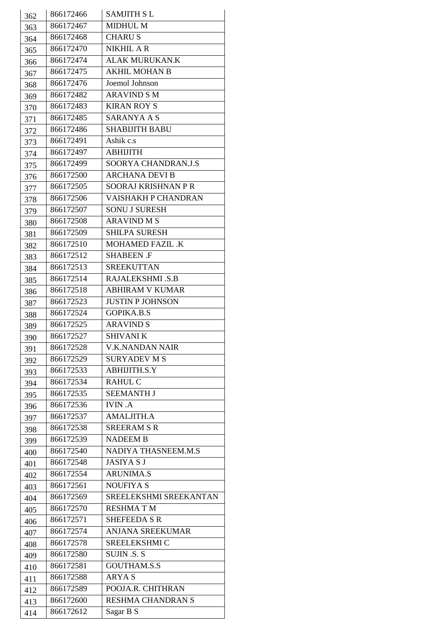|     | 866172466 | <b>SAMJITH SL</b>       |
|-----|-----------|-------------------------|
| 362 | 866172467 | <b>MIDHUL M</b>         |
| 363 | 866172468 | <b>CHARUS</b>           |
| 364 | 866172470 | <b>NIKHIL A R</b>       |
| 365 |           | <b>ALAK MURUKAN.K</b>   |
| 366 | 866172474 |                         |
| 367 | 866172475 | <b>AKHIL MOHAN B</b>    |
| 368 | 866172476 | Joemol Johnson          |
| 369 | 866172482 | <b>ARAVIND S M</b>      |
| 370 | 866172483 | <b>KIRAN ROY S</b>      |
| 371 | 866172485 | <b>SARANYA A S</b>      |
| 372 | 866172486 | <b>SHABIJITH BABU</b>   |
| 373 | 866172491 | Ashik c.s               |
| 374 | 866172497 | <b>ABHIJITH</b>         |
| 375 | 866172499 | SOORYA CHANDRAN.J.S     |
| 376 | 866172500 | <b>ARCHANA DEVI B</b>   |
| 377 | 866172505 | SOORAJ KRISHNAN P R     |
| 378 | 866172506 | VAISHAKH P CHANDRAN     |
| 379 | 866172507 | <b>SONU J SURESH</b>    |
| 380 | 866172508 | <b>ARAVIND M S</b>      |
| 381 | 866172509 | <b>SHILPA SURESH</b>    |
| 382 | 866172510 | MOHAMED FAZIL .K        |
| 383 | 866172512 | <b>SHABEEN .F</b>       |
| 384 | 866172513 | <b>SREEKUTTAN</b>       |
| 385 | 866172514 | RAJALEKSHMI .S.B        |
|     | 866172518 | <b>ABHIRAM V KUMAR</b>  |
| 386 | 866172523 | <b>JUSTIN P JOHNSON</b> |
| 387 | 866172524 | <b>GOPIKA.B.S</b>       |
| 388 | 866172525 | <b>ARAVIND S</b>        |
| 389 | 866172527 | <b>SHIVANI K</b>        |
| 390 | 866172528 | <b>V.K.NANDAN NAIR</b>  |
| 391 |           | <b>SURYADEV M S</b>     |
| 392 | 866172529 |                         |
| 393 | 866172533 | <b>ABHIJITH.S.Y</b>     |
| 394 | 866172534 | <b>RAHUL C</b>          |
| 395 | 866172535 | <b>SEEMANTH J</b>       |
| 396 | 866172536 | <b>IVIN.A</b>           |
| 397 | 866172537 | <b>AMALJITH.A</b>       |
| 398 | 866172538 | <b>SREERAM S R</b>      |
| 399 | 866172539 | <b>NADEEM B</b>         |
| 400 | 866172540 | NADIYA THASNEEM.M.S     |
| 401 | 866172548 | <b>JASIYA S J</b>       |
| 402 | 866172554 | <b>ARUNIMA.S</b>        |
| 403 | 866172561 | <b>NOUFIYA S</b>        |
| 404 | 866172569 | SREELEKSHMI SREEKANTAN  |
| 405 | 866172570 | <b>RESHMATM</b>         |
| 406 | 866172571 | <b>SHEFEEDA S R</b>     |
| 407 | 866172574 | ANJANA SREEKUMAR        |
| 408 | 866172578 | SREELEKSHMI C           |
| 409 | 866172580 | <b>SUJIN .S. S</b>      |
| 410 | 866172581 | <b>GOUTHAM.S.S</b>      |
| 411 | 866172588 | <b>ARYAS</b>            |
| 412 | 866172589 | POOJA.R. CHITHRAN       |
|     | 866172600 | RESHMA CHANDRAN S       |
| 413 | 866172612 | Sagar B S               |
| 414 |           |                         |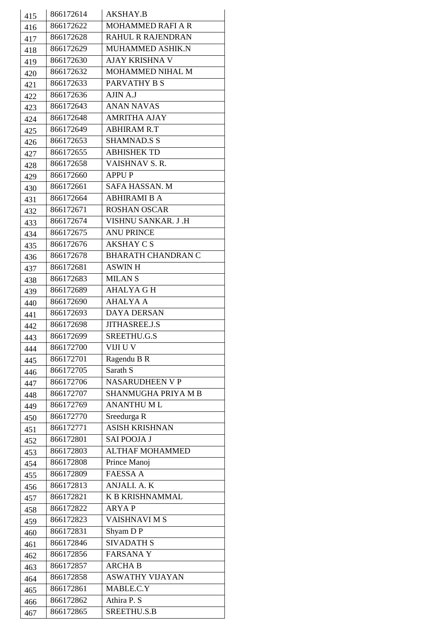| 415 | 866172614 | AKSHAY.B                  |
|-----|-----------|---------------------------|
| 416 | 866172622 | <b>MOHAMMED RAFI A R</b>  |
| 417 | 866172628 | <b>RAHUL R RAJENDRAN</b>  |
| 418 | 866172629 | MUHAMMED ASHIK.N          |
|     | 866172630 | <b>AJAY KRISHNA V</b>     |
| 419 | 866172632 | MOHAMMED NIHAL M          |
| 420 |           | PARVATHY B S              |
| 421 | 866172633 | AJIN A.J                  |
| 422 | 866172636 |                           |
| 423 | 866172643 | <b>ANAN NAVAS</b>         |
| 424 | 866172648 | <b>AMRITHA AJAY</b>       |
| 425 | 866172649 | <b>ABHIRAM R.T</b>        |
| 426 | 866172653 | <b>SHAMNAD.S S</b>        |
| 427 | 866172655 | <b>ABHISHEK TD</b>        |
| 428 | 866172658 | <b>VAISHNAV S. R.</b>     |
| 429 | 866172660 | <b>APPUP</b>              |
| 430 | 866172661 | <b>SAFA HASSAN. M</b>     |
| 431 | 866172664 | <b>ABHIRAMI B A</b>       |
| 432 | 866172671 | <b>ROSHAN OSCAR</b>       |
| 433 | 866172674 | VISHNU SANKAR. J.H        |
| 434 | 866172675 | <b>ANU PRINCE</b>         |
| 435 | 866172676 | AKSHAY C S                |
| 436 | 866172678 | <b>BHARATH CHANDRAN C</b> |
| 437 | 866172681 | <b>ASWIN H</b>            |
|     | 866172683 | <b>MILANS</b>             |
| 438 | 866172689 | <b>AHALYA G H</b>         |
| 439 | 866172690 | <b>AHALYA A</b>           |
| 440 | 866172693 | <b>DAYA DERSAN</b>        |
| 441 |           |                           |
| 442 | 866172698 | <b>JITHASREE.J.S</b>      |
| 443 | 866172699 | SREETHU.G.S               |
| 444 | 866172700 | VIJI U V                  |
| 445 | 866172701 | Ragendu B R               |
| 446 | 866172705 | Sarath S                  |
| 447 | 866172706 | <b>NASARUDHEEN V P</b>    |
| 448 | 866172707 | SHANMUGHA PRIYA M B       |
| 449 | 866172769 | <b>ANANTHUML</b>          |
| 450 | 866172770 | Sreedurga R               |
| 451 | 866172771 | <b>ASISH KRISHNAN</b>     |
| 452 | 866172801 | <b>SAI POOJA J</b>        |
| 453 | 866172803 | <b>ALTHAF MOHAMMED</b>    |
| 454 | 866172808 | Prince Manoj              |
| 455 | 866172809 | <b>FAESSA A</b>           |
| 456 | 866172813 | ANJALI. A. K              |
| 457 | 866172821 | <b>K B KRISHNAMMAL</b>    |
| 458 | 866172822 | <b>ARYAP</b>              |
| 459 | 866172823 | VAISHNAVI M S             |
|     | 866172831 | Shyam DP                  |
| 460 | 866172846 | <b>SIVADATH S</b>         |
| 461 | 866172856 | <b>FARSANAY</b>           |
| 462 |           | <b>ARCHA B</b>            |
| 463 | 866172857 |                           |
| 464 | 866172858 | <b>ASWATHY VIJAYAN</b>    |
| 465 | 866172861 | MABLE.C.Y                 |
| 466 | 866172862 | Athira P. S               |
| 467 | 866172865 | SREETHU.S.B               |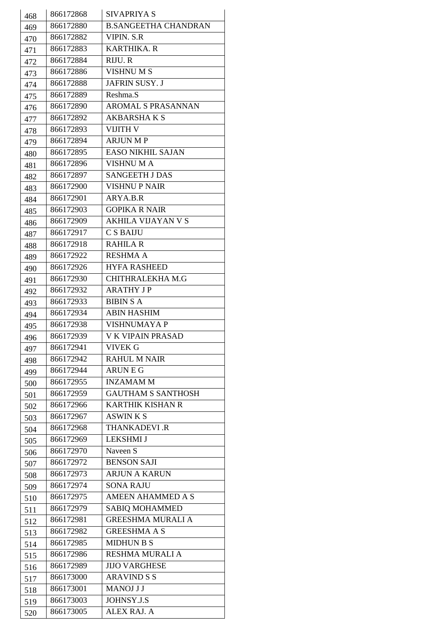| 468 | 866172868 | SIVAPRIYA S                 |
|-----|-----------|-----------------------------|
| 469 | 866172880 | <b>B.SANGEETHA CHANDRAN</b> |
| 470 | 866172882 | <b>VIPIN. S.R</b>           |
| 471 | 866172883 | <b>KARTHIKA. R</b>          |
| 472 | 866172884 | RIJU. R                     |
| 473 | 866172886 | <b>VISHNUMS</b>             |
| 474 | 866172888 | <b>JAFRIN SUSY. J</b>       |
| 475 | 866172889 | Reshma.S                    |
| 476 | 866172890 | <b>AROMAL S PRASANNAN</b>   |
|     | 866172892 | <b>AKBARSHAKS</b>           |
| 477 | 866172893 | <b>VIJITH V</b>             |
| 478 | 866172894 | <b>ARJUN MP</b>             |
| 479 | 866172895 | <b>EASO NIKHIL SAJAN</b>    |
| 480 | 866172896 | <b>VISHNUMA</b>             |
| 481 | 866172897 | <b>SANGEETH J DAS</b>       |
| 482 |           | VISHNU P NAIR               |
| 483 | 866172900 | ARYA.B.R                    |
| 484 | 866172901 |                             |
| 485 | 866172903 | <b>GOPIKA R NAIR</b>        |
| 486 | 866172909 | <b>AKHILA VIJAYAN V S</b>   |
| 487 | 866172917 | <b>CSBAIJU</b>              |
| 488 | 866172918 | <b>RAHILA R</b>             |
| 489 | 866172922 | <b>RESHMA A</b>             |
| 490 | 866172926 | <b>HYFA RASHEED</b>         |
| 491 | 866172930 | CHITHRALEKHA M.G            |
| 492 | 866172932 | <b>ARATHY JP</b>            |
| 493 | 866172933 | <b>BIBIN S A</b>            |
| 494 | 866172934 | <b>ABIN HASHIM</b>          |
| 495 | 866172938 | <b>VISHNUMAYA P</b>         |
| 496 | 866172939 | <b>V K VIPAIN PRASAD</b>    |
| 497 | 866172941 | <b>VIVEK G</b>              |
| 498 | 866172942 | <b>RAHUL M NAIR</b>         |
| 499 | 866172944 | <b>ARUNEG</b>               |
| 500 | 866172955 | <b>INZAMAMM</b>             |
| 501 | 866172959 | <b>GAUTHAM S SANTHOSH</b>   |
| 502 | 866172966 | <b>KARTHIK KISHAN R</b>     |
| 503 | 866172967 | <b>ASWINKS</b>              |
| 504 | 866172968 | <b>THANKADEVI .R</b>        |
| 505 | 866172969 | <b>LEKSHMI J</b>            |
| 506 | 866172970 | Naveen S                    |
| 507 | 866172972 | <b>BENSON SAJI</b>          |
| 508 | 866172973 | <b>ARJUN A KARUN</b>        |
| 509 | 866172974 | <b>SONA RAJU</b>            |
| 510 | 866172975 | <b>AMEEN AHAMMED A S</b>    |
| 511 | 866172979 | <b>SABIQ MOHAMMED</b>       |
| 512 | 866172981 | <b>GREESHMA MURALI A</b>    |
| 513 | 866172982 | <b>GREESHMA A S</b>         |
| 514 | 866172985 | <b>MIDHUN B S</b>           |
| 515 | 866172986 | <b>RESHMA MURALI A</b>      |
| 516 | 866172989 | <b>JIJO VARGHESE</b>        |
| 517 | 866173000 | <b>ARAVIND S S</b>          |
| 518 | 866173001 | MANOJ J J                   |
| 519 | 866173003 | JOHNSY.J.S                  |
| 520 | 866173005 | <b>ALEX RAJ. A</b>          |